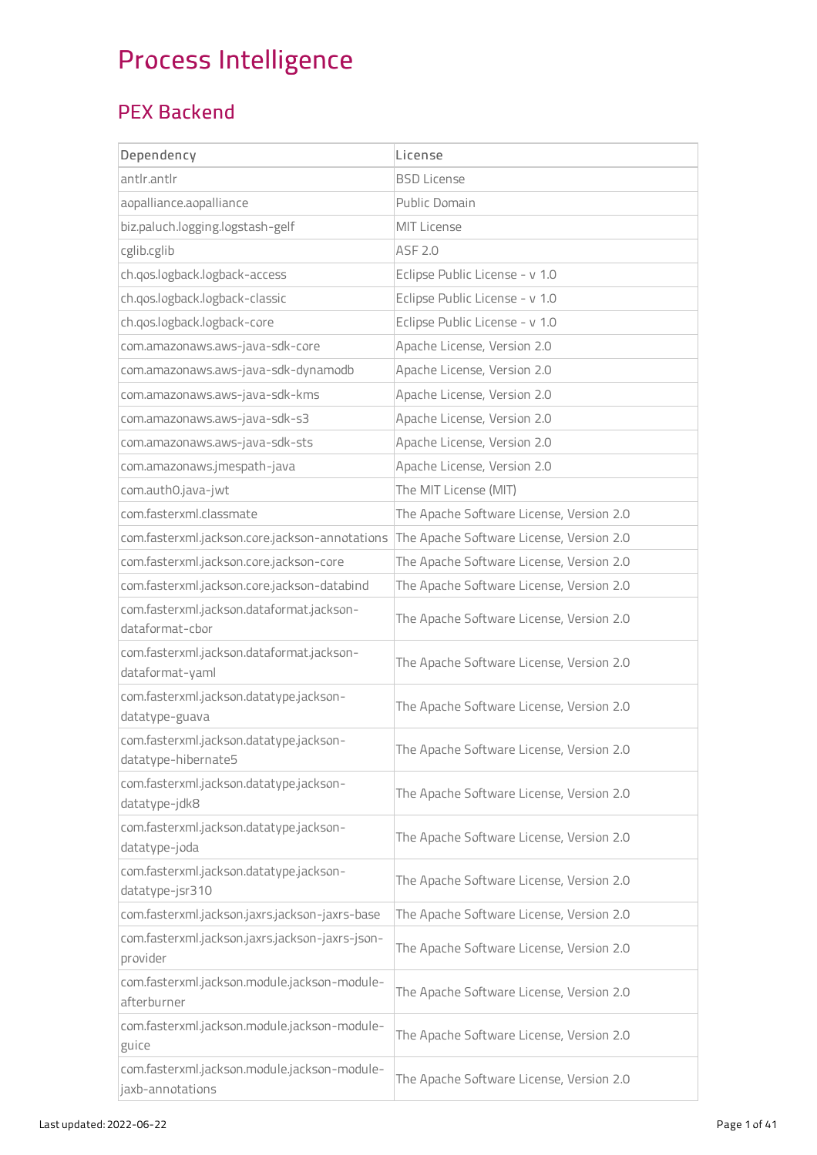# Process Intelligence

#### PEX Backend

| Dependency                                                       | License                                  |
|------------------------------------------------------------------|------------------------------------------|
| antlr.antlr                                                      | <b>BSD License</b>                       |
| aopalliance.aopalliance                                          | Public Domain                            |
| biz.paluch.logging.logstash-gelf                                 | <b>MIT License</b>                       |
| cglib.cglib                                                      | ASF 2.0                                  |
| ch.qos.logback.logback-access                                    | Eclipse Public License - v 1.0           |
| ch.qos.logback.logback-classic                                   | Eclipse Public License - v 1.0           |
| ch.qos.logback.logback-core                                      | Eclipse Public License - v 1.0           |
| com.amazonaws.aws-java-sdk-core                                  | Apache License, Version 2.0              |
| com.amazonaws.aws-java-sdk-dynamodb                              | Apache License, Version 2.0              |
| com.amazonaws.aws-java-sdk-kms                                   | Apache License, Version 2.0              |
| com.amazonaws.aws-java-sdk-s3                                    | Apache License, Version 2.0              |
| com.amazonaws.aws-java-sdk-sts                                   | Apache License, Version 2.0              |
| com.amazonaws.jmespath-java                                      | Apache License, Version 2.0              |
| com.auth0.java-jwt                                               | The MIT License (MIT)                    |
| com.fasterxml.classmate                                          | The Apache Software License, Version 2.0 |
| com.fasterxml.jackson.core.jackson-annotations                   | The Apache Software License, Version 2.0 |
| com.fasterxml.jackson.core.jackson-core                          | The Apache Software License, Version 2.0 |
| com.fasterxml.jackson.core.jackson-databind                      | The Apache Software License, Version 2.0 |
| com.fasterxml.jackson.dataformat.jackson-<br>dataformat-cbor     | The Apache Software License, Version 2.0 |
| com.fasterxml.jackson.dataformat.jackson-<br>dataformat-yaml     | The Apache Software License, Version 2.0 |
| com.fasterxml.jackson.datatype.jackson-<br>datatype-guava        | The Apache Software License, Version 2.0 |
| com.fasterxml.jackson.datatype.jackson-<br>datatype-hibernate5   | The Apache Software License, Version 2.0 |
| com.fasterxml.jackson.datatype.jackson-<br>datatype-jdk8         | The Apache Software License, Version 2.0 |
| com.fasterxml.jackson.datatype.jackson-<br>datatype-joda         | The Apache Software License, Version 2.0 |
| com.fasterxml.jackson.datatype.jackson-<br>datatype-jsr310       | The Apache Software License, Version 2.0 |
| com.fasterxml.jackson.jaxrs.jackson-jaxrs-base                   | The Apache Software License, Version 2.0 |
| com.fasterxml.jackson.jaxrs.jackson-jaxrs-json-<br>provider      | The Apache Software License, Version 2.0 |
| com.fasterxml.jackson.module.jackson-module-<br>afterburner      | The Apache Software License, Version 2.0 |
| com.fasterxml.jackson.module.jackson-module-<br>guice            | The Apache Software License, Version 2.0 |
| com.fasterxml.jackson.module.jackson-module-<br>jaxb-annotations | The Apache Software License, Version 2.0 |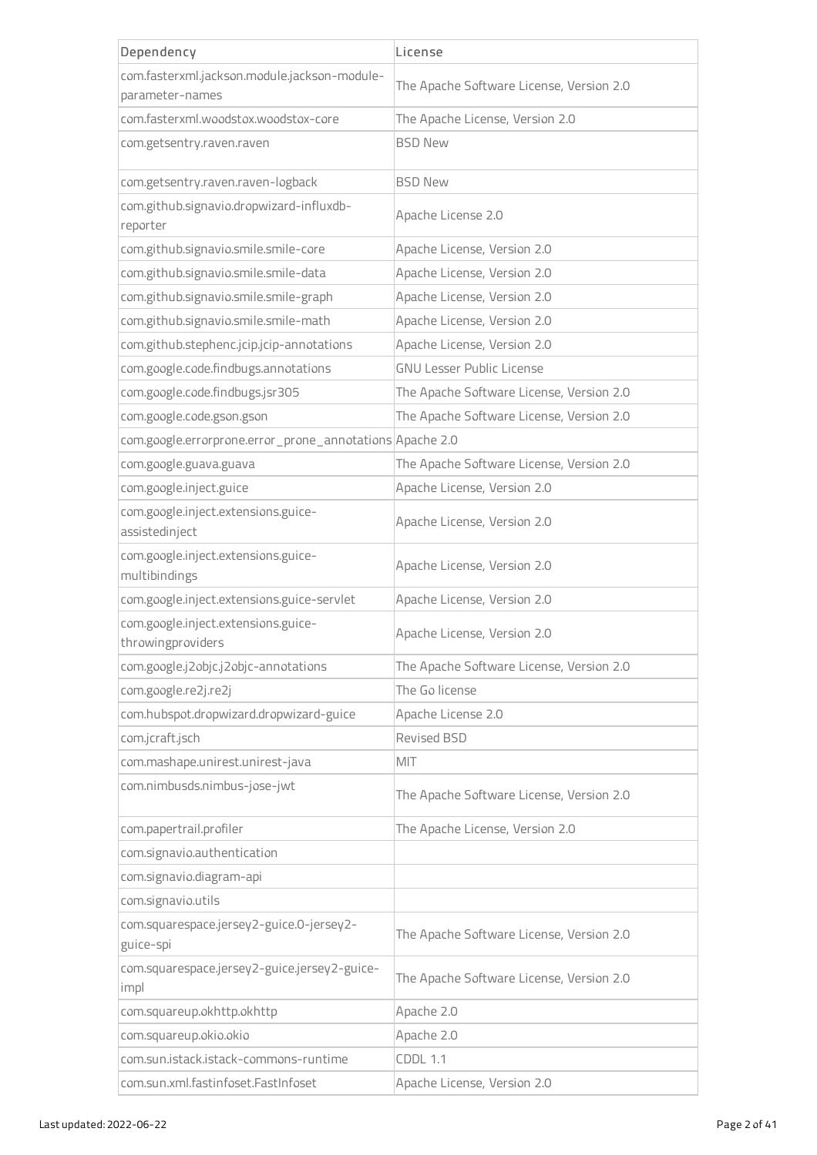| Dependency                                               | License                                  |  |
|----------------------------------------------------------|------------------------------------------|--|
| com.fasterxml.jackson.module.jackson-module-             | The Apache Software License, Version 2.0 |  |
| parameter-names                                          |                                          |  |
| com.fasterxml.woodstox.woodstox-core                     | The Apache License, Version 2.0          |  |
| com.getsentry.raven.raven                                | <b>BSD New</b>                           |  |
| com.getsentry.raven.raven-logback                        | <b>BSD New</b>                           |  |
| com.github.signavio.dropwizard-influxdb-<br>reporter     | Apache License 2.0                       |  |
| com.github.signavio.smile.smile-core                     | Apache License, Version 2.0              |  |
| com.github.signavio.smile.smile-data                     | Apache License, Version 2.0              |  |
| com.github.signavio.smile.smile-graph                    | Apache License, Version 2.0              |  |
| com.github.signavio.smile.smile-math                     | Apache License, Version 2.0              |  |
| com.github.stephenc.jcip.jcip-annotations                | Apache License, Version 2.0              |  |
| com.google.code.findbugs.annotations                     | <b>GNU Lesser Public License</b>         |  |
| com.google.code.findbugs.jsr305                          | The Apache Software License, Version 2.0 |  |
| com.google.code.gson.gson                                | The Apache Software License, Version 2.0 |  |
| com.google.errorprone.error_prone_annotations Apache 2.0 |                                          |  |
| com.google.guava.guava                                   | The Apache Software License, Version 2.0 |  |
| com.google.inject.guice                                  | Apache License, Version 2.0              |  |
| com.google.inject.extensions.guice-<br>assistedinject    | Apache License, Version 2.0              |  |
| com.google.inject.extensions.guice-<br>multibindings     | Apache License, Version 2.0              |  |
| com.google.inject.extensions.guice-servlet               | Apache License, Version 2.0              |  |
| com.google.inject.extensions.guice-<br>throwingproviders | Apache License, Version 2.0              |  |
| com.google.j2objc.j2objc-annotations                     | The Apache Software License, Version 2.0 |  |
| com.google.re2j.re2j                                     | The Go license                           |  |
| com.hubspot.dropwizard.dropwizard-guice                  | Apache License 2.0                       |  |
| com.jcraft.jsch                                          | Revised BSD                              |  |
| com.mashape.unirest.unirest-java                         | MIT                                      |  |
| com.nimbusds.nimbus-jose-jwt                             | The Apache Software License, Version 2.0 |  |
| com.papertrail.profiler                                  | The Apache License, Version 2.0          |  |
| com.signavio.authentication                              |                                          |  |
| com.signavio.diagram-api                                 |                                          |  |
| com.signavio.utils                                       |                                          |  |
| com.squarespace.jersey2-guice.0-jersey2-<br>guice-spi    | The Apache Software License, Version 2.0 |  |
| com.squarespace.jersey2-guice.jersey2-guice-<br>impl     | The Apache Software License, Version 2.0 |  |
| com.squareup.okhttp.okhttp                               | Apache 2.0                               |  |
| com.squareup.okio.okio                                   | Apache 2.0                               |  |
| com.sun.istack.istack-commons-runtime                    | <b>CDDL 1.1</b>                          |  |
| com.sun.xml.fastinfoset.FastInfoset                      | Apache License, Version 2.0              |  |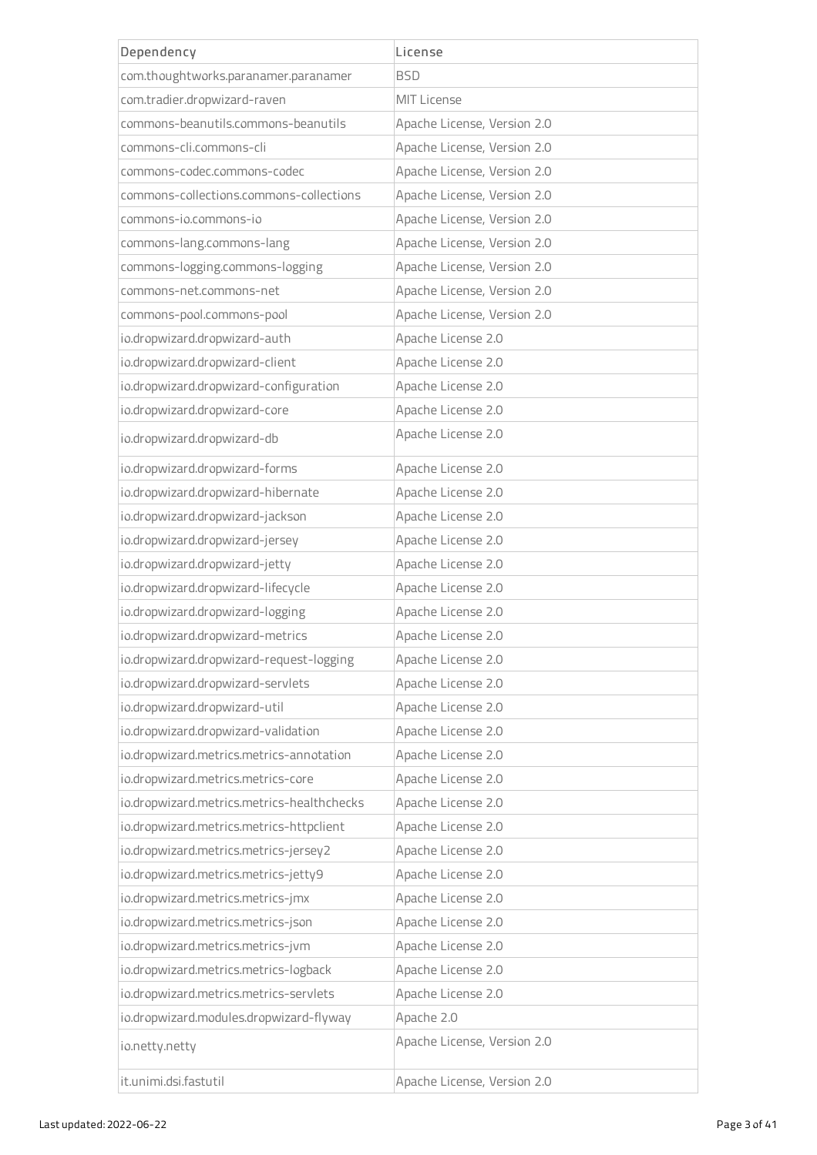| Dependency                                 | License                     |  |
|--------------------------------------------|-----------------------------|--|
| com.thoughtworks.paranamer.paranamer       | <b>BSD</b>                  |  |
| com.tradier.dropwizard-raven               | <b>MIT License</b>          |  |
| commons-beanutils.commons-beanutils        | Apache License, Version 2.0 |  |
| commons-cli.commons-cli                    | Apache License, Version 2.0 |  |
| commons-codec.commons-codec                | Apache License, Version 2.0 |  |
| commons-collections.commons-collections    | Apache License, Version 2.0 |  |
| commons-jo.commons-jo                      | Apache License, Version 2.0 |  |
| commons-lang.commons-lang                  | Apache License, Version 2.0 |  |
| commons-logging.commons-logging            | Apache License, Version 2.0 |  |
| commons-net.commons-net                    | Apache License, Version 2.0 |  |
| commons-pool.commons-pool                  | Apache License, Version 2.0 |  |
| io.dropwizard.dropwizard-auth              | Apache License 2.0          |  |
| io.dropwizard.dropwizard-client            | Apache License 2.0          |  |
| io.dropwizard.dropwizard-configuration     | Apache License 2.0          |  |
| io.dropwizard.dropwizard-core              | Apache License 2.0          |  |
| io.dropwizard.dropwizard-db                | Apache License 2.0          |  |
| io.dropwizard.dropwizard-forms             | Apache License 2.0          |  |
| io.dropwizard.dropwizard-hibernate         | Apache License 2.0          |  |
| io.dropwizard.dropwizard-jackson           | Apache License 2.0          |  |
| io.dropwizard.dropwizard-jersey            | Apache License 2.0          |  |
| io.dropwizard.dropwizard-jetty             | Apache License 2.0          |  |
| io.dropwizard.dropwizard-lifecycle         | Apache License 2.0          |  |
| io.dropwizard.dropwizard-logging           | Apache License 2.0          |  |
| io.dropwizard.dropwizard-metrics           | Apache License 2.0          |  |
| io.dropwizard.dropwizard-request-logging   | Apache License 2.0          |  |
| io.dropwizard.dropwizard-servlets          | Apache License 2.0          |  |
| io.dropwizard.dropwizard-util              | Apache License 2.0          |  |
| io.dropwizard.dropwizard-validation        | Apache License 2.0          |  |
| io.dropwizard.metrics.metrics-annotation   | Apache License 2.0          |  |
| io.dropwizard.metrics.metrics-core         | Apache License 2.0          |  |
| io.dropwizard.metrics.metrics-healthchecks | Apache License 2.0          |  |
| io.dropwizard.metrics.metrics-httpclient   | Apache License 2.0          |  |
| io.dropwizard.metrics.metrics-jersey2      | Apache License 2.0          |  |
| io.dropwizard.metrics.metrics-jetty9       | Apache License 2.0          |  |
| io.dropwizard.metrics.metrics-jmx          | Apache License 2.0          |  |
| io.dropwizard.metrics.metrics-json         | Apache License 2.0          |  |
| io.dropwizard.metrics.metrics-jvm          | Apache License 2.0          |  |
| io.dropwizard.metrics.metrics-logback      | Apache License 2.0          |  |
| io.dropwizard.metrics.metrics-servlets     | Apache License 2.0          |  |
| io.dropwizard.modules.dropwizard-flyway    | Apache 2.0                  |  |
| io.netty.netty                             | Apache License, Version 2.0 |  |
| it.unimi.dsi.fastutil                      | Apache License, Version 2.0 |  |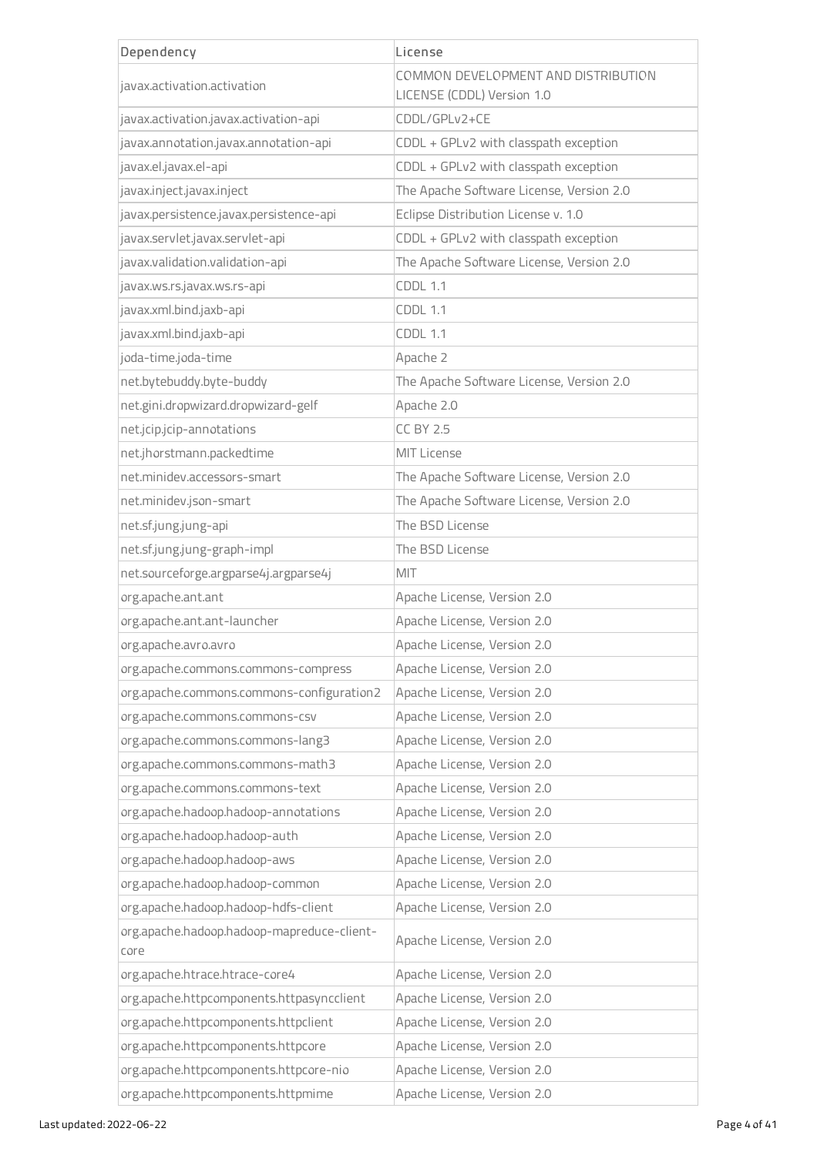| Dependency                                         | License                                                           |  |
|----------------------------------------------------|-------------------------------------------------------------------|--|
| javax.activation.activation                        | COMMON DEVELOPMENT AND DISTRIBUTION<br>LICENSE (CDDL) Version 1.0 |  |
| javax.activation.javax.activation-api              | CDDL/GPLv2+CE                                                     |  |
| javax.annotation.javax.annotation-api              | CDDL + GPLv2 with classpath exception                             |  |
| javax.el.javax.el-api                              | CDDL + GPLv2 with classpath exception                             |  |
| javax.inject.javax.inject                          | The Apache Software License, Version 2.0                          |  |
| javax.persistence.javax.persistence-api            | Eclipse Distribution License v. 1.0                               |  |
| javax.servlet.javax.servlet-api                    | CDDL + GPLv2 with classpath exception                             |  |
| javax.validation.validation-api                    | The Apache Software License, Version 2.0                          |  |
| javax.ws.rs.javax.ws.rs-api                        | <b>CDDL 1.1</b>                                                   |  |
| javax.xml.bind.jaxb-api                            | <b>CDDL 1.1</b>                                                   |  |
| javax.xml.bind.jaxb-api                            | <b>CDDL 1.1</b>                                                   |  |
| joda-time.joda-time                                | Apache 2                                                          |  |
| net.bytebuddy.byte-buddy                           | The Apache Software License, Version 2.0                          |  |
| net.gini.dropwizard.dropwizard-gelf                | Apache 2.0                                                        |  |
| net.jcip.jcip-annotations                          | <b>CC BY 2.5</b>                                                  |  |
| net.jhorstmann.packedtime                          | <b>MIT License</b>                                                |  |
| net.minidev.accessors-smart                        | The Apache Software License, Version 2.0                          |  |
| net.minidev.json-smart                             | The Apache Software License, Version 2.0                          |  |
| net.sf.jung.jung-api                               | The BSD License                                                   |  |
| net.sf.jung.jung-graph-impl                        | The BSD License                                                   |  |
| net.sourceforge.argparse4j.argparse4j              | MIT                                                               |  |
| org.apache.ant.ant                                 | Apache License, Version 2.0                                       |  |
| org.apache.ant.ant-launcher                        | Apache License, Version 2.0                                       |  |
| org.apache.avro.avro                               | Apache License, Version 2.0                                       |  |
| org.apache.commons.commons-compress                | Apache License, Version 2.0                                       |  |
| org.apache.commons.commons-configuration2          | Apache License, Version 2.0                                       |  |
| org.apache.commons.commons-csv                     | Apache License, Version 2.0                                       |  |
| org.apache.commons.commons-lang3                   | Apache License, Version 2.0                                       |  |
| org.apache.commons.commons-math3                   | Apache License, Version 2.0                                       |  |
| org.apache.commons.commons-text                    | Apache License, Version 2.0                                       |  |
| org.apache.hadoop.hadoop-annotations               | Apache License, Version 2.0                                       |  |
| org.apache.hadoop.hadoop-auth                      | Apache License, Version 2.0                                       |  |
| org.apache.hadoop.hadoop-aws                       | Apache License, Version 2.0                                       |  |
| org.apache.hadoop.hadoop-common                    | Apache License, Version 2.0                                       |  |
| org.apache.hadoop.hadoop-hdfs-client               | Apache License, Version 2.0                                       |  |
| org.apache.hadoop.hadoop-mapreduce-client-<br>core | Apache License, Version 2.0                                       |  |
| org.apache.htrace.htrace-core4                     | Apache License, Version 2.0                                       |  |
| org.apache.httpcomponents.httpasyncclient          | Apache License, Version 2.0                                       |  |
| org.apache.httpcomponents.httpclient               | Apache License, Version 2.0                                       |  |
| org.apache.httpcomponents.httpcore                 | Apache License, Version 2.0                                       |  |
| org.apache.httpcomponents.httpcore-nio             | Apache License, Version 2.0                                       |  |
| org.apache.httpcomponents.httpmime                 | Apache License, Version 2.0                                       |  |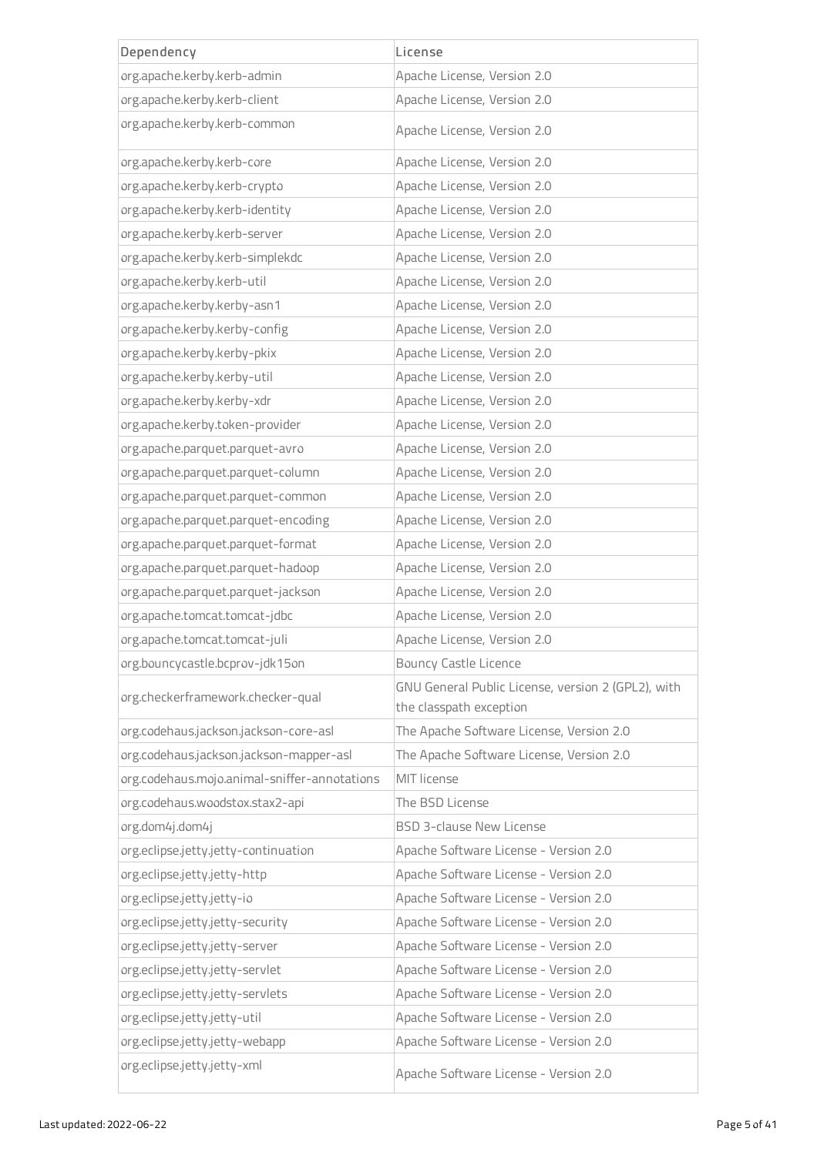| Dependency                                   | License                                                                       |  |
|----------------------------------------------|-------------------------------------------------------------------------------|--|
| org.apache.kerby.kerb-admin                  | Apache License, Version 2.0                                                   |  |
| org.apache.kerby.kerb-client                 | Apache License, Version 2.0                                                   |  |
| org.apache.kerby.kerb-common                 | Apache License, Version 2.0                                                   |  |
| org.apache.kerby.kerb-core                   | Apache License, Version 2.0                                                   |  |
| org.apache.kerby.kerb-crypto                 | Apache License, Version 2.0                                                   |  |
| org.apache.kerby.kerb-identity               | Apache License, Version 2.0                                                   |  |
| org.apache.kerby.kerb-server                 | Apache License, Version 2.0                                                   |  |
| org.apache.kerby.kerb-simplekdc              | Apache License, Version 2.0                                                   |  |
| org.apache.kerby.kerb-util                   | Apache License, Version 2.0                                                   |  |
| org.apache.kerby.kerby-asn1                  | Apache License, Version 2.0                                                   |  |
| org.apache.kerby.kerby-config                | Apache License, Version 2.0                                                   |  |
| org.apache.kerby.kerby-pkix                  | Apache License, Version 2.0                                                   |  |
| org.apache.kerby.kerby-util                  | Apache License, Version 2.0                                                   |  |
| org.apache.kerby.kerby-xdr                   | Apache License, Version 2.0                                                   |  |
| org.apache.kerby.token-provider              | Apache License, Version 2.0                                                   |  |
| org.apache.parquet.parquet-avro              | Apache License, Version 2.0                                                   |  |
| org.apache.parquet.parquet-column            | Apache License, Version 2.0                                                   |  |
| org.apache.parquet.parquet-common            | Apache License, Version 2.0                                                   |  |
| org.apache.parquet.parquet-encoding          | Apache License, Version 2.0                                                   |  |
| org.apache.parquet.parquet-format            | Apache License, Version 2.0                                                   |  |
| org.apache.parquet.parquet-hadoop            | Apache License, Version 2.0                                                   |  |
| org.apache.parquet.parquet-jackson           | Apache License, Version 2.0                                                   |  |
| org.apache.tomcat.tomcat-jdbc                | Apache License, Version 2.0                                                   |  |
| org.apache.tomcat.tomcat-juli                | Apache License, Version 2.0                                                   |  |
| org.bouncycastle.bcprov-jdk15on              | <b>Bouncy Castle Licence</b>                                                  |  |
| org.checkerframework.checker-qual            | GNU General Public License, version 2 (GPL2), with<br>the classpath exception |  |
| org.codehaus.jackson.jackson-core-asl        | The Apache Software License, Version 2.0                                      |  |
| org.codehaus.jackson.jackson-mapper-asl      | The Apache Software License, Version 2.0                                      |  |
| org.codehaus.mojo.animal-sniffer-annotations | <b>MIT license</b>                                                            |  |
| org.codehaus.woodstox.stax2-api              | The BSD License                                                               |  |
| org.dom4j.dom4j                              | <b>BSD 3-clause New License</b>                                               |  |
| org.eclipse.jetty.jetty-continuation         | Apache Software License - Version 2.0                                         |  |
| org.eclipse.jetty.jetty-http                 | Apache Software License - Version 2.0                                         |  |
| org.eclipse.jetty.jetty-io                   | Apache Software License - Version 2.0                                         |  |
| org.eclipse.jetty.jetty-security             | Apache Software License - Version 2.0                                         |  |
| org.eclipse.jetty.jetty-server               | Apache Software License - Version 2.0                                         |  |
| org.eclipse.jetty.jetty-servlet              | Apache Software License - Version 2.0                                         |  |
| org.eclipse.jetty.jetty-servlets             | Apache Software License - Version 2.0                                         |  |
| org.eclipse.jetty.jetty-util                 | Apache Software License - Version 2.0                                         |  |
| org.eclipse.jetty.jetty-webapp               | Apache Software License - Version 2.0                                         |  |
| org.eclipse.jetty.jetty-xml                  | Apache Software License - Version 2.0                                         |  |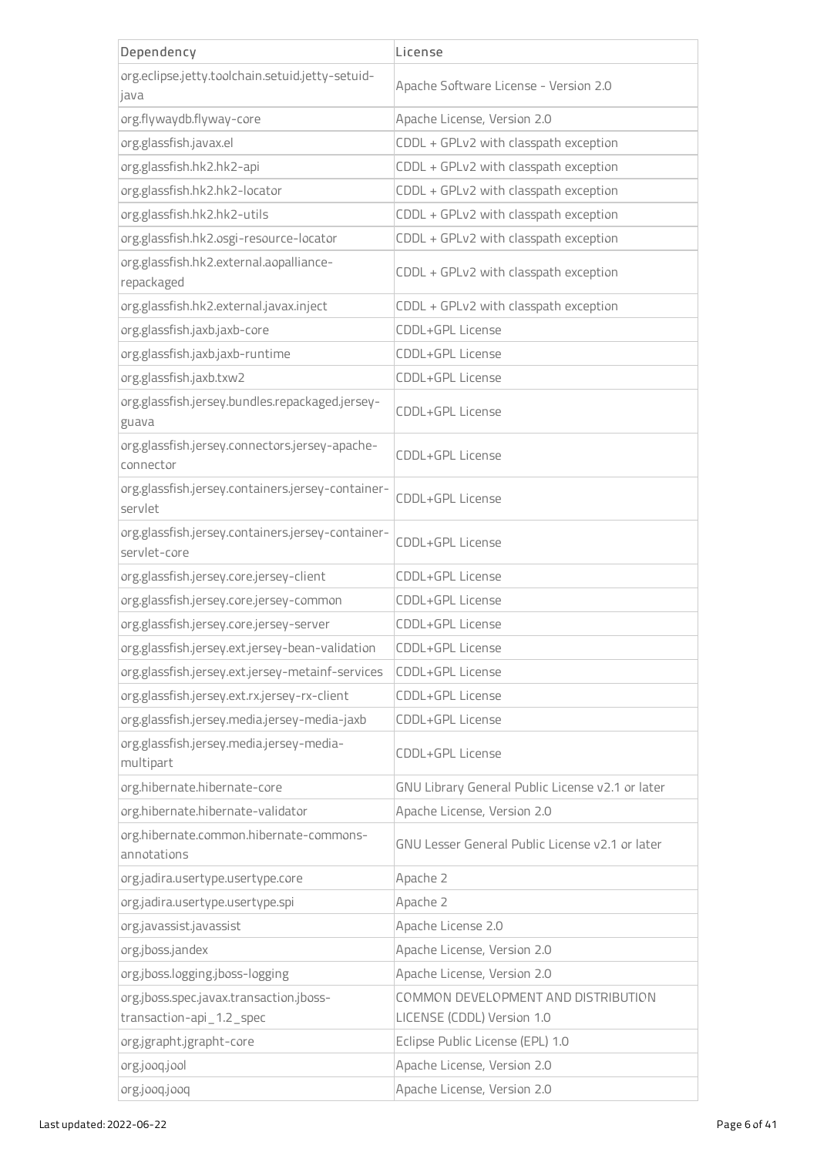| Dependency                                                        | License                                          |  |
|-------------------------------------------------------------------|--------------------------------------------------|--|
| org.eclipse.jetty.toolchain.setuid.jetty-setuid-<br>java          | Apache Software License - Version 2.0            |  |
| org.flywaydb.flyway-core                                          | Apache License, Version 2.0                      |  |
| org.glassfish.javax.el                                            | CDDL + GPLv2 with classpath exception            |  |
| org.glassfish.hk2.hk2-api                                         | CDDL + GPLv2 with classpath exception            |  |
| org.glassfish.hk2.hk2-locator                                     | CDDL + GPLv2 with classpath exception            |  |
| org.glassfish.hk2.hk2-utils                                       | CDDL + GPLv2 with classpath exception            |  |
| org.glassfish.hk2.osgi-resource-locator                           | CDDL + GPLv2 with classpath exception            |  |
| org.glassfish.hk2.external.aopalliance-<br>repackaged             | CDDL + GPLv2 with classpath exception            |  |
| org.glassfish.hk2.external.javax.inject                           | CDDL + GPLv2 with classpath exception            |  |
| org.glassfish.jaxb.jaxb-core                                      | CDDL+GPL License                                 |  |
| org.glassfish.jaxb.jaxb-runtime                                   | CDDL+GPL License                                 |  |
| org.glassfish.jaxb.txw2                                           | CDDL+GPL License                                 |  |
| org.glassfish.jersey.bundles.repackaged.jersey-<br>guava          | CDDL+GPL License                                 |  |
| org.glassfish.jersey.connectors.jersey-apache-<br>connector       | CDDL+GPL License                                 |  |
| org.glassfish.jersey.containers.jersey-container-<br>servlet      | CDDL+GPL License                                 |  |
| org.glassfish.jersey.containers.jersey-container-<br>servlet-core | CDDL+GPL License                                 |  |
| org.glassfish.jersey.core.jersey-client                           | CDDL+GPL License                                 |  |
| org.glassfish.jersey.core.jersey-common                           | CDDL+GPL License                                 |  |
| org.glassfish.jersey.core.jersey-server                           | CDDL+GPL License                                 |  |
| org.glassfish.jersey.ext.jersey-bean-validation                   | CDDL+GPL License                                 |  |
| org.glassfish.jersey.ext.jersey-metainf-services                  | CDDL+GPL License                                 |  |
| org.glassfish.jersey.ext.rx.jersey-rx-client                      | CDDL+GPL License                                 |  |
| org.glassfish.jersey.media.jersey-media-jaxb                      | CDDL+GPL License                                 |  |
| org.glassfish.jersey.media.jersey-media-<br>multipart             | CDDL+GPL License                                 |  |
| org.hibernate.hibernate-core                                      | GNU Library General Public License v2.1 or later |  |
| org.hibernate.hibernate-validator                                 | Apache License, Version 2.0                      |  |
| org.hibernate.common.hibernate-commons-<br>annotations            | GNU Lesser General Public License v2.1 or later  |  |
| org.jadira.usertype.usertype.core                                 | Apache 2                                         |  |
| org.jadira.usertype.usertype.spi                                  | Apache 2                                         |  |
| org.javassist.javassist                                           | Apache License 2.0                               |  |
| org.jboss.jandex                                                  | Apache License, Version 2.0                      |  |
| org.jboss.logging.jboss-logging                                   | Apache License, Version 2.0                      |  |
| org.jboss.spec.javax.transaction.jboss-                           | COMMON DEVELOPMENT AND DISTRIBUTION              |  |
| transaction-api_1.2_spec                                          | LICENSE (CDDL) Version 1.0                       |  |
| org.jgrapht.jgrapht-core                                          | Eclipse Public License (EPL) 1.0                 |  |
| org.jooq.jool                                                     | Apache License, Version 2.0                      |  |
| org.jooq.jooq                                                     | Apache License, Version 2.0                      |  |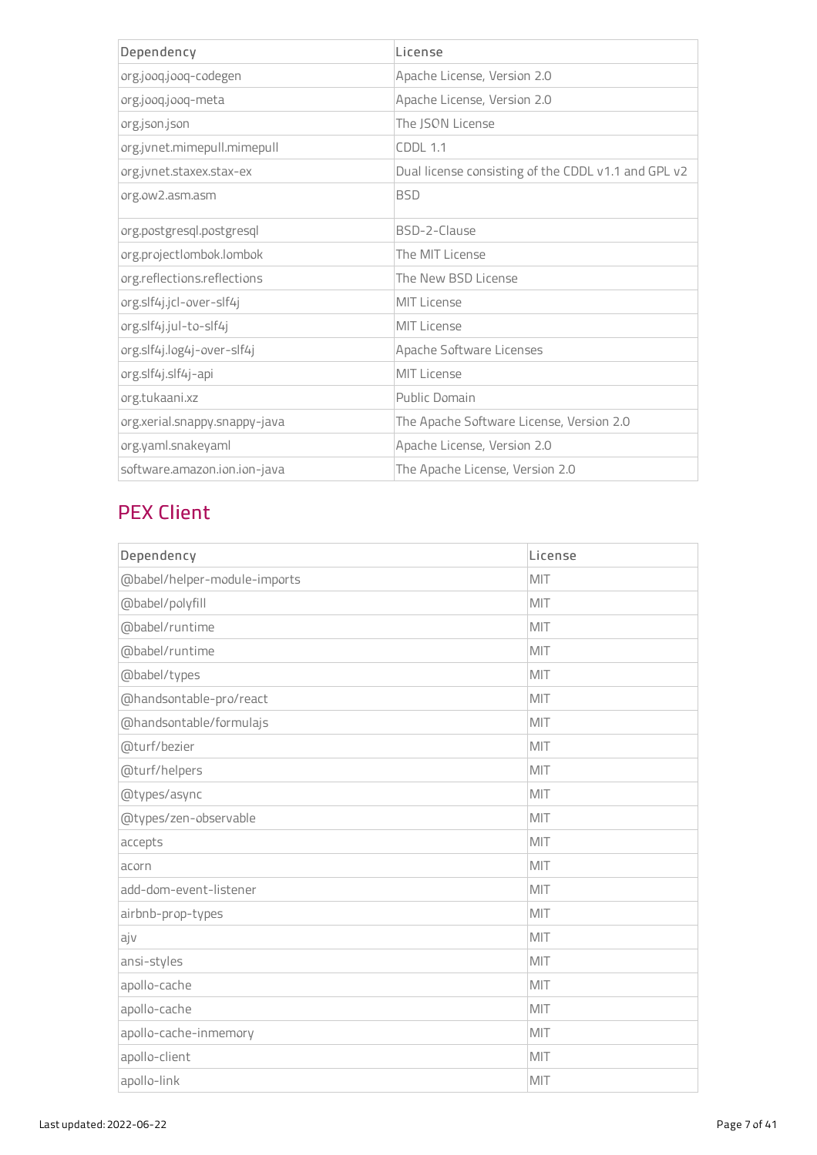| Dependency                    | license                                             |
|-------------------------------|-----------------------------------------------------|
| org.jooq.jooq-codegen         | Apache License, Version 2.0                         |
| org.jooq.jooq-meta            | Apache License, Version 2.0                         |
| org.json.json                 | The ISON License                                    |
| org.jvnet.mimepull.mimepull   | <b>CDDI 1.1</b>                                     |
| org.jvnet.staxex.stax-ex      | Dual license consisting of the CDDL v1.1 and GPL v2 |
| org.ow2.asm.asm               | <b>BSD</b>                                          |
| org.postgresql.postgresql     | BSD-2-Clause                                        |
| org.projectlombok.lombok      | The MIT License                                     |
| org.reflections.reflections   | The New BSD License                                 |
| org.slf4j.jcl-over-slf4j      | <b>MIT License</b>                                  |
| org.slf4j.jul-to-slf4j        | MIT License                                         |
| org.slf4j.log4j-over-slf4j    | Apache Software Licenses                            |
| org.slf4j.slf4j-api           | <b>MIT License</b>                                  |
| org.tukaani.xz                | Public Domain                                       |
| org.xerial.snappy.snappy-java | The Apache Software License, Version 2.0            |
| org.yaml.snakeyaml            | Apache License, Version 2.0                         |
| software.amazon.ion.ion-java  | The Apache License, Version 2.0                     |

## PEX Client

| Dependency                   | License |
|------------------------------|---------|
| @babel/helper-module-imports | MIT     |
| @babel/polyfill              | MIT     |
| @babel/runtime               | MIT     |
| @babel/runtime               | MIT     |
| @babel/types                 | MIT     |
| @handsontable-pro/react      | MIT     |
| @handsontable/formulajs      | MIT     |
| @turf/bezier                 | MIT     |
| @turf/helpers                | MIT     |
| @types/async                 | MIT     |
| @types/zen-observable        | MIT     |
| accepts                      | MIT     |
| acorn                        | MIT     |
| add-dom-event-listener       | MIT     |
| airbnb-prop-types            | MIT     |
| ajv                          | MIT     |
| ansi-styles                  | MIT     |
| apollo-cache                 | MIT     |
| apollo-cache                 | MIT     |
| apollo-cache-inmemory        | MIT     |
| apollo-client                | MIT     |
| apollo-link                  | MIT     |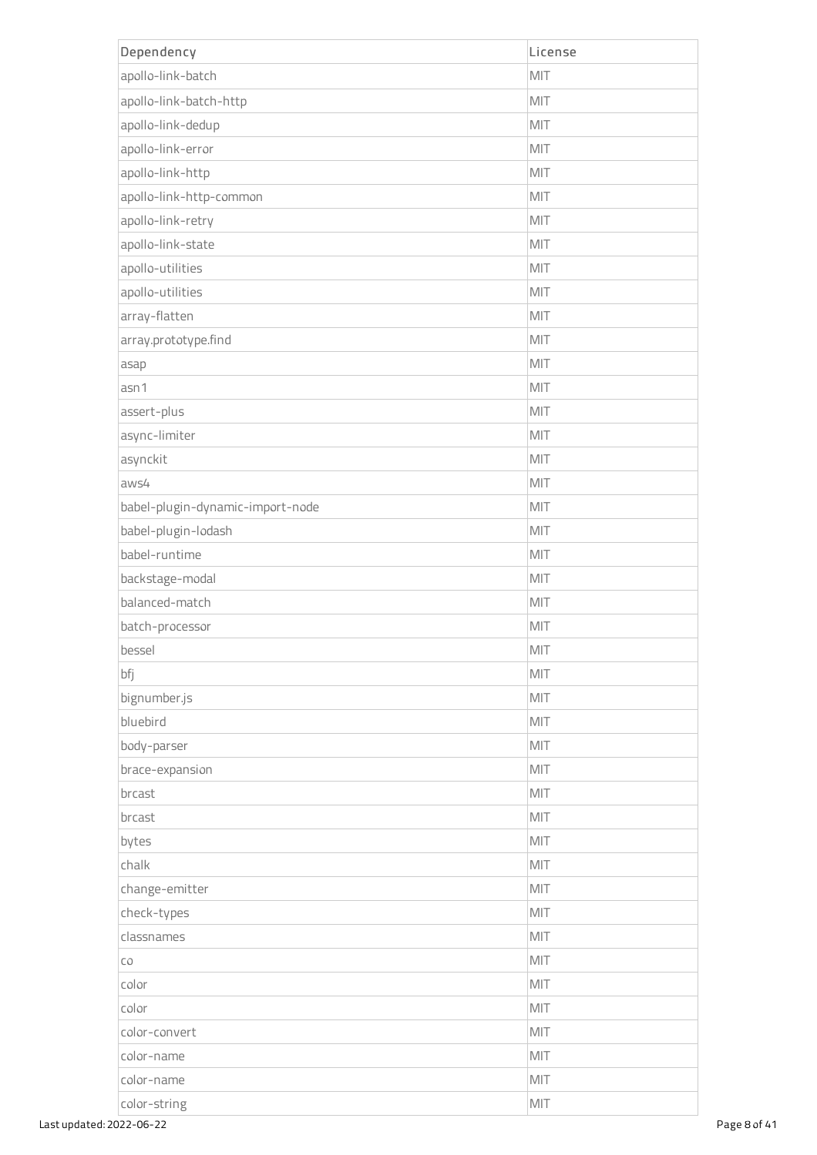| Dependency                       | License |
|----------------------------------|---------|
| apollo-link-batch                | MIT     |
| apollo-link-batch-http           | MIT     |
| apollo-link-dedup                | MIT     |
| apollo-link-error                | MIT     |
| apollo-link-http                 | MIT     |
| apollo-link-http-common          | MIT     |
| apollo-link-retry                | MIT     |
| apollo-link-state                | MIT     |
| apollo-utilities                 | MIT     |
| apollo-utilities                 | MIT     |
| array-flatten                    | MIT     |
| array.prototype.find             | MIT     |
| asap                             | MIT     |
| asn1                             | MIT     |
| assert-plus                      | MIT     |
| async-limiter                    | MIT     |
| asynckit                         | MIT     |
| aws4                             | MIT     |
| babel-plugin-dynamic-import-node | MIT     |
| babel-plugin-lodash              | MIT     |
| babel-runtime                    | MIT     |
| backstage-modal                  | MIT     |
| balanced-match                   | MIT     |
| batch-processor                  | MIT     |
| bessel                           | MIT     |
| bfj                              | MIT     |
| bignumber.js                     | MIT     |
| bluebird                         | MIT     |
| body-parser                      | MIT     |
| brace-expansion                  | MIT     |
| brcast                           | MIT     |
| brcast                           | MIT     |
| bytes                            | MIT     |
| chalk                            | MIT     |
| change-emitter                   | MIT     |
| check-types                      | MIT     |
| classnames                       | MIT     |
| CO                               | MIT     |
| color                            | MIT     |
| color                            | MIT     |
| color-convert                    | MIT     |
| color-name                       | MIT     |
| color-name                       | MIT     |
| color-string                     | MIT     |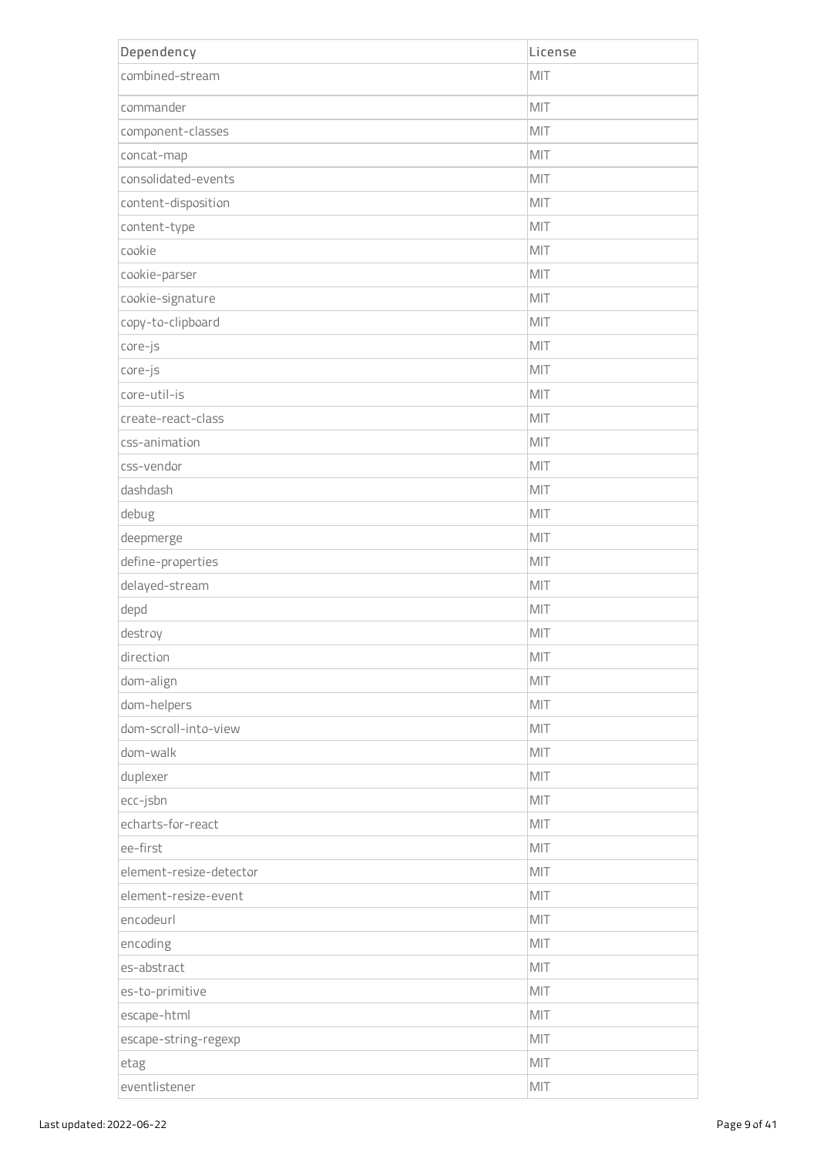| Dependency              | License |
|-------------------------|---------|
| combined-stream         | MIT     |
| commander               | MIT     |
| component-classes       | MIT     |
| concat-map              | MIT     |
| consolidated-events     | MIT     |
| content-disposition     | MIT     |
| content-type            | MIT     |
| cookie                  | MIT     |
| cookie-parser           | MIT     |
| cookie-signature        | MIT     |
| copy-to-clipboard       | MIT     |
| core-js                 | MIT     |
| core-js                 | MIT     |
| core-util-is            | MIT     |
| create-react-class      | MIT     |
| css-animation           | MIT     |
| css-vendor              | MIT     |
| dashdash                | MIT     |
| debug                   | MIT     |
| deepmerge               | MIT     |
| define-properties       | MIT     |
| delayed-stream          | MIT     |
| depd                    | MIT     |
| destroy                 | MIT     |
| direction               | MIT     |
| dom-align               | MIT     |
| dom-helpers             | MIT     |
| dom-scroll-into-view    | MIT     |
| dom-walk                | MIT     |
| duplexer                | MIT     |
| ecc-jsbn                | MIT     |
| echarts-for-react       | MIT     |
| ee-first                | MIT     |
| element-resize-detector | MIT     |
| element-resize-event    | MIT     |
| encodeurl               | MIT     |
| encoding                | MIT     |
| es-abstract             | MIT     |
| es-to-primitive         | MIT     |
| escape-html             | MIT     |
| escape-string-regexp    | MIT     |
| etag                    | MIT     |
| eventlistener           | MIT     |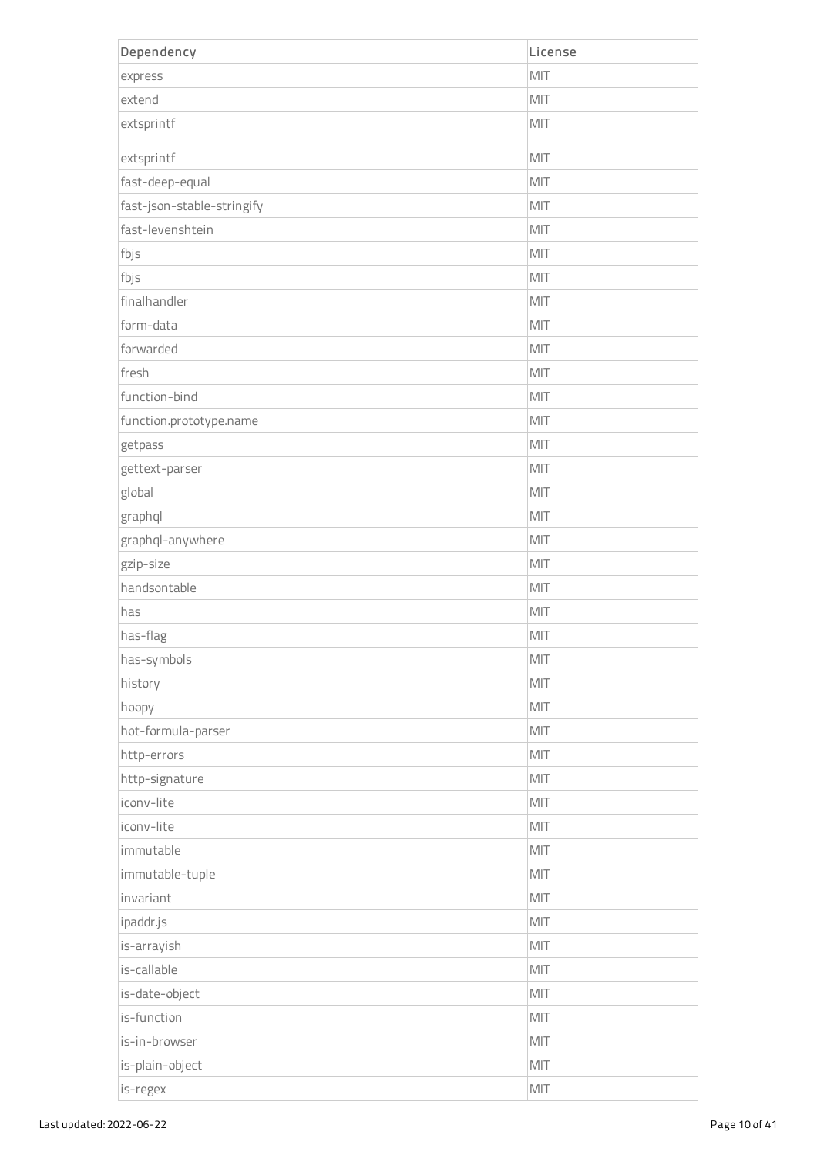| Dependency                 | License |
|----------------------------|---------|
| express                    | MIT     |
| extend                     | MIT     |
| extsprintf                 | MIT     |
| extsprintf                 | MIT     |
| fast-deep-equal            | MIT     |
| fast-json-stable-stringify | MIT     |
| fast-levenshtein           | MIT     |
| fbjs                       | MIT     |
| fbjs                       | MIT     |
| finalhandler               | MIT     |
| form-data                  | MIT     |
| forwarded                  | MIT     |
| fresh                      | MIT     |
| function-bind              | MIT     |
| function.prototype.name    | MIT     |
| getpass                    | MIT     |
| gettext-parser             | MIT     |
| global                     | MIT     |
| graphql                    | MIT     |
| graphql-anywhere           | MIT     |
| gzip-size                  | MIT     |
| handsontable               | MIT     |
| has                        | MIT     |
| has-flag                   | MIT     |
| has-symbols                | MIT     |
| history                    | MIT     |
| hoopy                      | MIT     |
| hot-formula-parser         | MIT     |
| http-errors                | MIT     |
| http-signature             | MIT     |
| iconv-lite                 | MIT     |
| iconv-lite                 | MIT     |
| immutable                  | MIT     |
| immutable-tuple            | MIT     |
| invariant                  | MIT     |
| ipaddr.js                  | MIT     |
| is-arrayish                | MIT     |
| is-callable                | MIT     |
| is-date-object             | MIT     |
| is-function                | MIT     |
| is-in-browser              | MIT     |
| is-plain-object            | MIT     |
| is-regex                   | MIT     |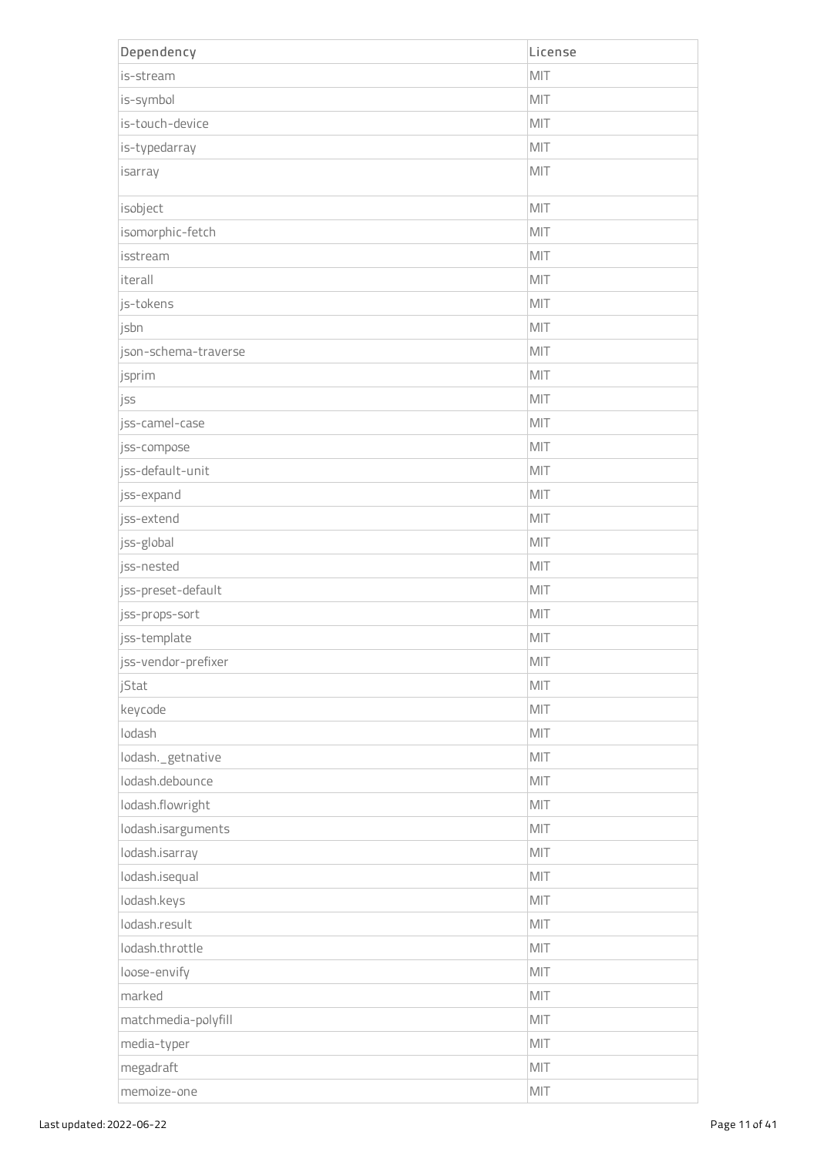| Dependency           | License |
|----------------------|---------|
| is-stream            | MIT     |
| is-symbol            | MIT     |
| is-touch-device      | MIT     |
| is-typedarray        | MIT     |
| isarray              | MIT     |
| isobject             | MIT     |
| isomorphic-fetch     | MIT     |
| isstream             | MIT     |
| iterall              | MIT     |
| js-tokens            | MIT     |
| jsbn                 | MIT     |
| json-schema-traverse | MIT     |
| jsprim               | MIT     |
| jss                  | MIT     |
| jss-camel-case       | MIT     |
| jss-compose          | MIT     |
| jss-default-unit     | MIT     |
| jss-expand           | MIT     |
| jss-extend           | MIT     |
| jss-global           | MIT     |
| jss-nested           | MIT     |
| jss-preset-default   | MIT     |
| jss-props-sort       | MIT     |
| jss-template         | MIT     |
| jss-vendor-prefixer  | MIT     |
| jStat                | MIT     |
| keycode              | MIT     |
| lodash               | MIT     |
| lodash._getnative    | MIT     |
| lodash.debounce      | MIT     |
| lodash.flowright     | MIT     |
| lodash.isarguments   | MIT     |
| lodash.isarray       | MIT     |
| lodash.isequal       | MIT     |
| lodash.keys          | MIT     |
| lodash.result        | MIT     |
| lodash.throttle      | MIT     |
| loose-envify         | MIT     |
| marked               | MIT     |
| matchmedia-polyfill  | MIT     |
| media-typer          | MIT     |
| megadraft            | MIT     |
| memoize-one          | MIT     |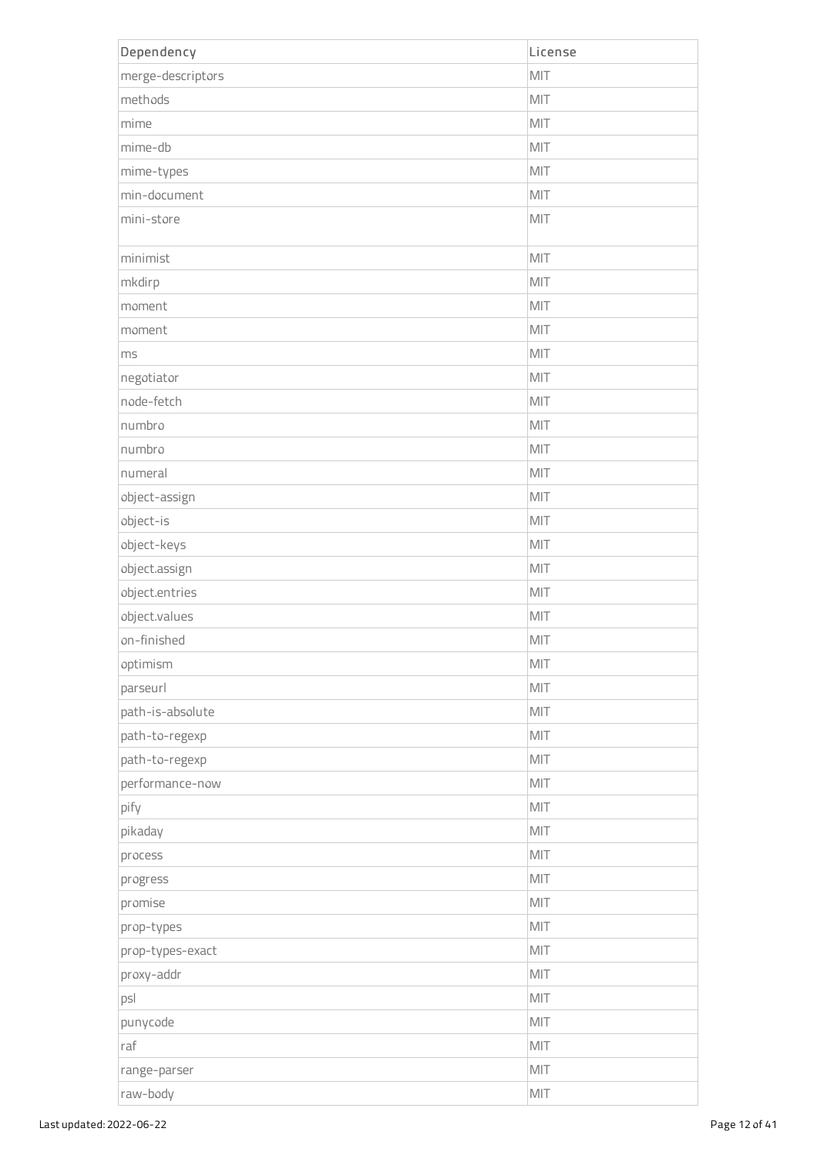| Dependency        | License |
|-------------------|---------|
| merge-descriptors | MIT     |
| methods           | MIT     |
| mime              | MIT     |
| mime-db           | MIT     |
| mime-types        | MIT     |
| min-document      | MIT     |
| mini-store        | MIT     |
| minimist          | MIT     |
| mkdirp            | MIT     |
| moment            | MIT     |
| moment            | MIT     |
| ms                | MIT     |
| negotiator        | MIT     |
| node-fetch        | MIT     |
| numbro            | MIT     |
| numbro            | MIT     |
| numeral           | MIT     |
| object-assign     | MIT     |
| object-is         | MIT     |
| object-keys       | MIT     |
| object.assign     | MIT     |
| object.entries    | MIT     |
| object.values     | MIT     |
| on-finished       | MIT     |
| optimism          | MIT     |
| parseurl          | MIT     |
| path-is-absolute  | MIT     |
| path-to-regexp    | MIT     |
| path-to-regexp    | MIT     |
| performance-now   | MIT     |
| pify              | MIT     |
| pikaday           | MIT     |
| process           | MIT     |
| progress          | MIT     |
| promise           | MIT     |
| prop-types        | MIT     |
| prop-types-exact  | MIT     |
| proxy-addr        | MIT     |
| psl               | MIT     |
| punycode          | MIT     |
| raf               | MIT     |
| range-parser      | MIT     |
| raw-body          | MIT     |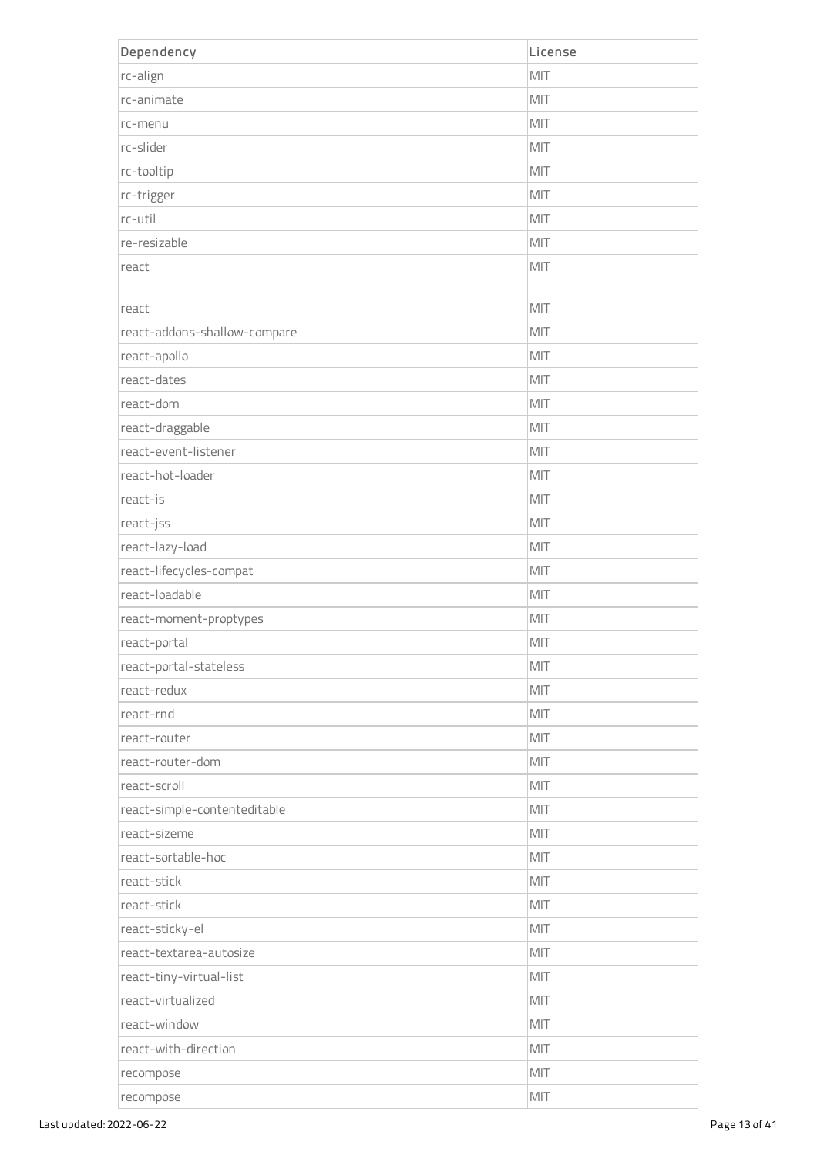| Dependency                   | License |
|------------------------------|---------|
| rc-align                     | MIT     |
| rc-animate                   | MIT     |
| rc-menu                      | MIT     |
| rc-slider                    | MIT     |
| rc-tooltip                   | MIT     |
| rc-trigger                   | MIT     |
| rc-util                      | MIT     |
| re-resizable                 | MIT     |
| react                        | MIT     |
| react                        | MIT     |
| react-addons-shallow-compare | MIT     |
| react-apollo                 | MIT     |
| react-dates                  | MIT     |
| react-dom                    | MIT     |
| react-draggable              | MIT     |
| react-event-listener         | MIT     |
| react-hot-loader             | MIT     |
| react-is                     | MIT     |
| react-jss                    | MIT     |
| react-lazy-load              | MIT     |
| react-lifecycles-compat      | MIT     |
| react-loadable               | MIT     |
| react-moment-proptypes       | MIT     |
| react-portal                 | MIT     |
| react-portal-stateless       | MIT     |
| react-redux                  | MIT     |
| react-rnd                    | MIT     |
| react-router                 | MIT     |
| react-router-dom             | MIT     |
| react-scroll                 | MIT     |
| react-simple-contenteditable | MIT     |
| react-sizeme                 | MIT     |
| react-sortable-hoc           | MIT     |
| react-stick                  | MIT     |
| react-stick                  | MIT     |
| react-sticky-el              | MIT     |
| react-textarea-autosize      | MIT     |
| react-tiny-virtual-list      | MIT     |
| react-virtualized            | MIT     |
| react-window                 | MIT     |
| react-with-direction         | MIT     |
| recompose                    | MIT     |
| recompose                    | MIT     |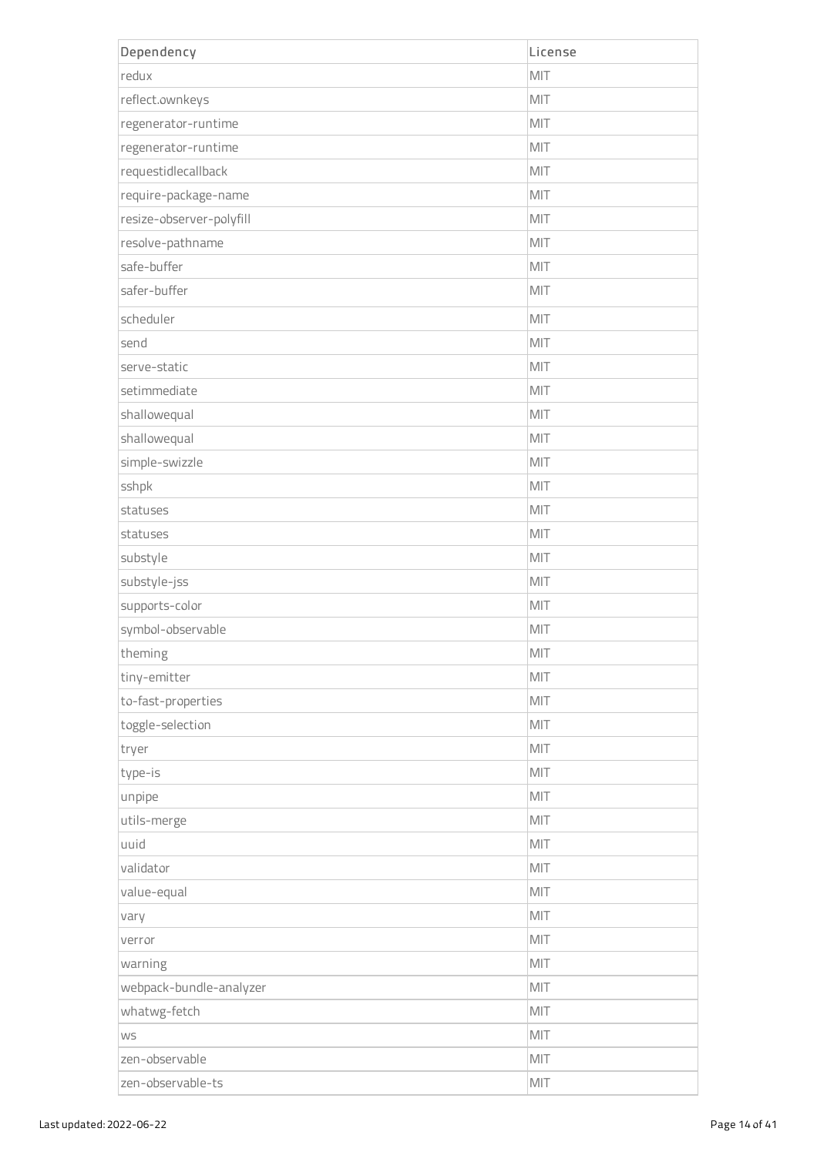| Dependency               | License        |
|--------------------------|----------------|
| redux                    | MIT            |
| reflect.ownkeys          | MIT            |
| regenerator-runtime      | MIT            |
| regenerator-runtime      | MIT            |
| requestidlecallback      | MIT            |
| require-package-name     | MIT            |
| resize-observer-polyfill | MIT            |
| resolve-pathname         | MIT            |
| safe-buffer              | MIT            |
| safer-buffer             | MIT            |
| scheduler                | MIT            |
| send                     | MIT            |
| serve-static             | MIT            |
| setimmediate             | MIT            |
| shallowequal             | MIT            |
| shallowequal             | MIT            |
| simple-swizzle           | MIT            |
| sshpk                    | MIT            |
| statuses                 | MIT            |
| statuses                 | MIT            |
| substyle                 | MIT            |
| substyle-jss             | MIT            |
| supports-color           | MIT            |
| symbol-observable        | MIT            |
| theming                  | $\mathsf{MIT}$ |
| tiny-emitter             | MIT            |
| to-fast-properties       | MIT            |
| toggle-selection         | MIT            |
| tryer                    | MIT            |
| type-is                  | MIT            |
| unpipe                   | MIT            |
| utils-merge              | MIT            |
| uuid                     | MIT            |
| validator                | MIT            |
| value-equal              | MIT            |
| vary                     | MIT            |
| verror                   | MIT            |
| warning                  | MIT            |
| webpack-bundle-analyzer  | MIT            |
| whatwg-fetch             | MIT            |
| <b>WS</b>                | MIT            |
| zen-observable           | MIT            |
| zen-observable-ts        | MIT            |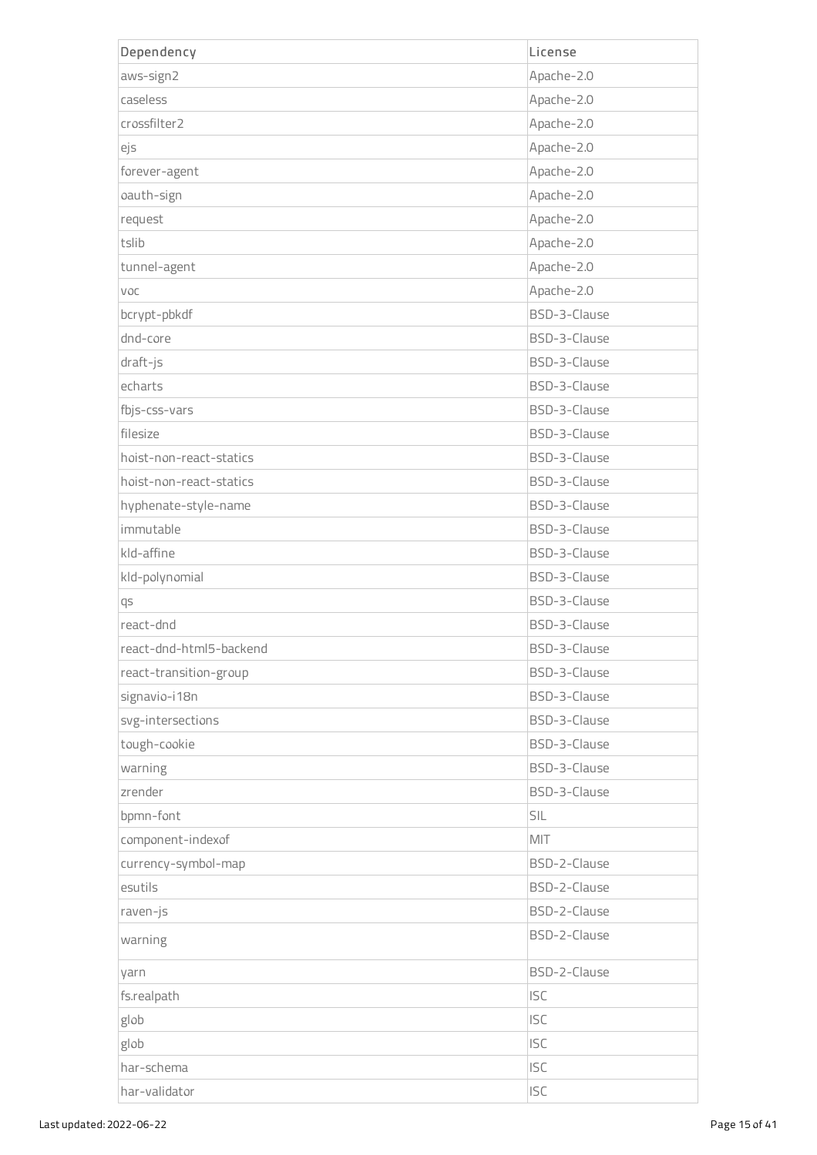| Dependency              | License      |
|-------------------------|--------------|
| aws-sign2               | Apache-2.0   |
| caseless                | Apache-2.0   |
| crossfilter2            | Apache-2.0   |
| ejs                     | Apache-2.0   |
| forever-agent           | Apache-2.0   |
| oauth-sign              | Apache-2.0   |
| request                 | Apache-2.0   |
| tslib                   | Apache-2.0   |
| tunnel-agent            | Apache-2.0   |
| VOC                     | Apache-2.0   |
| bcrypt-pbkdf            | BSD-3-Clause |
| dnd-core                | BSD-3-Clause |
| draft-js                | BSD-3-Clause |
| echarts                 | BSD-3-Clause |
| fbjs-css-vars           | BSD-3-Clause |
| filesize                | BSD-3-Clause |
| hoist-non-react-statics | BSD-3-Clause |
| hoist-non-react-statics | BSD-3-Clause |
| hyphenate-style-name    | BSD-3-Clause |
| immutable               | BSD-3-Clause |
| kld-affine              | BSD-3-Clause |
| kld-polynomial          | BSD-3-Clause |
| qs                      | BSD-3-Clause |
| react-dnd               | BSD-3-Clause |
| react-dnd-html5-backend | BSD-3-Clause |
| react-transition-group  | BSD-3-Clause |
| signavio-i18n           | BSD-3-Clause |
| svg-intersections       | BSD-3-Clause |
| tough-cookie            | BSD-3-Clause |
| warning                 | BSD-3-Clause |
| zrender                 | BSD-3-Clause |
| bpmn-font               | SIL          |
| component-indexof       | MIT          |
| currency-symbol-map     | BSD-2-Clause |
| esutils                 | BSD-2-Clause |
| raven-js                | BSD-2-Clause |
| warning                 | BSD-2-Clause |
| yarn                    | BSD-2-Clause |
| fs.realpath             | <b>ISC</b>   |
| glob                    | <b>ISC</b>   |
| glob                    | <b>ISC</b>   |
| har-schema              | <b>ISC</b>   |
| har-validator           | <b>ISC</b>   |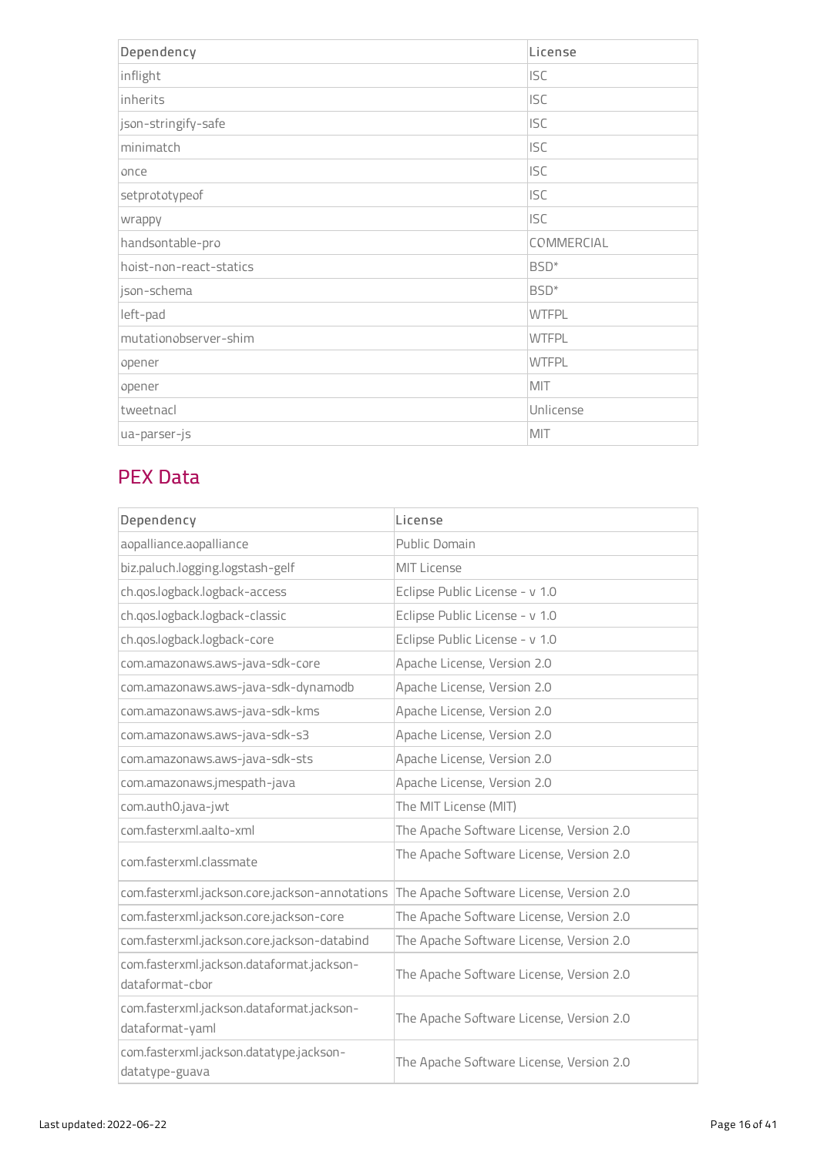| Dependency              | License          |
|-------------------------|------------------|
| inflight                | <b>ISC</b>       |
| inherits                | <b>ISC</b>       |
| json-stringify-safe     | <b>ISC</b>       |
| minimatch               | <b>ISC</b>       |
| once                    | <b>ISC</b>       |
| setprototypeof          | <b>ISC</b>       |
| wrappy                  | <b>ISC</b>       |
| handsontable-pro        | COMMERCIAL       |
| hoist-non-react-statics | BSD <sup>*</sup> |
| json-schema             | BSD <sup>*</sup> |
| left-pad                | <b>WTFPL</b>     |
| mutationobserver-shim   | <b>WTFPL</b>     |
| opener                  | <b>WTFPL</b>     |
| opener                  | MIT              |
| tweetnacl               | Unlicense        |
| ua-parser-js            | MIT              |

### PEX Data

| Dependency                                                   | License                                  |
|--------------------------------------------------------------|------------------------------------------|
| aopalliance.aopalliance                                      | Public Domain                            |
| biz.paluch.logging.logstash-gelf                             | <b>MIT License</b>                       |
| ch.gos.logback.logback-access                                | Eclipse Public License - v 1.0           |
| ch.qos.logback.logback-classic                               | Eclipse Public License - v 1.0           |
| ch.qos.logback.logback-core                                  | Eclipse Public License - v 1.0           |
| com.amazonaws.aws-java-sdk-core                              | Apache License, Version 2.0              |
| com.amazonaws.aws-java-sdk-dynamodb                          | Apache License, Version 2.0              |
| com.amazonaws.aws-java-sdk-kms                               | Apache License, Version 2.0              |
| com.amazonaws.aws-java-sdk-s3                                | Apache License, Version 2.0              |
| com.amazonaws.aws-java-sdk-sts                               | Apache License, Version 2.0              |
| com.amazonaws.jmespath-java                                  | Apache License, Version 2.0              |
| com.auth0.java-jwt                                           | The MIT License (MIT)                    |
| com.fasterxml.aalto-xml                                      | The Apache Software License, Version 2.0 |
| com.fasterxml.classmate                                      | The Apache Software License, Version 2.0 |
| com.fasterxml.jackson.core.jackson-annotations               | The Apache Software License, Version 2.0 |
| com.fasterxml.jackson.core.jackson-core                      | The Apache Software License, Version 2.0 |
| com.fasterxml.jackson.core.jackson-databind                  | The Apache Software License, Version 2.0 |
| com.fasterxml.jackson.dataformat.jackson-<br>dataformat-cbor | The Apache Software License, Version 2.0 |
| com.fasterxml.jackson.dataformat.jackson-<br>dataformat-yaml | The Apache Software License, Version 2.0 |
| com.fasterxml.jackson.datatype.jackson-<br>datatype-guava    | The Apache Software License, Version 2.0 |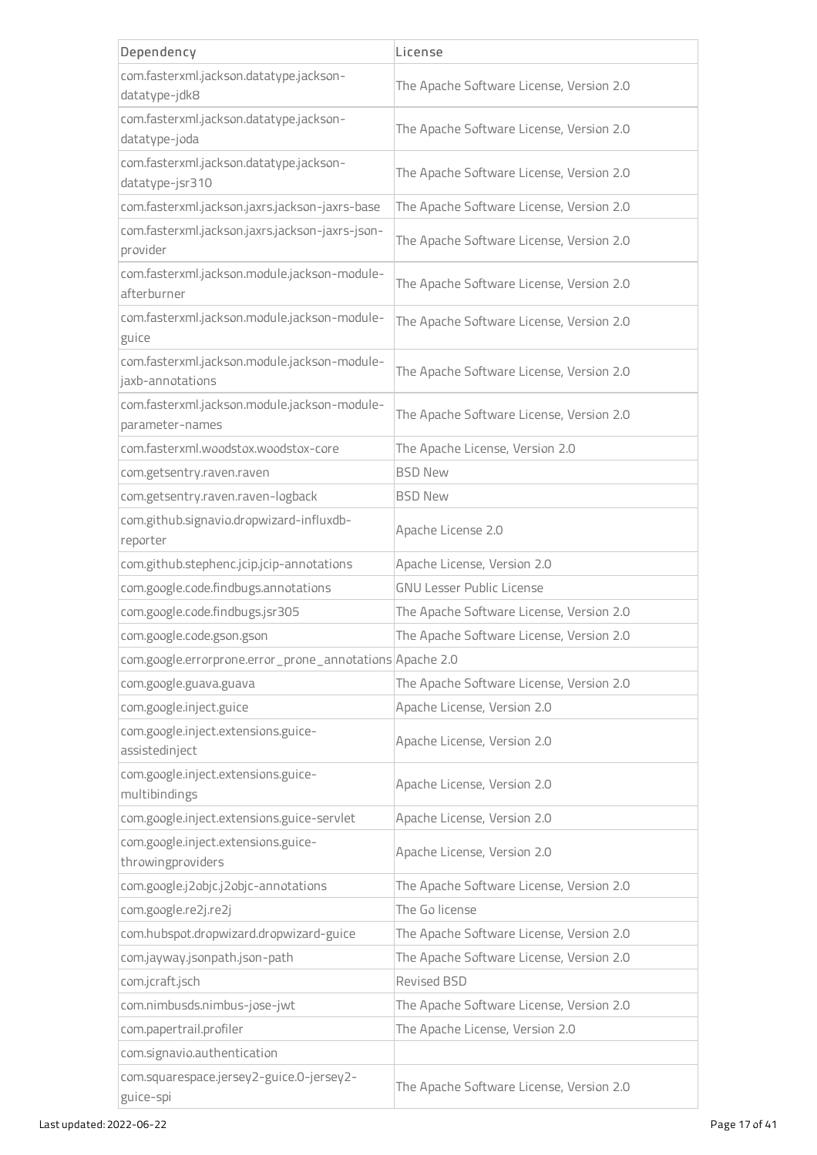| Dependency                                                       | License                                  |
|------------------------------------------------------------------|------------------------------------------|
| com.fasterxml.jackson.datatype.jackson-                          | The Apache Software License, Version 2.0 |
| datatype-jdk8                                                    |                                          |
| com.fasterxml.jackson.datatype.jackson-<br>datatype-joda         | The Apache Software License, Version 2.0 |
| com.fasterxml.jackson.datatype.jackson-                          |                                          |
| datatype-jsr310                                                  | The Apache Software License, Version 2.0 |
| com.fasterxml.jackson.jaxrs.jackson-jaxrs-base                   | The Apache Software License, Version 2.0 |
| com.fasterxml.jackson.jaxrs.jackson-jaxrs-json-<br>provider      | The Apache Software License, Version 2.0 |
| com.fasterxml.jackson.module.jackson-module-<br>afterburner      | The Apache Software License, Version 2.0 |
| com.fasterxml.jackson.module.jackson-module-<br>guice            | The Apache Software License, Version 2.0 |
| com.fasterxml.jackson.module.jackson-module-<br>jaxb-annotations | The Apache Software License, Version 2.0 |
| com.fasterxml.jackson.module.jackson-module-<br>parameter-names  | The Apache Software License, Version 2.0 |
| com.fasterxml.woodstox.woodstox-core                             | The Apache License, Version 2.0          |
| com.getsentry.raven.raven                                        | <b>BSD New</b>                           |
| com.getsentry.raven.raven-logback                                | <b>BSD New</b>                           |
| com.github.signavio.dropwizard-influxdb-<br>reporter             | Apache License 2.0                       |
| com.github.stephenc.jcip.jcip-annotations                        | Apache License, Version 2.0              |
| com.google.code.findbugs.annotations                             | <b>GNU Lesser Public License</b>         |
| com.google.code.findbugs.jsr305                                  | The Apache Software License, Version 2.0 |
| com.google.code.gson.gson                                        | The Apache Software License, Version 2.0 |
| com.google.errorprone.error_prone_annotations Apache 2.0         |                                          |
| com.google.guava.guava                                           | The Apache Software License, Version 2.0 |
| com.google.inject.guice                                          | Apache License, Version 2.0              |
| com.google.inject.extensions.guice-<br>assistedinject            | Apache License, Version 2.0              |
| com.google.inject.extensions.guice-<br>multibindings             | Apache License, Version 2.0              |
| com.google.inject.extensions.guice-servlet                       | Apache License, Version 2.0              |
| com.google.inject.extensions.guice-<br>throwingproviders         | Apache License, Version 2.0              |
| com.google.j2objc.j2objc-annotations                             | The Apache Software License, Version 2.0 |
| com.google.re2j.re2j                                             | The Go license                           |
| com.hubspot.dropwizard.dropwizard-guice                          | The Apache Software License, Version 2.0 |
| com.jayway.jsonpath.json-path                                    | The Apache Software License, Version 2.0 |
| com.jcraft.jsch                                                  | Revised BSD                              |
| com.nimbusds.nimbus-jose-jwt                                     | The Apache Software License, Version 2.0 |
| com.papertrail.profiler                                          | The Apache License, Version 2.0          |
| com.signavio.authentication                                      |                                          |
| com.squarespace.jersey2-guice.0-jersey2-<br>guice-spi            | The Apache Software License, Version 2.0 |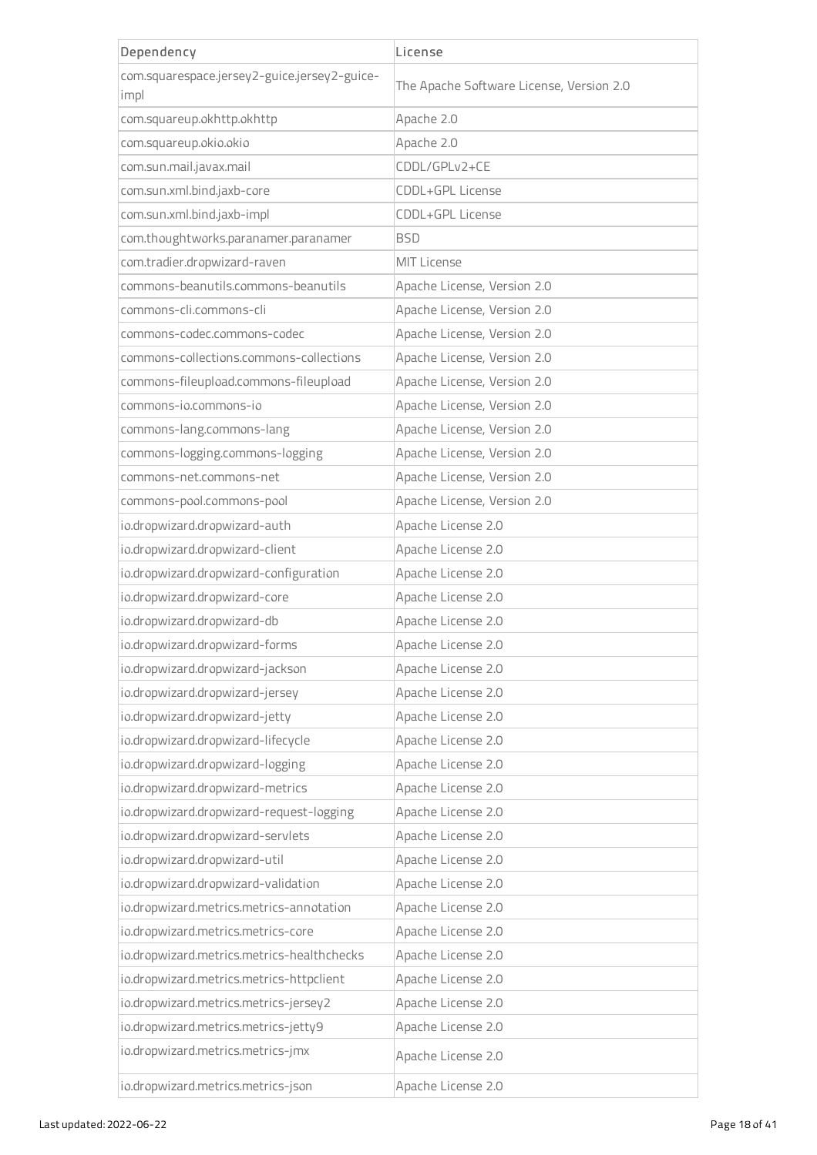| Dependency                                                                | License                                  |
|---------------------------------------------------------------------------|------------------------------------------|
| com.squarespace.jersey2-guice.jersey2-guice-                              | The Apache Software License, Version 2.0 |
| impl                                                                      |                                          |
| com.squareup.okhttp.okhttp                                                | Apache 2.0                               |
| com.squareup.okio.okio                                                    | Apache 2.0                               |
| com.sun.mail.javax.mail                                                   | CDDL/GPLv2+CE                            |
| com.sun.xml.bind.jaxb-core                                                | CDDL+GPL License                         |
| com.sun.xml.bind.jaxb-impl                                                | CDDL+GPL License                         |
| com.thoughtworks.paranamer.paranamer                                      | <b>BSD</b>                               |
| com.tradier.dropwizard-raven                                              | <b>MIT License</b>                       |
| commons-beanutils.commons-beanutils                                       | Apache License, Version 2.0              |
| commons-cli.commons-cli                                                   | Apache License, Version 2.0              |
| commons-codec.commons-codec                                               | Apache License, Version 2.0              |
| commons-collections.commons-collections                                   | Apache License, Version 2.0              |
| commons-fileupload.commons-fileupload                                     | Apache License, Version 2.0              |
| commons-jo.commons-jo                                                     | Apache License, Version 2.0              |
| commons-lang.commons-lang                                                 | Apache License, Version 2.0              |
| commons-logging.commons-logging                                           | Apache License, Version 2.0              |
| commons-net.commons-net                                                   | Apache License, Version 2.0              |
| commons-pool.commons-pool                                                 | Apache License, Version 2.0              |
| io.dropwizard.dropwizard-auth                                             | Apache License 2.0                       |
| io.dropwizard.dropwizard-client                                           | Apache License 2.0                       |
| io.dropwizard.dropwizard-configuration                                    | Apache License 2.0                       |
| io.dropwizard.dropwizard-core                                             | Apache License 2.0                       |
| io.dropwizard.dropwizard-db                                               | Apache License 2.0                       |
| io.dropwizard.dropwizard-forms                                            | Apache License 2.0                       |
| io.dropwizard.dropwizard-jackson                                          | Apache License 2.0                       |
| io.dropwizard.dropwizard-jersey                                           | Apache License 2.0                       |
| io.dropwizard.dropwizard-jetty                                            | Apache License 2.0                       |
| io.dropwizard.dropwizard-lifecycle                                        | Apache License 2.0                       |
| io.dropwizard.dropwizard-logging                                          | Apache License 2.0                       |
| io.dropwizard.dropwizard-metrics                                          | Apache License 2.0                       |
| io.dropwizard.dropwizard-request-logging                                  | Apache License 2.0                       |
| io.dropwizard.dropwizard-servlets                                         | Apache License 2.0                       |
| io.dropwizard.dropwizard-util                                             | Apache License 2.0                       |
| io.dropwizard.dropwizard-validation                                       | Apache License 2.0                       |
| io.dropwizard.metrics.metrics-annotation                                  | Apache License 2.0                       |
| io.dropwizard.metrics.metrics-core                                        | Apache License 2.0                       |
| io.dropwizard.metrics.metrics-healthchecks                                | Apache License 2.0                       |
| io.dropwizard.metrics.metrics-httpclient                                  | Apache License 2.0                       |
| io.dropwizard.metrics.metrics-jersey2                                     | Apache License 2.0                       |
|                                                                           | Apache License 2.0                       |
| io.dropwizard.metrics.metrics-jetty9<br>io.dropwizard.metrics.metrics-jmx |                                          |
|                                                                           | Apache License 2.0                       |
| io.dropwizard.metrics.metrics-json                                        | Apache License 2.0                       |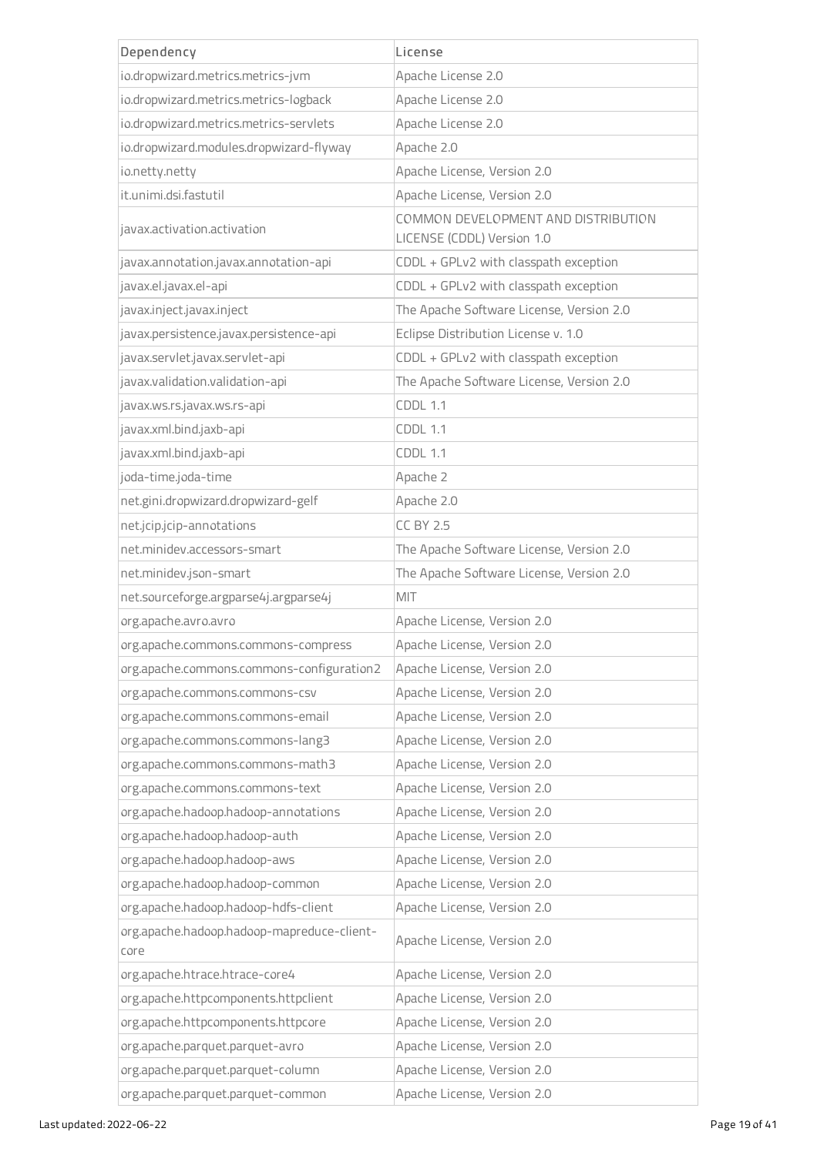| Dependency                                         | License                                                           |
|----------------------------------------------------|-------------------------------------------------------------------|
| io.dropwizard.metrics.metrics-jvm                  | Apache License 2.0                                                |
| io.dropwizard.metrics.metrics-logback              | Apache License 2.0                                                |
| io.dropwizard.metrics.metrics-servlets             | Apache License 2.0                                                |
| io.dropwizard.modules.dropwizard-flyway            | Apache 2.0                                                        |
| io.netty.netty                                     | Apache License, Version 2.0                                       |
| it.unimi.dsi.fastutil                              | Apache License, Version 2.0                                       |
| javax.activation.activation                        | COMMON DEVELOPMENT AND DISTRIBUTION<br>LICENSE (CDDL) Version 1.0 |
| javax.annotation.javax.annotation-api              | CDDL + GPLv2 with classpath exception                             |
| javax.el.javax.el-api                              | CDDL + GPLv2 with classpath exception                             |
| javax.inject.javax.inject                          | The Apache Software License, Version 2.0                          |
| javax.persistence.javax.persistence-api            | Eclipse Distribution License v. 1.0                               |
| javax.servlet.javax.servlet-api                    | CDDL + GPLv2 with classpath exception                             |
| javax.validation.validation-api                    | The Apache Software License, Version 2.0                          |
| javax.ws.rs.javax.ws.rs-api                        | <b>CDDL 1.1</b>                                                   |
| javax.xml.bind.jaxb-api                            | <b>CDDL 1.1</b>                                                   |
| javax.xml.bind.jaxb-api                            | <b>CDDL 1.1</b>                                                   |
| joda-time.joda-time                                | Apache 2                                                          |
| net.gini.dropwizard.dropwizard-gelf                | Apache 2.0                                                        |
| net.jcip.jcip-annotations                          | <b>CC BY 2.5</b>                                                  |
| net.minidev.accessors-smart                        | The Apache Software License, Version 2.0                          |
| net.minidev.json-smart                             | The Apache Software License, Version 2.0                          |
| net.sourceforge.argparse4j.argparse4j              | MIT                                                               |
| org.apache.avro.avro                               | Apache License, Version 2.0                                       |
| org.apache.commons.commons-compress                | Apache License, Version 2.0                                       |
| org.apache.commons.commons-configuration2          | Apache License, Version 2.0                                       |
| org.apache.commons.commons-csv                     | Apache License, Version 2.0                                       |
| org.apache.commons.commons-email                   | Apache License, Version 2.0                                       |
| org.apache.commons.commons-lang3                   | Apache License, Version 2.0                                       |
| org.apache.commons.commons-math3                   | Apache License, Version 2.0                                       |
| org.apache.commons.commons-text                    | Apache License, Version 2.0                                       |
| org.apache.hadoop.hadoop-annotations               | Apache License, Version 2.0                                       |
| org.apache.hadoop.hadoop-auth                      | Apache License, Version 2.0                                       |
| org.apache.hadoop.hadoop-aws                       | Apache License, Version 2.0                                       |
| org.apache.hadoop.hadoop-common                    | Apache License, Version 2.0                                       |
| org.apache.hadoop.hadoop-hdfs-client               | Apache License, Version 2.0                                       |
| org.apache.hadoop.hadoop-mapreduce-client-<br>core | Apache License, Version 2.0                                       |
| org.apache.htrace.htrace-core4                     | Apache License, Version 2.0                                       |
| org.apache.httpcomponents.httpclient               | Apache License, Version 2.0                                       |
| org.apache.httpcomponents.httpcore                 | Apache License, Version 2.0                                       |
| org.apache.parquet.parquet-avro                    | Apache License, Version 2.0                                       |
| org.apache.parquet.parquet-column                  | Apache License, Version 2.0                                       |
| org.apache.parquet.parquet-common                  | Apache License, Version 2.0                                       |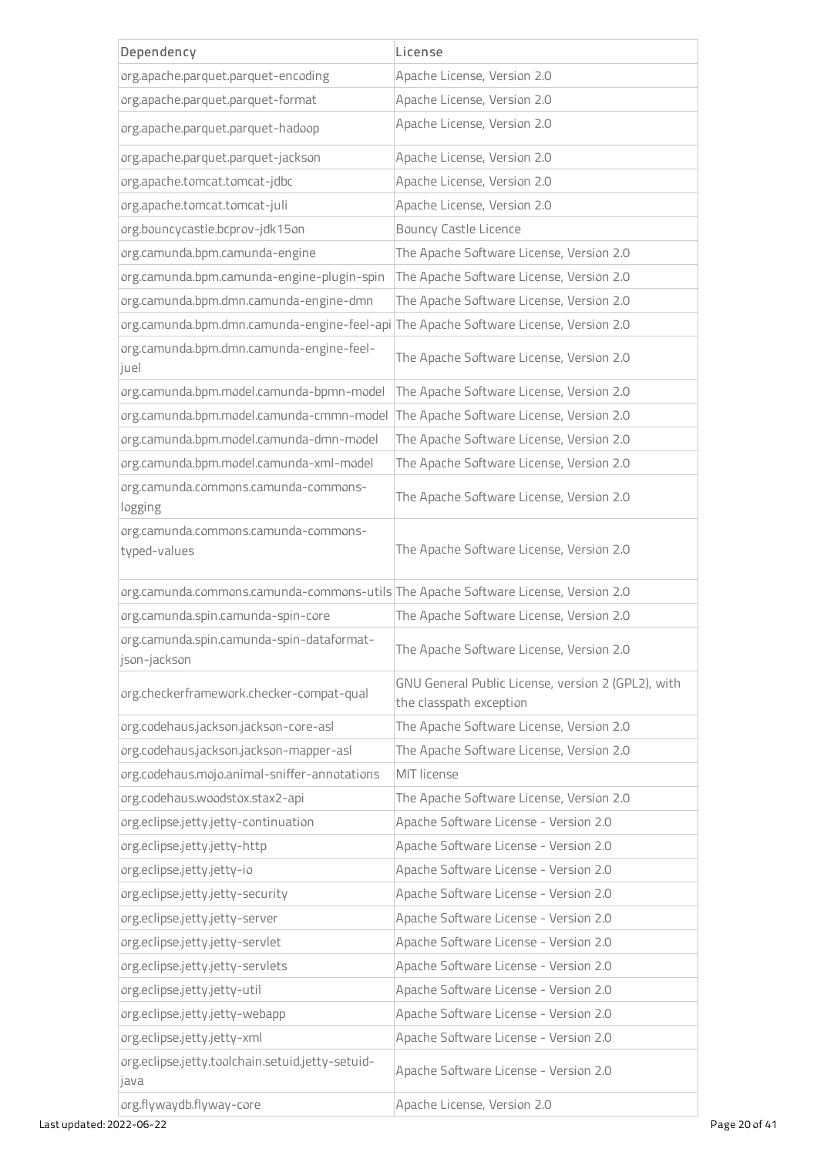| Dependency                                                                           | License                                                                       |
|--------------------------------------------------------------------------------------|-------------------------------------------------------------------------------|
| org.apache.parquet.parquet-encoding                                                  | Apache License, Version 2.0                                                   |
| org.apache.parquet.parquet-format                                                    | Apache License, Version 2.0                                                   |
| org.apache.parquet.parquet-hadoop                                                    | Apache License, Version 2.0                                                   |
| org.apache.parquet.parquet-jackson                                                   | Apache License, Version 2.0                                                   |
| org.apache.tomcat.tomcat-jdbc                                                        | Apache License, Version 2.0                                                   |
| org.apache.tomcat.tomcat-juli                                                        | Apache License, Version 2.0                                                   |
| org.bouncycastle.bcprov-jdk15on                                                      | <b>Bouncy Castle Licence</b>                                                  |
| org.camunda.bpm.camunda-engine                                                       | The Apache Software License, Version 2.0                                      |
| org.camunda.bpm.camunda-engine-plugin-spin                                           | The Apache Software License, Version 2.0                                      |
| org.camunda.bpm.dmn.camunda-engine-dmn                                               | The Apache Software License, Version 2.0                                      |
| org.camunda.bpm.dmn.camunda-engine-feel-api The Apache Software License, Version 2.0 |                                                                               |
| org.camunda.bpm.dmn.camunda-engine-feel-<br>juel                                     | The Apache Software License, Version 2.0                                      |
| org.camunda.bpm.model.camunda-bpmn-model                                             | The Apache Software License, Version 2.0                                      |
| org.camunda.bpm.model.camunda-cmmn-model                                             | The Apache Software License, Version 2.0                                      |
| org.camunda.bpm.model.camunda-dmn-model                                              | The Apache Software License, Version 2.0                                      |
| org.camunda.bpm.model.camunda-xml-model                                              | The Apache Software License, Version 2.0                                      |
| org.camunda.commons.camunda-commons-<br>logging                                      | The Apache Software License, Version 2.0                                      |
| org.camunda.commons.camunda-commons-<br>typed-values                                 | The Apache Software License, Version 2.0                                      |
| org.camunda.commons.camunda-commons-utils The Apache Software License, Version 2.0   |                                                                               |
| org.camunda.spin.camunda-spin-core                                                   | The Apache Software License, Version 2.0                                      |
| org.camunda.spin.camunda-spin-dataformat-<br>json-jackson                            | The Apache Software License, Version 2.0                                      |
| org.checkerframework.checker-compat-qual                                             | GNU General Public License, version 2 (GPL2), with<br>the classpath exception |
| org.codehaus.jackson.jackson-core-asl                                                | The Apache Software License, Version 2.0                                      |
| org.codehaus.jackson.jackson-mapper-asl                                              | The Apache Software License, Version 2.0                                      |
| org.codehaus.mojo.animal-sniffer-annotations                                         | MIT license                                                                   |
| org.codehaus.woodstox.stax2-api                                                      | The Apache Software License, Version 2.0                                      |
| org.eclipse.jetty.jetty-continuation                                                 | Apache Software License - Version 2.0                                         |
| org.eclipse.jetty.jetty-http                                                         | Apache Software License - Version 2.0                                         |
| org.eclipse.jetty.jetty-io                                                           | Apache Software License - Version 2.0                                         |
| org.eclipse.jetty.jetty-security                                                     | Apache Software License - Version 2.0                                         |
| org.eclipse.jetty.jetty-server                                                       | Apache Software License - Version 2.0                                         |
| org.eclipse.jetty.jetty-servlet                                                      | Apache Software License - Version 2.0                                         |
| org.eclipse.jetty.jetty-servlets                                                     | Apache Software License - Version 2.0                                         |
| org.eclipse.jetty.jetty-util                                                         | Apache Software License - Version 2.0                                         |
| org.eclipse.jetty.jetty-webapp                                                       | Apache Software License - Version 2.0                                         |
| org.eclipse.jetty.jetty-xml                                                          | Apache Software License - Version 2.0                                         |
| org.eclipse.jetty.toolchain.setuid.jetty-setuid-<br>java                             | Apache Software License - Version 2.0                                         |
| org.flywaydb.flyway-core                                                             | Apache License, Version 2.0                                                   |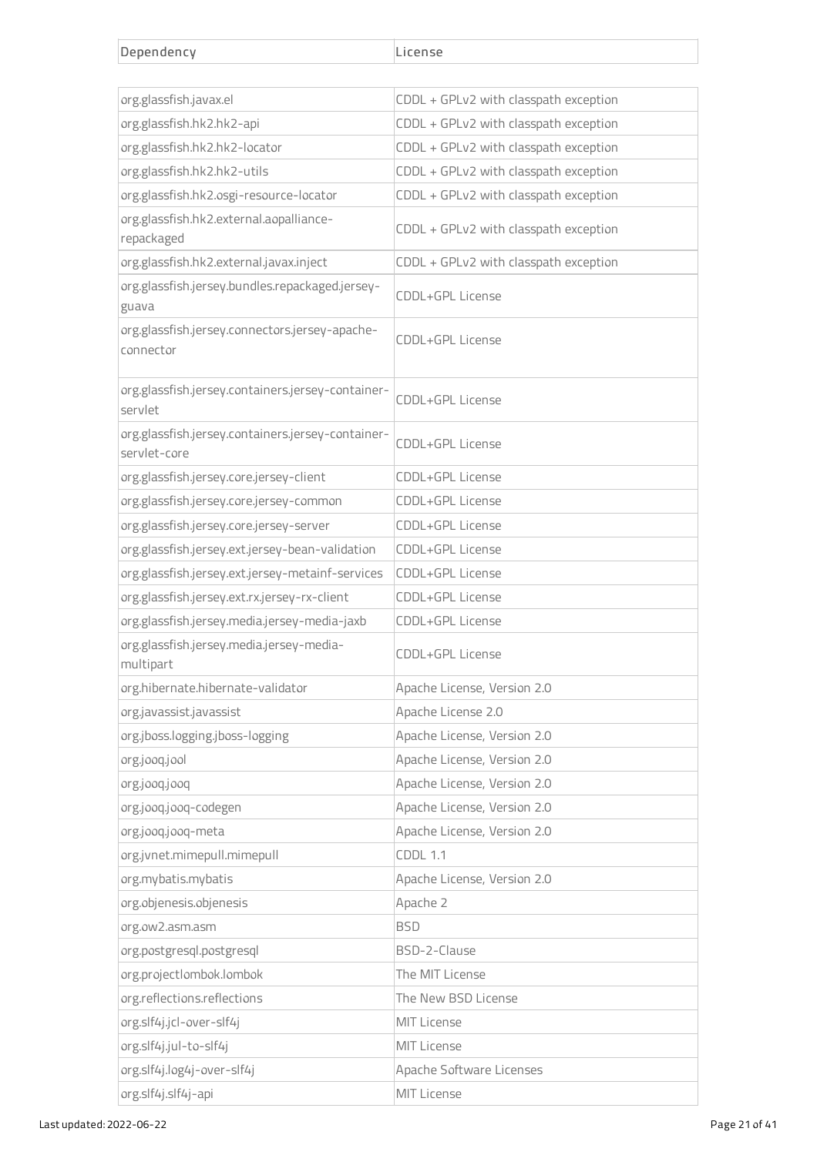| Dependency                                                        | License                               |
|-------------------------------------------------------------------|---------------------------------------|
|                                                                   |                                       |
| org.glassfish.javax.el                                            | CDDL + GPLv2 with classpath exception |
| org.glassfish.hk2.hk2-api                                         | CDDL + GPLv2 with classpath exception |
| org.glassfish.hk2.hk2-locator                                     | CDDL + GPLv2 with classpath exception |
| org.glassfish.hk2.hk2-utils                                       | CDDL + GPLv2 with classpath exception |
| org.glassfish.hk2.osgi-resource-locator                           | CDDL + GPLv2 with classpath exception |
| org.glassfish.hk2.external.aopalliance-<br>repackaged             | CDDL + GPLv2 with classpath exception |
| org.glassfish.hk2.external.javax.inject                           | CDDL + GPLv2 with classpath exception |
| org.glassfish.jersey.bundles.repackaged.jersey-<br>guava          | CDDL+GPL License                      |
| org.glassfish.jersey.connectors.jersey-apache-<br>connector       | CDDL+GPL License                      |
| org.glassfish.jersey.containers.jersey-container-<br>servlet      | CDDL+GPL License                      |
| org.glassfish.jersey.containers.jersey-container-<br>servlet-core | CDDL+GPL License                      |
| org.glassfish.jersey.core.jersey-client                           | CDDL+GPL License                      |
| org.glassfish.jersey.core.jersey-common                           | CDDL+GPL License                      |
| org.glassfish.jersey.core.jersey-server                           | CDDL+GPL License                      |
| org.glassfish.jersey.ext.jersey-bean-validation                   | CDDL+GPL License                      |
| org.glassfish.jersey.ext.jersey-metainf-services                  | CDDL+GPL License                      |
| org.glassfish.jersey.ext.rx.jersey-rx-client                      | CDDL+GPL License                      |
| org.glassfish.jersey.media.jersey-media-jaxb                      | CDDL+GPL License                      |
| org.glassfish.jersey.media.jersey-media-<br>multipart             | CDDL+GPL License                      |
| org.hibernate.hibernate-validator                                 | Apache License, Version 2.0           |
| org.javassist.javassist                                           | Apache License 2.0                    |
| org.jboss.logging.jboss-logging                                   | Apache License, Version 2.0           |
| org.jooq.jool                                                     | Apache License, Version 2.0           |
| org.jooq.jooq                                                     | Apache License, Version 2.0           |
| org.jooq.jooq-codegen                                             | Apache License, Version 2.0           |
| org.jooq.jooq-meta                                                | Apache License, Version 2.0           |
| org.jvnet.mimepull.mimepull                                       | <b>CDDL 1.1</b>                       |
| org.mybatis.mybatis                                               | Apache License, Version 2.0           |
| org.objenesis.objenesis                                           | Apache 2                              |
| org.ow2.asm.asm                                                   | <b>BSD</b>                            |
| org.postgresql.postgresql                                         | BSD-2-Clause                          |
| org.projectlombok.lombok                                          | The MIT License                       |
| org.reflections.reflections                                       | The New BSD License                   |
| org.slf4j.jcl-over-slf4j                                          | MIT License                           |
| org.slf4j.jul-to-slf4j                                            | <b>MIT License</b>                    |
| org.slf4j.log4j-over-slf4j                                        | Apache Software Licenses              |
| org.slf4j.slf4j-api                                               | MIT License                           |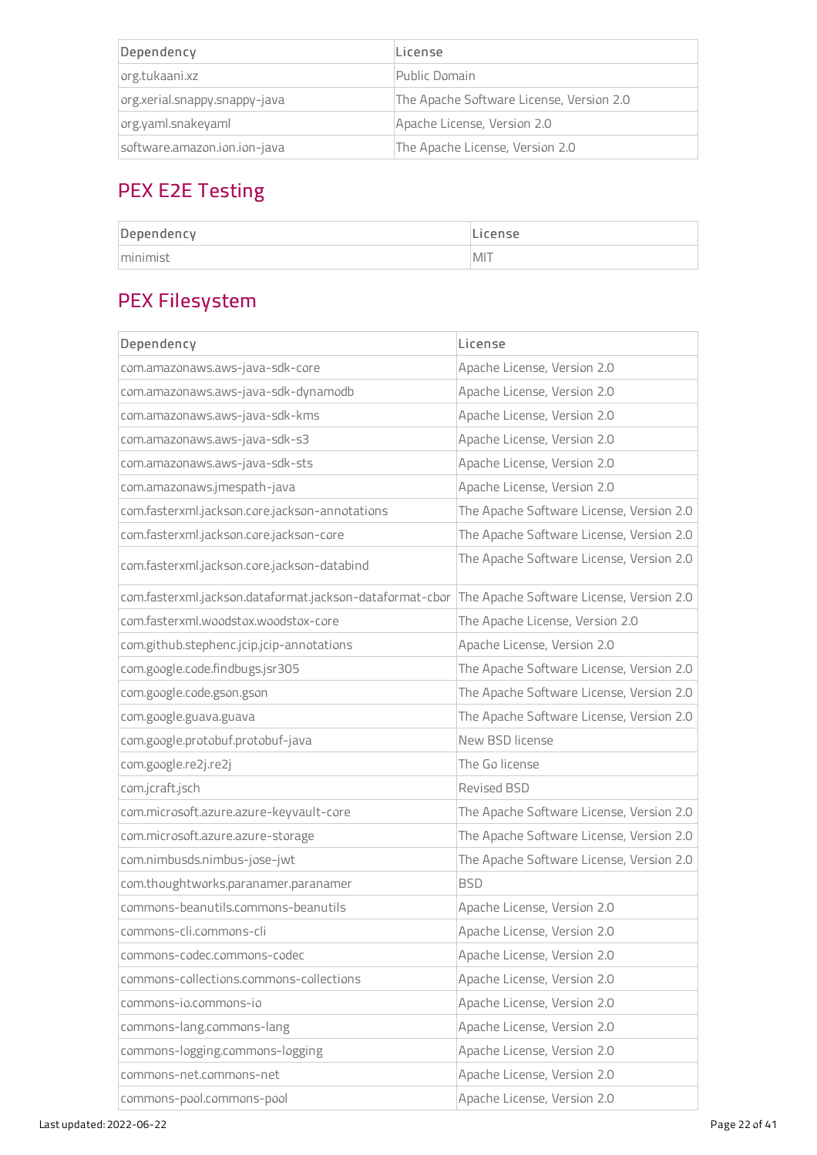| Dependency                    | License                                  |
|-------------------------------|------------------------------------------|
| org.tukaani.xz                | Public Domain                            |
| org.xerial.snappy.snappy-java | The Apache Software License, Version 2.0 |
| org.yaml.snakeyaml            | Apache License, Version 2.0              |
| software.amazon.ion.ion-java  | The Apache License, Version 2.0          |

# PEX E2E Testing

| Dependency | License     |
|------------|-------------|
| minimist   | <b>IMIT</b> |

# PEX Filesystem

| Dependency                                               | License                                  |
|----------------------------------------------------------|------------------------------------------|
| com.amazonaws.aws-java-sdk-core                          | Apache License, Version 2.0              |
| com.amazonaws.aws-java-sdk-dynamodb                      | Apache License, Version 2.0              |
| com.amazonaws.aws-java-sdk-kms                           | Apache License, Version 2.0              |
| com.amazonaws.aws-java-sdk-s3                            | Apache License, Version 2.0              |
| com.amazonaws.aws-java-sdk-sts                           | Apache License, Version 2.0              |
| com.amazonaws.jmespath-java                              | Apache License, Version 2.0              |
| com.fasterxml.jackson.core.jackson-annotations           | The Apache Software License, Version 2.0 |
| com.fasterxml.jackson.core.jackson-core                  | The Apache Software License, Version 2.0 |
| com.fasterxml.jackson.core.jackson-databind              | The Apache Software License, Version 2.0 |
| com.fasterxml.jackson.dataformat.jackson-dataformat-cbor | The Apache Software License, Version 2.0 |
| com.fasterxml.woodstox.woodstox-core                     | The Apache License, Version 2.0          |
| com.github.stephenc.jcip.jcip-annotations                | Apache License, Version 2.0              |
| com.google.code.findbugs.jsr305                          | The Apache Software License, Version 2.0 |
| com.google.code.gson.gson                                | The Apache Software License, Version 2.0 |
| com.google.guava.guava                                   | The Apache Software License, Version 2.0 |
| com.google.protobuf.protobuf-java                        | New BSD license                          |
| com.google.re2j.re2j                                     | The Go license                           |
| com.jcraft.jsch                                          | Revised BSD                              |
| com.microsoft.azure.azure-keyvault-core                  | The Apache Software License, Version 2.0 |
| com.microsoft.azure.azure-storage                        | The Apache Software License, Version 2.0 |
| com.nimbusds.nimbus-jose-jwt                             | The Apache Software License, Version 2.0 |
| com.thoughtworks.paranamer.paranamer                     | <b>BSD</b>                               |
| commons-beanutils.commons-beanutils                      | Apache License, Version 2.0              |
| commons-cli.commons-cli                                  | Apache License, Version 2.0              |
| commons-codec.commons-codec                              | Apache License, Version 2.0              |
| commons-collections.commons-collections                  | Apache License, Version 2.0              |
| commons-io.commons-io                                    | Apache License, Version 2.0              |
| commons-lang.commons-lang                                | Apache License, Version 2.0              |
| commons-logging.commons-logging                          | Apache License, Version 2.0              |
| commons-net.commons-net                                  | Apache License, Version 2.0              |
| commons-pool.commons-pool                                | Apache License, Version 2.0              |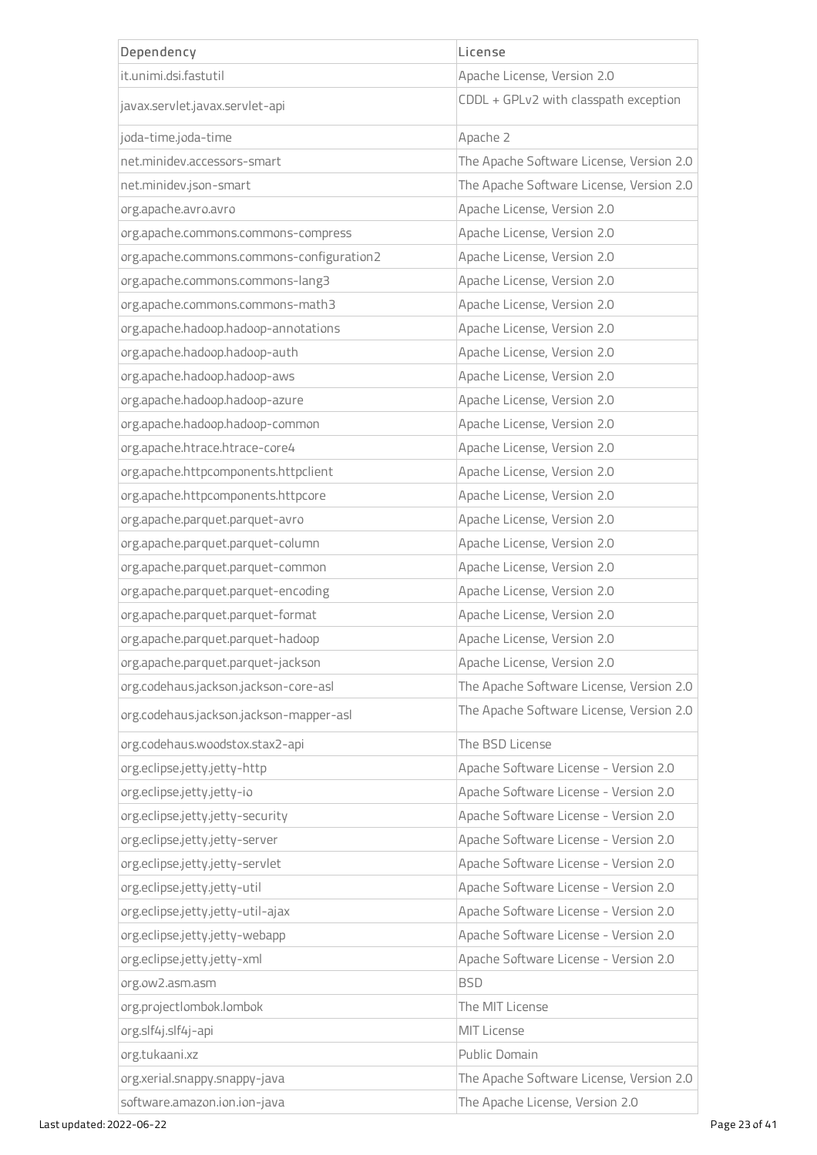| Dependency                                | License                                  |
|-------------------------------------------|------------------------------------------|
| it.unimi.dsi.fastutil                     | Apache License, Version 2.0              |
| javax.servlet.javax.servlet-api           | CDDL + GPLv2 with classpath exception    |
| joda-time.joda-time                       | Apache 2                                 |
| net.minidev.accessors-smart               | The Apache Software License, Version 2.0 |
| net.minidev.json-smart                    | The Apache Software License, Version 2.0 |
| org.apache.avro.avro                      | Apache License, Version 2.0              |
| org.apache.commons.commons-compress       | Apache License, Version 2.0              |
| org.apache.commons.commons-configuration2 | Apache License, Version 2.0              |
| org.apache.commons.commons-lang3          | Apache License, Version 2.0              |
| org.apache.commons.commons-math3          | Apache License, Version 2.0              |
| org.apache.hadoop.hadoop-annotations      | Apache License, Version 2.0              |
| org.apache.hadoop.hadoop-auth             | Apache License, Version 2.0              |
| org.apache.hadoop.hadoop-aws              | Apache License, Version 2.0              |
| org.apache.hadoop.hadoop-azure            | Apache License, Version 2.0              |
| org.apache.hadoop.hadoop-common           | Apache License, Version 2.0              |
| org.apache.htrace.htrace-core4            | Apache License, Version 2.0              |
| org.apache.httpcomponents.httpclient      | Apache License, Version 2.0              |
| org.apache.httpcomponents.httpcore        | Apache License, Version 2.0              |
| org.apache.parquet.parquet-avro           | Apache License, Version 2.0              |
| org.apache.parquet.parquet-column         | Apache License, Version 2.0              |
| org.apache.parquet.parquet-common         | Apache License, Version 2.0              |
| org.apache.parquet.parquet-encoding       | Apache License, Version 2.0              |
| org.apache.parquet.parquet-format         | Apache License, Version 2.0              |
| org.apache.parquet.parquet-hadoop         | Apache License, Version 2.0              |
| org.apache.parquet.parquet-jackson        | Apache License, Version 2.0              |
| org.codehaus.jackson.jackson-core-asl     | The Apache Software License, Version 2.0 |
| org.codehaus.jackson.jackson-mapper-asl   | The Apache Software License, Version 2.0 |
| org.codehaus.woodstox.stax2-api           | The BSD License                          |
| org.eclipse.jetty.jetty-http              | Apache Software License - Version 2.0    |
| org.eclipse.jetty.jetty-io                | Apache Software License - Version 2.0    |
| org.eclipse.jetty.jetty-security          | Apache Software License - Version 2.0    |
| org.eclipse.jetty.jetty-server            | Apache Software License - Version 2.0    |
| org.eclipse.jetty.jetty-servlet           | Apache Software License - Version 2.0    |
| org.eclipse.jetty.jetty-util              | Apache Software License - Version 2.0    |
| org.eclipse.jetty.jetty-util-ajax         | Apache Software License - Version 2.0    |
| org.eclipse.jetty.jetty-webapp            | Apache Software License - Version 2.0    |
| org.eclipse.jetty.jetty-xml               | Apache Software License - Version 2.0    |
| org.ow2.asm.asm                           | <b>BSD</b>                               |
| org.projectlombok.lombok                  | The MIT License                          |
| org.slf4j.slf4j-api                       | <b>MIT License</b>                       |
| org.tukaani.xz                            | Public Domain                            |
| org.xerial.snappy.snappy-java             | The Apache Software License, Version 2.0 |
| software.amazon.ion.ion-java              | The Apache License, Version 2.0          |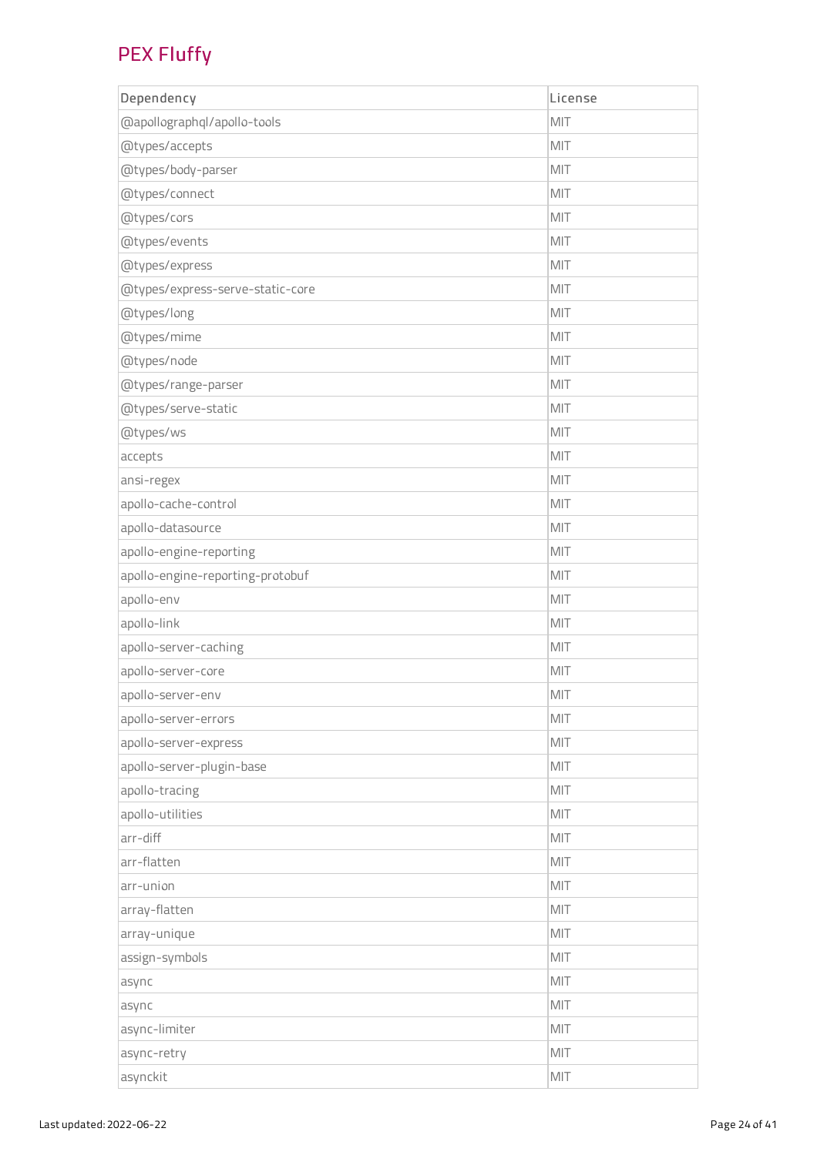#### PEX Fluffy

| Dependency                       | License |
|----------------------------------|---------|
| @apollographql/apollo-tools      | MIT     |
| @types/accepts                   | MIT     |
| @types/body-parser               | MIT     |
| @types/connect                   | MIT     |
| @types/cors                      | MIT     |
| @types/events                    | MIT     |
| @types/express                   | MIT     |
| @types/express-serve-static-core | MIT     |
| @types/long                      | MIT     |
| @types/mime                      | MIT     |
| @types/node                      | MIT     |
| @types/range-parser              | MIT     |
| @types/serve-static              | MIT     |
| @types/ws                        | MIT     |
| accepts                          | MIT     |
| ansi-regex                       | MIT     |
| apollo-cache-control             | MIT     |
| apollo-datasource                | MIT     |
| apollo-engine-reporting          | MIT     |
| apollo-engine-reporting-protobuf | MIT     |
| apollo-env                       | MIT     |
| apollo-link                      | MIT     |
| apollo-server-caching            | MIT     |
| apollo-server-core               | MIT     |
| apollo-server-env                | MIT     |
| apollo-server-errors             | MIT     |
| apollo-server-express            | MIT     |
| apollo-server-plugin-base        | MIT     |
| apollo-tracing                   | MIT     |
| apollo-utilities                 | MIT     |
| arr-diff                         | MIT     |
| arr-flatten                      | MIT     |
| arr-union                        | MIT     |
| array-flatten                    | MIT     |
| array-unique                     | MIT     |
| assign-symbols                   | MIT     |
| async                            | MIT     |
| async                            | MIT     |
| async-limiter                    | MIT     |
| async-retry                      | MIT     |
| asynckit                         | MIT     |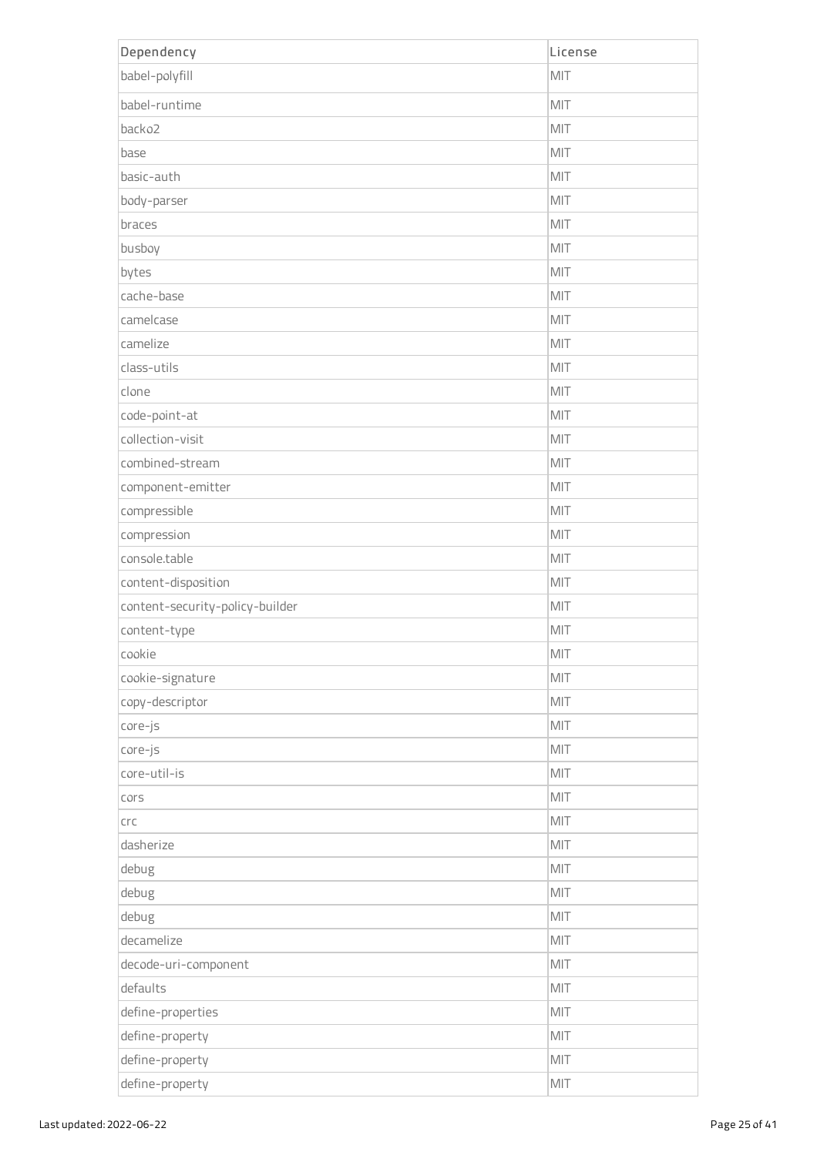| Dependency                      | License |
|---------------------------------|---------|
| babel-polyfill                  | MIT     |
| babel-runtime                   | MIT     |
| backo2                          | MIT     |
| base                            | MIT     |
| basic-auth                      | MIT     |
| body-parser                     | MIT     |
| braces                          | MIT     |
| busboy                          | MIT     |
| bytes                           | MIT     |
| cache-base                      | MIT     |
| camelcase                       | MIT     |
| camelize                        | MIT     |
| class-utils                     | MIT     |
| clone                           | MIT     |
| code-point-at                   | MIT     |
| collection-visit                | MIT     |
| combined-stream                 | MIT     |
| component-emitter               | MIT     |
| compressible                    | MIT     |
| compression                     | MIT     |
| console.table                   | MIT     |
| content-disposition             | MIT     |
| content-security-policy-builder | MIT     |
| content-type                    | MIT     |
| cookie                          | MIT     |
| cookie-signature                | MIT     |
| copy-descriptor                 | MIT     |
| core-js                         | MIT     |
| core-js                         | MIT     |
| core-util-is                    | MIT     |
| cors                            | MIT     |
| $C\Gamma C$                     | MIT     |
| dasherize                       | MIT     |
| debug                           | MIT     |
| debug                           | MIT     |
| debug                           | MIT     |
| decamelize                      | MIT     |
| decode-uri-component            | MIT     |
| defaults                        | MIT     |
| define-properties               | MIT     |
| define-property                 | MIT     |
| define-property                 | MIT     |
| define-property                 | MIT     |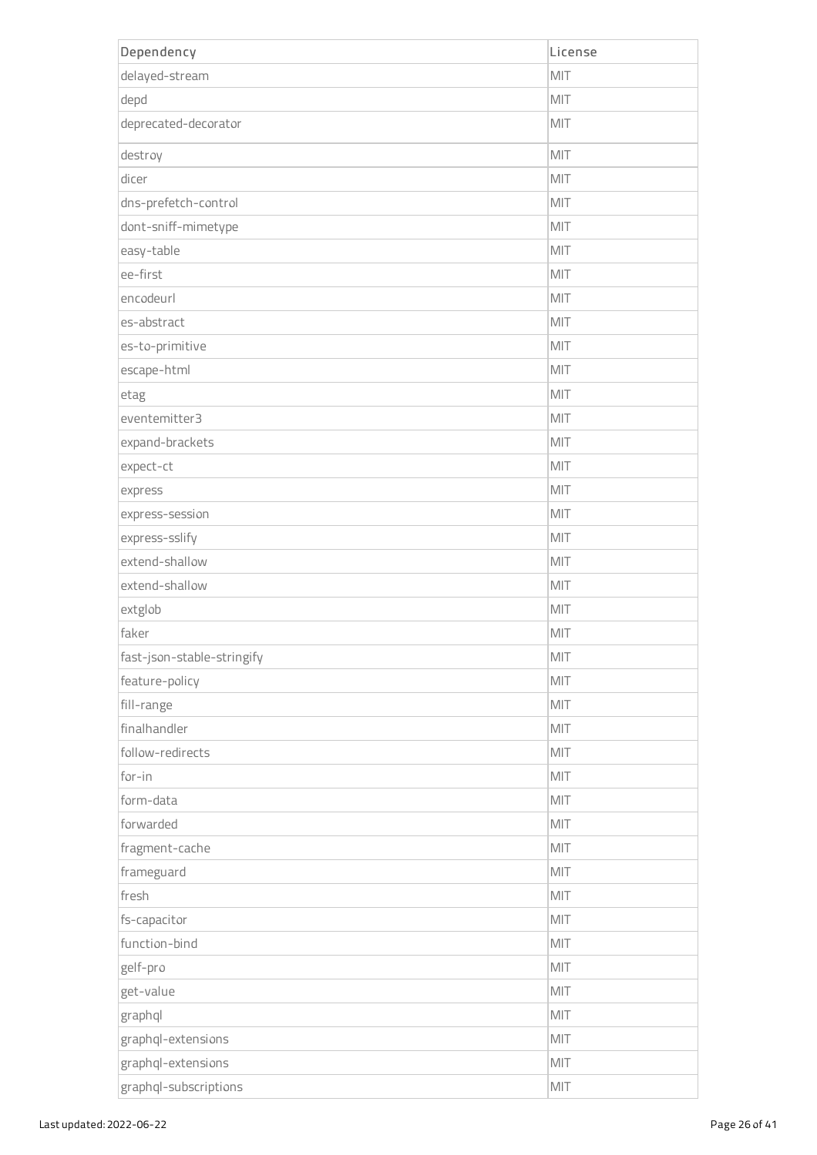| Dependency                 | License |
|----------------------------|---------|
| delayed-stream             | MIT     |
| depd                       | MIT     |
| deprecated-decorator       | MIT     |
| destroy                    | MIT     |
| dicer                      | MIT     |
| dns-prefetch-control       | MIT     |
| dont-sniff-mimetype        | MIT     |
| easy-table                 | MIT     |
| ee-first                   | MIT     |
| encodeurl                  | MIT     |
| es-abstract                | MIT     |
| es-to-primitive            | MIT     |
| escape-html                | MIT     |
| etag                       | MIT     |
| eventemitter3              | MIT     |
| expand-brackets            | MIT     |
| expect-ct                  | MIT     |
| express                    | MIT     |
| express-session            | MIT     |
| express-sslify             | MIT     |
| extend-shallow             | MIT     |
| extend-shallow             | MIT     |
| extglob                    | MIT     |
| faker                      | MIT     |
| fast-json-stable-stringify | MIT     |
| feature-policy             | MIT     |
| fill-range                 | MIT     |
| finalhandler               | MIT     |
| follow-redirects           | MIT     |
| for-in                     | MIT     |
| form-data                  | MIT     |
| forwarded                  | MIT     |
| fragment-cache             | MIT     |
| frameguard                 | MIT     |
| fresh                      | MIT     |
| fs-capacitor               | MIT     |
| function-bind              | MIT     |
| gelf-pro                   | MIT     |
| get-value                  | MIT     |
| graphql                    | MIT     |
| graphql-extensions         | MIT     |
| graphql-extensions         | MIT     |
| graphql-subscriptions      | MIT     |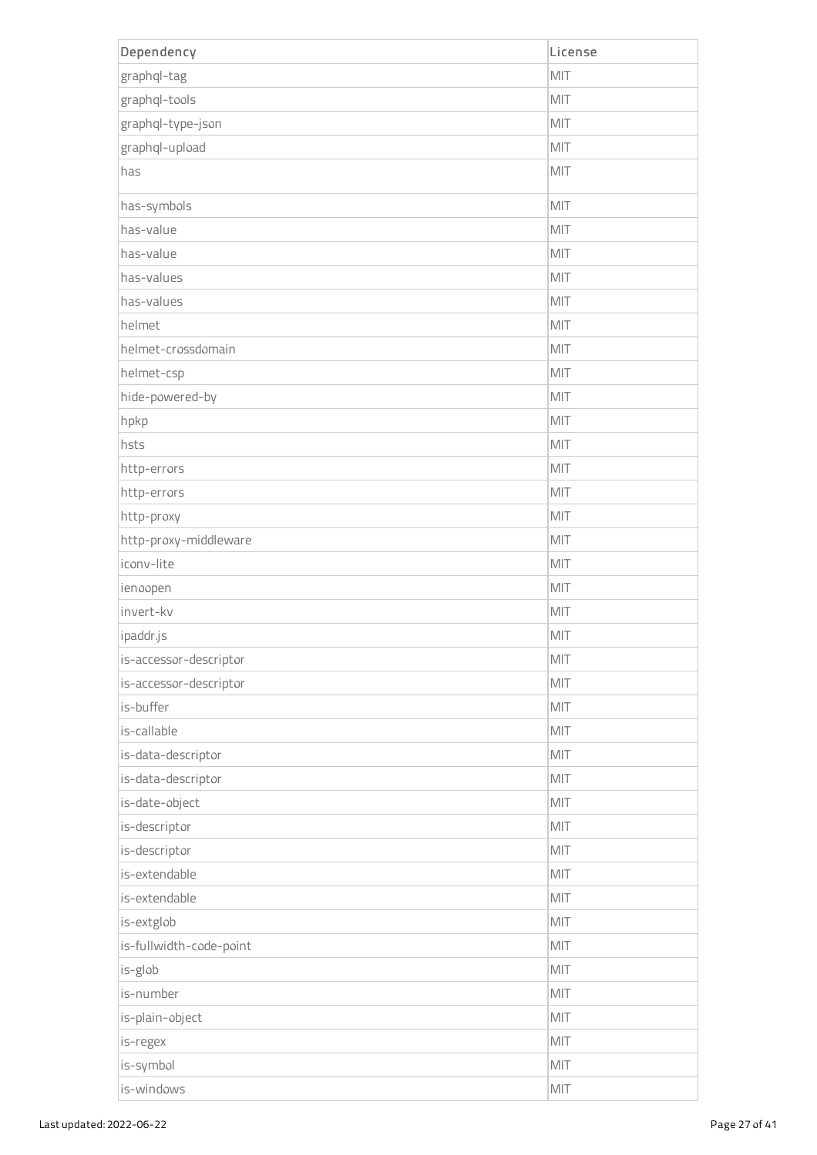| Dependency              | License |
|-------------------------|---------|
| graphql-tag             | MIT     |
| graphql-tools           | MIT     |
| graphql-type-json       | MIT     |
| graphql-upload          | MIT     |
| has                     | MIT     |
| has-symbols             | MIT     |
| has-value               | MIT     |
| has-value               | MIT     |
| has-values              | MIT     |
| has-values              | MIT     |
| helmet                  | MIT     |
| helmet-crossdomain      | MIT     |
| helmet-csp              | MIT     |
| hide-powered-by         | MIT     |
| hpkp                    | MIT     |
| hsts                    | MIT     |
| http-errors             | MIT     |
| http-errors             | MIT     |
| http-proxy              | MIT     |
| http-proxy-middleware   | MIT     |
| iconv-lite              | MIT     |
| ienoopen                | MIT     |
| invert-kv               | MIT     |
| ipaddr.js               | MIT     |
| is-accessor-descriptor  | MIT     |
| is-accessor-descriptor  | MIT     |
| is-buffer               | MIT     |
| is-callable             | MIT     |
| is-data-descriptor      | MIT     |
| is-data-descriptor      | MIT     |
| is-date-object          | MIT     |
| is-descriptor           | MIT     |
| is-descriptor           | MIT     |
| is-extendable           | MIT     |
| is-extendable           | MIT     |
| is-extglob              | MIT     |
| is-fullwidth-code-point | MIT     |
| is-glob                 | MIT     |
| is-number               | MIT     |
| is-plain-object         | MIT     |
| is-regex                | MIT     |
| is-symbol               | MIT     |
| is-windows              | MIT     |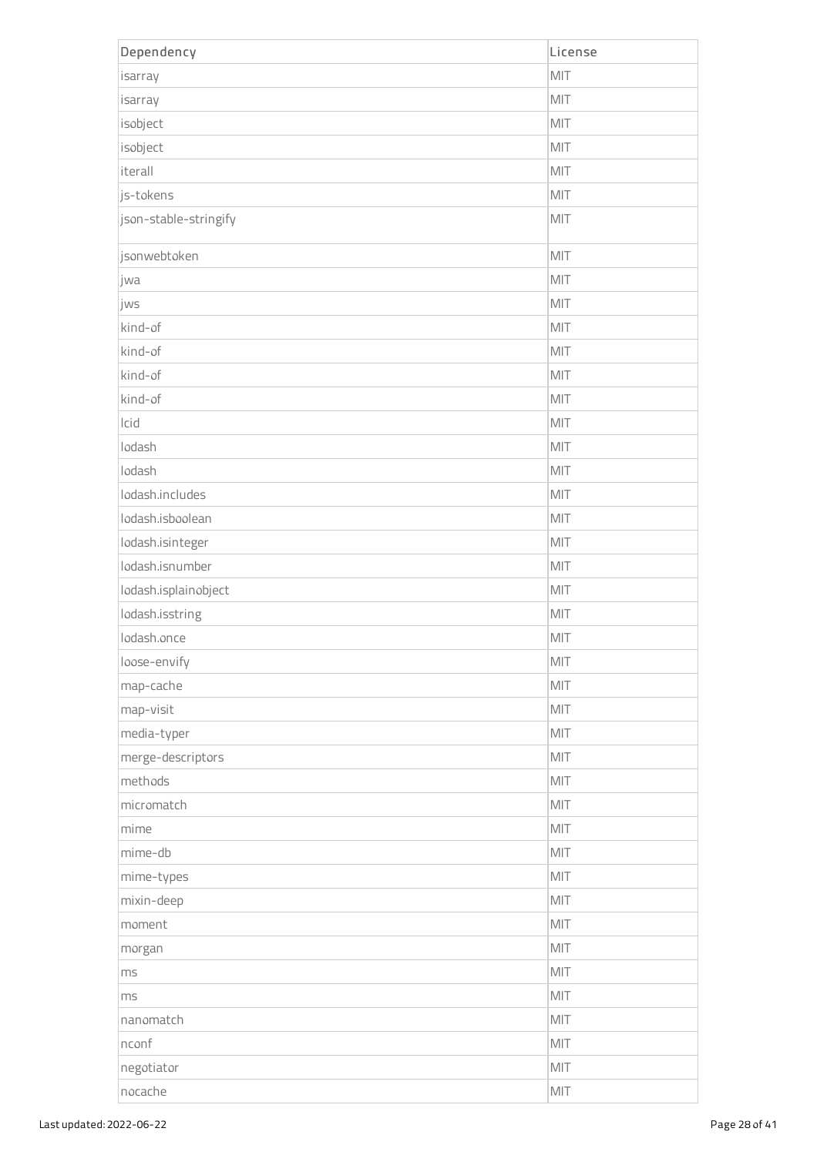| Dependency            | License |
|-----------------------|---------|
| isarray               | MIT     |
| isarray               | MIT     |
| isobject              | MIT     |
| isobject              | MIT     |
| iterall               | MIT     |
| js-tokens             | MIT     |
| json-stable-stringify | MIT     |
| jsonwebtoken          | MIT     |
| jwa                   | MIT     |
| jws                   | MIT     |
| kind-of               | MIT     |
| kind-of               | MIT     |
| kind-of               | MIT     |
| kind-of               | MIT     |
| Icid                  | MIT     |
| lodash                | MIT     |
| lodash                | MIT     |
| lodash.includes       | MIT     |
| lodash.isboolean      | MIT     |
| lodash.isinteger      | MIT     |
| lodash.isnumber       | MIT     |
| lodash.isplainobject  | MIT     |
| lodash.isstring       | MIT     |
| lodash.once           | MIT     |
| loose-envify          | MIT     |
| map-cache             | MIT     |
| map-visit             | MIT     |
| media-typer           | MIT     |
| merge-descriptors     | MIT     |
| methods               | MIT     |
| micromatch            | MIT     |
| mime                  | MIT     |
| mime-db               | MIT     |
| mime-types            | MIT     |
| mixin-deep            | MIT     |
| moment                | MIT     |
| morgan                | MIT     |
| ms                    | MIT     |
| ms                    | MIT     |
| nanomatch             | MIT     |
| nconf                 | MIT     |
| negotiator            | MIT     |
| nocache               | MIT     |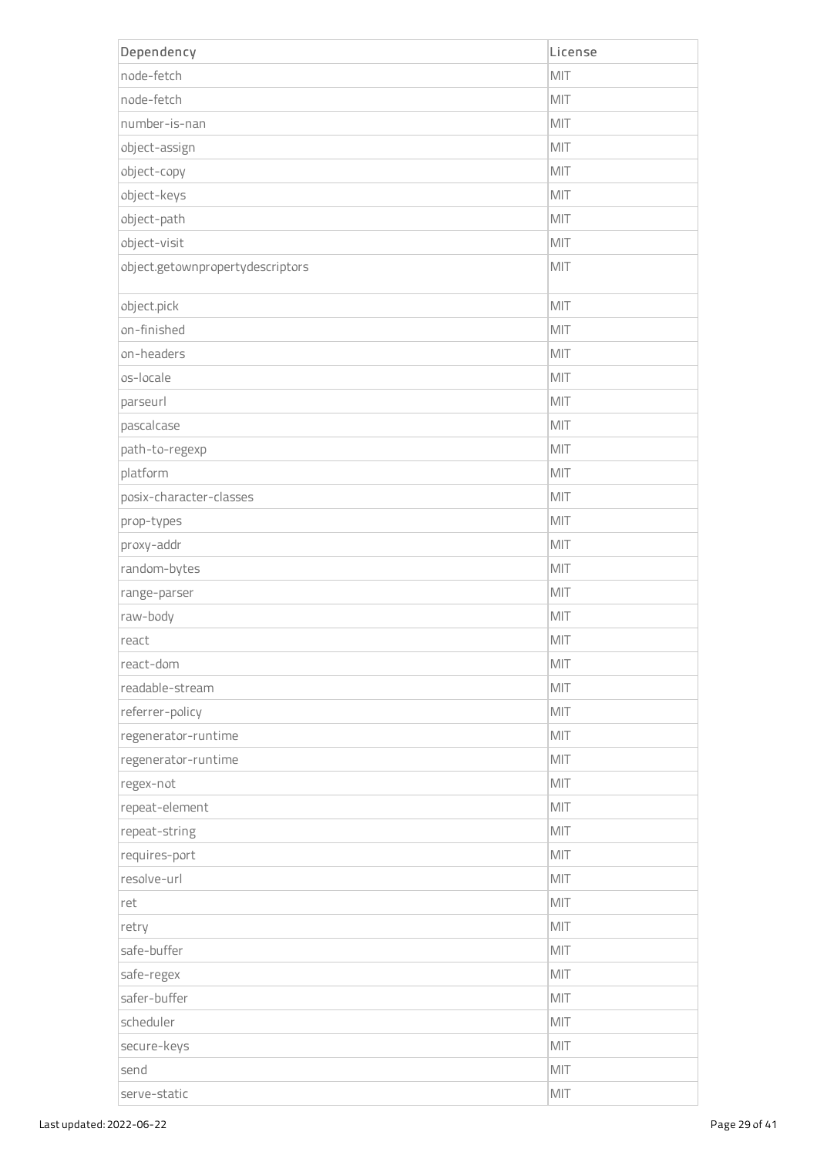| Dependency                       | License |
|----------------------------------|---------|
| node-fetch                       | MIT     |
| node-fetch                       | MIT     |
| number-is-nan                    | MIT     |
| object-assign                    | MIT     |
| object-copy                      | MIT     |
| object-keys                      | MIT     |
| object-path                      | MIT     |
| object-visit                     | MIT     |
| object.getownpropertydescriptors | MIT     |
| object.pick                      | MIT     |
| on-finished                      | MIT     |
| on-headers                       | MIT     |
| os-locale                        | MIT     |
| parseurl                         | MIT     |
| pascalcase                       | MIT     |
| path-to-regexp                   | MIT     |
| platform                         | MIT     |
| posix-character-classes          | MIT     |
| prop-types                       | MIT     |
| proxy-addr                       | MIT     |
| random-bytes                     | MIT     |
| range-parser                     | MIT     |
| raw-body                         | MIT     |
| react                            | MIT     |
| react-dom                        | MIT     |
| readable-stream                  | MIT     |
| referrer-policy                  | MIT     |
| regenerator-runtime              | MIT     |
| regenerator-runtime              | MIT     |
| regex-not                        | MIT     |
| repeat-element                   | MIT     |
| repeat-string                    | MIT     |
| requires-port                    | MIT     |
| resolve-url                      | MIT     |
| ret                              | MIT     |
| retry                            | MIT     |
| safe-buffer                      | MIT     |
| safe-regex                       | MIT     |
| safer-buffer                     | MIT     |
| scheduler                        | MIT     |
| secure-keys                      | MIT     |
| send                             | MIT     |
| serve-static                     | MIT     |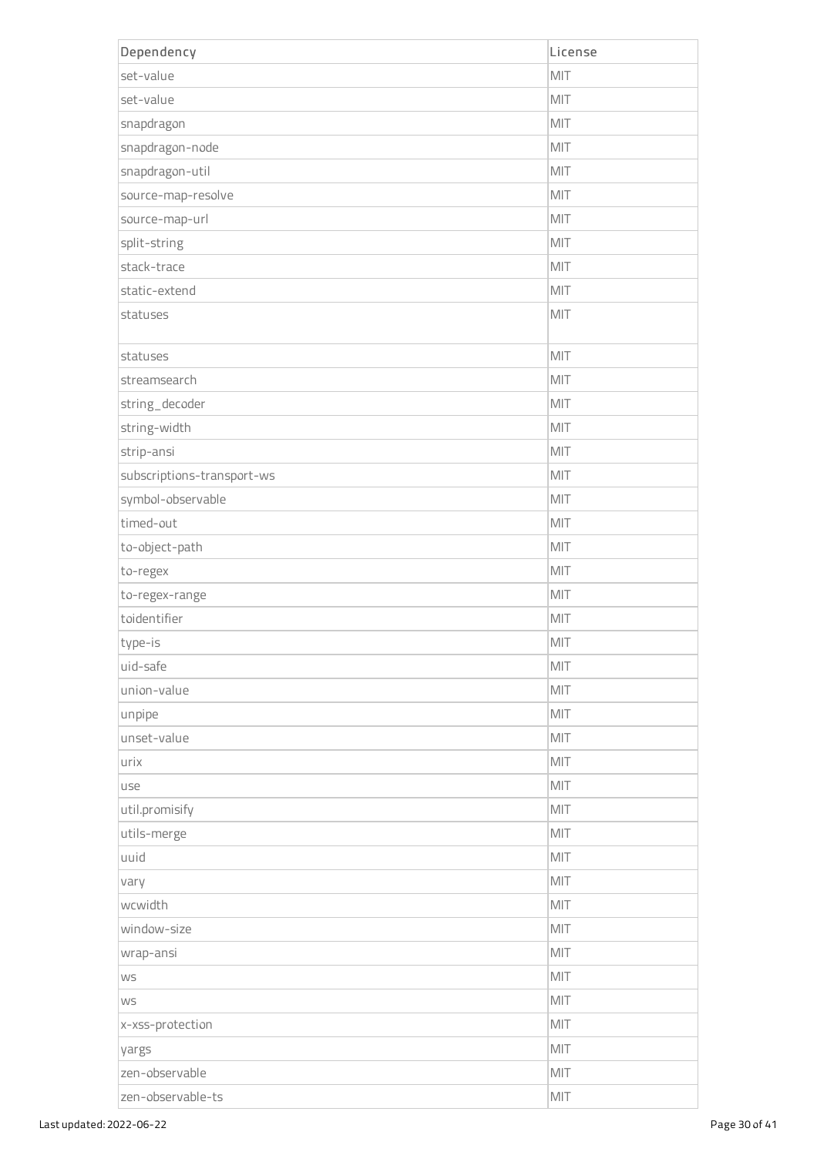| Dependency                 | License |
|----------------------------|---------|
| set-value                  | MIT     |
| set-value                  | MIT     |
| snapdragon                 | MIT     |
| snapdragon-node            | MIT     |
| snapdragon-util            | MIT     |
| source-map-resolve         | MIT     |
| source-map-url             | MIT     |
| split-string               | MIT     |
| stack-trace                | MIT     |
| static-extend              | MIT     |
| statuses                   | MIT     |
| statuses                   | MIT     |
| streamsearch               | MIT     |
| string_decoder             | MIT     |
| string-width               | MIT     |
| strip-ansi                 | MIT     |
| subscriptions-transport-ws | MIT     |
| symbol-observable          | MIT     |
| timed-out                  | MIT     |
| to-object-path             | MIT     |
| to-regex                   | MIT     |
| to-regex-range             | MIT     |
| toidentifier               | MIT     |
| type-is                    | MIT     |
| uid-safe                   | MIT     |
| union-value                | MIT     |
| unpipe                     | MIT     |
| unset-value                | MIT     |
| urix                       | MIT     |
| use                        | MIT     |
| util.promisify             | MIT     |
| utils-merge                | MIT     |
| luuid                      | MIT     |
| vary                       | MIT     |
| wcwidth                    | MIT     |
| window-size                | MIT     |
| wrap-ansi                  | MIT     |
| <b>WS</b>                  | MIT     |
| <b>WS</b>                  | MIT     |
| x-xss-protection           | MIT     |
| yargs                      | MIT     |
| zen-observable             | MIT     |
| zen-observable-ts          | MIT     |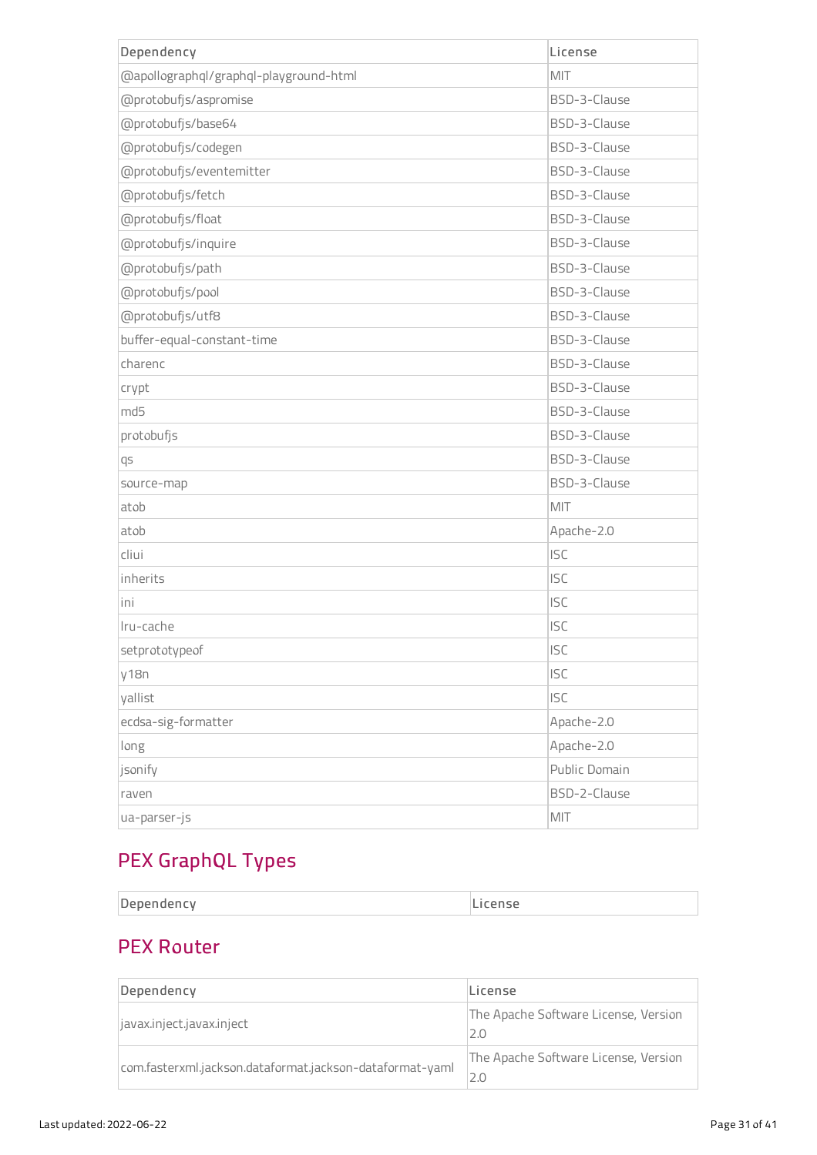| Dependency                             | License       |
|----------------------------------------|---------------|
| @apollographql/graphql-playground-html | MIT           |
| @protobufjs/aspromise                  | BSD-3-Clause  |
| @protobufjs/base64                     | BSD-3-Clause  |
| @protobufjs/codegen                    | BSD-3-Clause  |
| @protobufjs/eventemitter               | BSD-3-Clause  |
| @protobufjs/fetch                      | BSD-3-Clause  |
| @protobufjs/float                      | BSD-3-Clause  |
| @protobufjs/inquire                    | BSD-3-Clause  |
| @protobufjs/path                       | BSD-3-Clause  |
| @protobufjs/pool                       | BSD-3-Clause  |
| @protobufjs/utf8                       | BSD-3-Clause  |
| buffer-equal-constant-time             | BSD-3-Clause  |
| charenc                                | BSD-3-Clause  |
| crypt                                  | BSD-3-Clause  |
| md5                                    | BSD-3-Clause  |
| protobufjs                             | BSD-3-Clause  |
| qs                                     | BSD-3-Clause  |
| source-map                             | BSD-3-Clause  |
| atob                                   | MIT           |
| atob                                   | Apache-2.0    |
| cliui                                  | <b>ISC</b>    |
| inherits                               | <b>ISC</b>    |
| ini                                    | <b>ISC</b>    |
| Iru-cache                              | <b>ISC</b>    |
| setprototypeof                         | <b>ISC</b>    |
| y18n                                   | <b>ISC</b>    |
| yallist                                | <b>ISC</b>    |
| ecdsa-sig-formatter                    | Apache-2.0    |
| long                                   | Apache-2.0    |
| jsonify                                | Public Domain |
| raven                                  | BSD-2-Clause  |
| ua-parser-js                           | MIT           |

# PEX GraphQL Types

| $\sim$ |  |
|--------|--|
|--------|--|

# PEX Router

| Dependency                                               | License                                     |
|----------------------------------------------------------|---------------------------------------------|
| javax.inject.javax.inject                                | The Apache Software License, Version<br>2.0 |
| com.fasterxml.jackson.dataformat.jackson-dataformat-yaml | The Apache Software License, Version<br>2.0 |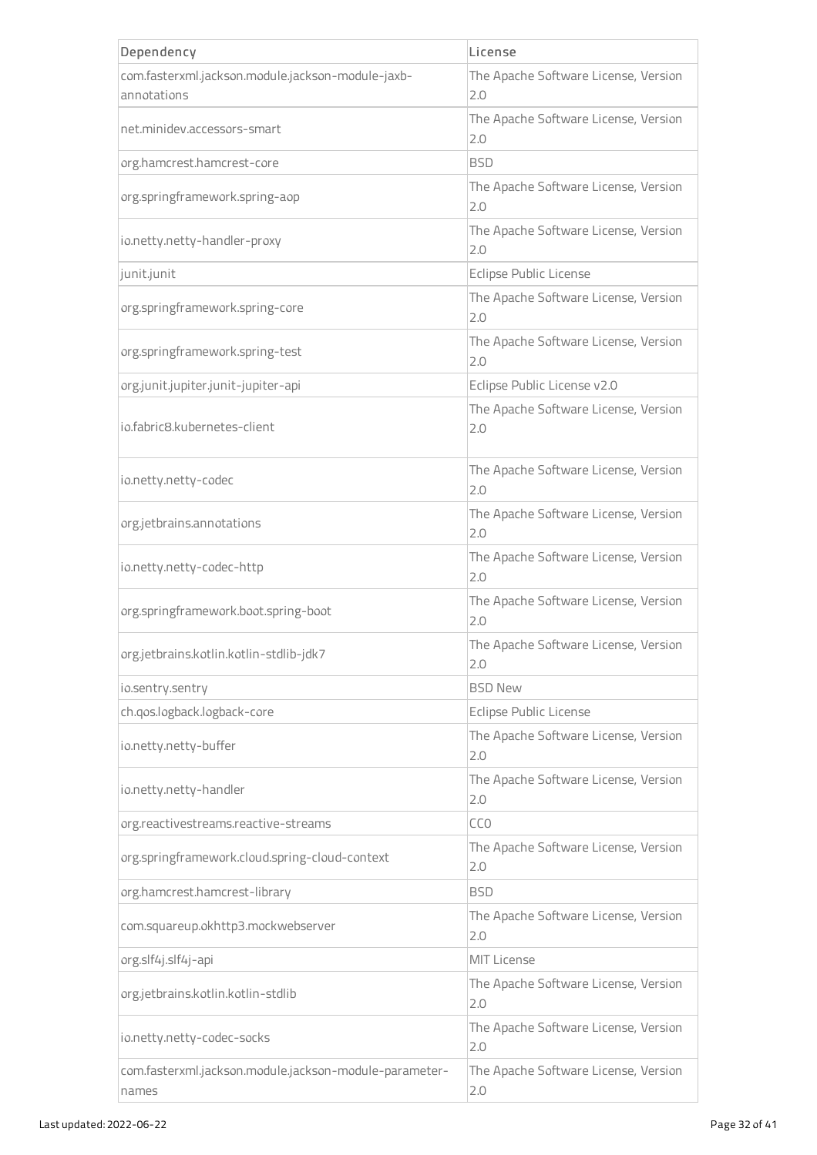| Dependency                                                      | License                                     |
|-----------------------------------------------------------------|---------------------------------------------|
| com.fasterxml.jackson.module.jackson-module-jaxb-               | The Apache Software License, Version        |
| annotations                                                     | 2.0                                         |
| net.minidev.accessors-smart                                     | The Apache Software License, Version<br>2.0 |
| org.hamcrest.hamcrest-core                                      | <b>BSD</b>                                  |
| org.springframework.spring-aop                                  | The Apache Software License, Version<br>2.0 |
| io.netty.netty-handler-proxy                                    | The Apache Software License, Version<br>2.0 |
| junit.junit                                                     | Eclipse Public License                      |
| org.springframework.spring-core                                 | The Apache Software License, Version<br>2.0 |
| org.springframework.spring-test                                 | The Apache Software License, Version<br>2.0 |
| org.junit.jupiter.junit-jupiter-api                             | Eclipse Public License v2.0                 |
| jo.fabric8.kubernetes-client                                    | The Apache Software License, Version<br>2.0 |
| io.netty.netty-codec                                            | The Apache Software License, Version<br>2.0 |
| org.jetbrains.annotations                                       | The Apache Software License, Version<br>2.0 |
| io.netty.netty-codec-http                                       | The Apache Software License, Version<br>2.0 |
| org.springframework.boot.spring-boot                            | The Apache Software License, Version<br>2.0 |
| org.jetbrains.kotlin.kotlin-stdlib-jdk7                         | The Apache Software License, Version<br>2.0 |
| io.sentry.sentry                                                | <b>BSD New</b>                              |
| ch.qos.logback.logback-core                                     | Eclipse Public License                      |
| io.netty.netty-buffer                                           | The Apache Software License, Version<br>2.0 |
| io.netty.netty-handler                                          | The Apache Software License, Version<br>2.0 |
| org.reactivestreams.reactive-streams                            | CC <sub>O</sub>                             |
| org.springframework.cloud.spring-cloud-context                  | The Apache Software License, Version<br>2.0 |
| org.hamcrest.hamcrest-library                                   | <b>BSD</b>                                  |
| com.squareup.okhttp3.mockwebserver                              | The Apache Software License, Version<br>2.0 |
| org.slf4j.slf4j-api                                             | <b>MIT License</b>                          |
| org.jetbrains.kotlin.kotlin-stdlib                              | The Apache Software License, Version<br>2.0 |
| io.netty.netty-codec-socks                                      | The Apache Software License, Version<br>2.0 |
| com.fasterxml.jackson.module.jackson-module-parameter-<br>names | The Apache Software License, Version<br>2.0 |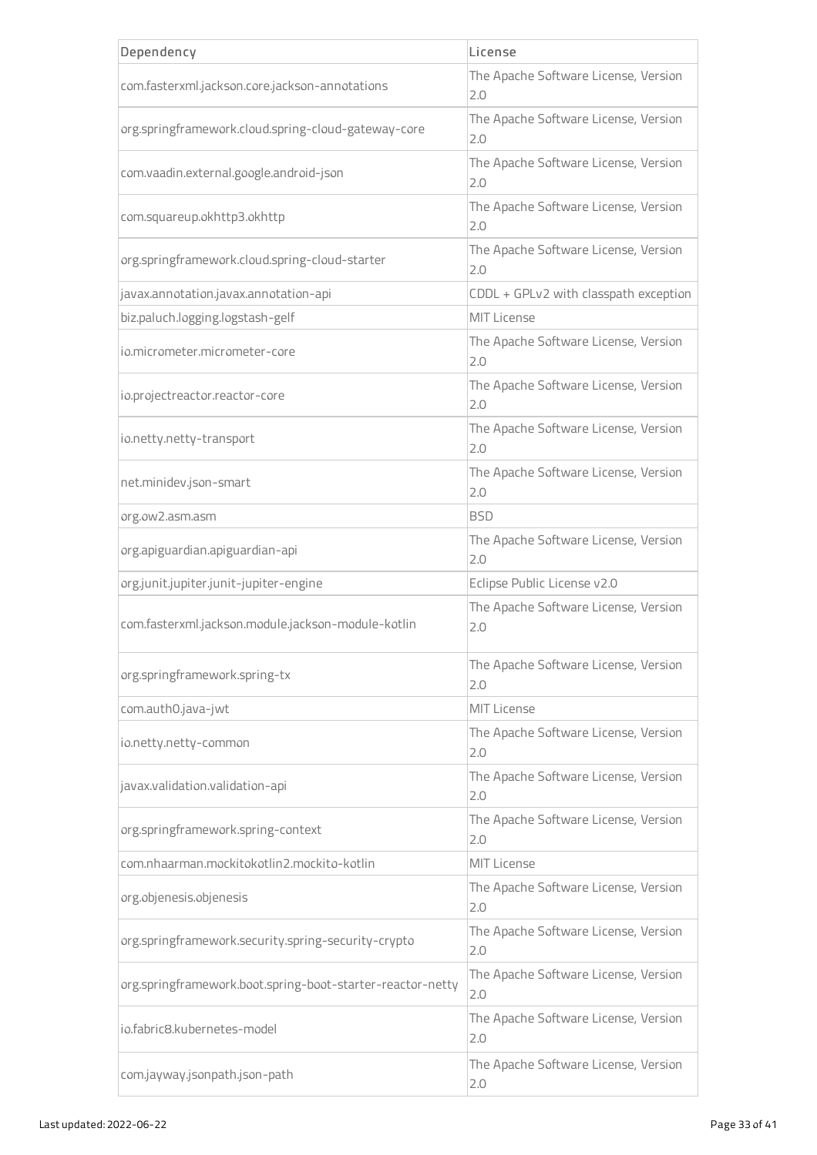| Dependency                                                 | License                                     |
|------------------------------------------------------------|---------------------------------------------|
| com.fasterxml.jackson.core.jackson-annotations             | The Apache Software License, Version<br>2.0 |
| org.springframework.cloud.spring-cloud-gateway-core        | The Apache Software License, Version<br>2.0 |
| com.vaadin.external.google.android-json                    | The Apache Software License, Version<br>2.0 |
| com.squareup.okhttp3.okhttp                                | The Apache Software License, Version<br>2.0 |
| org.springframework.cloud.spring-cloud-starter             | The Apache Software License, Version<br>2.0 |
| javax.annotation.javax.annotation-api                      | CDDL + GPLv2 with classpath exception       |
| biz.paluch.logging.logstash-gelf                           | <b>MIT License</b>                          |
| jo.micrometer.micrometer-core                              | The Apache Software License, Version<br>2.0 |
| io.projectreactor.reactor-core                             | The Apache Software License, Version<br>2.0 |
| io.netty.netty-transport                                   | The Apache Software License, Version<br>2.0 |
| net.minidev.json-smart                                     | The Apache Software License, Version<br>2.0 |
| org.ow2.asm.asm                                            | BSD                                         |
| org.apiguardian.apiguardian-api                            | The Apache Software License, Version<br>2.0 |
| org.junit.jupiter.junit-jupiter-engine                     | Eclipse Public License v2.0                 |
| com.fasterxml.jackson.module.jackson-module-kotlin         | The Apache Software License, Version<br>2.0 |
| org.springframework.spring-tx                              | The Apache Software License, Version<br>2.0 |
| com.auth0.java-jwt                                         | <b>MIT License</b>                          |
| io.netty.netty-common                                      | The Apache Software License, Version<br>2.0 |
| javax.validation.validation-api                            | The Apache Software License, Version<br>2.0 |
| org.springframework.spring-context                         | The Apache Software License, Version<br>2.0 |
| com.nhaarman.mockitokotlin2.mockito-kotlin                 | <b>MIT License</b>                          |
| org.objenesis.objenesis                                    | The Apache Software License, Version<br>2.0 |
| org.springframework.security.spring-security-crypto        | The Apache Software License, Version<br>2.0 |
| org.springframework.boot.spring-boot-starter-reactor-netty | The Apache Software License, Version<br>2.0 |
| io.fabric8.kubernetes-model                                | The Apache Software License, Version<br>2.0 |
| com.jayway.jsonpath.json-path                              | The Apache Software License, Version<br>2.0 |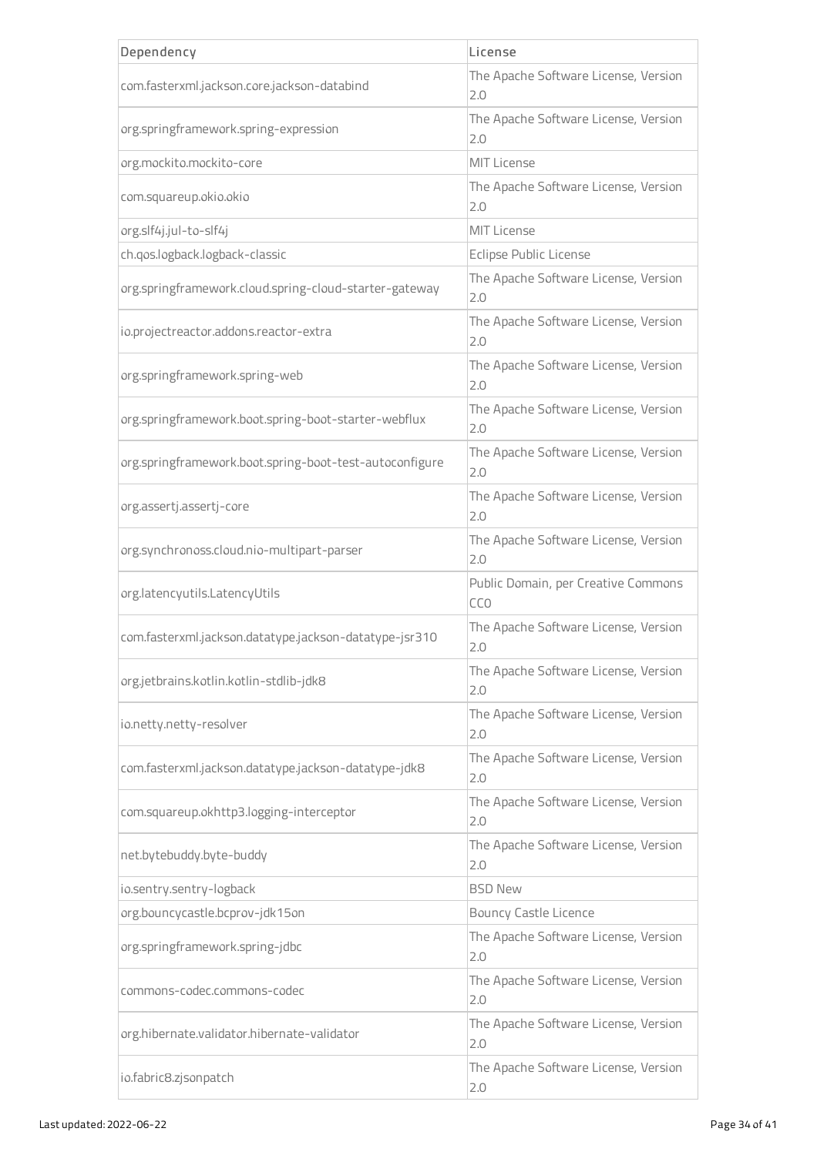| Dependency                                              | License                                     |
|---------------------------------------------------------|---------------------------------------------|
| com.fasterxml.jackson.core.jackson-databind             | The Apache Software License, Version<br>2.0 |
| org.springframework.spring-expression                   | The Apache Software License, Version<br>2.0 |
| org.mockito.mockito-core                                | <b>MIT License</b>                          |
| com.squareup.okio.okio                                  | The Apache Software License, Version<br>2.0 |
| org.slf4j.jul-to-slf4j                                  | <b>MIT License</b>                          |
| ch.qos.logback.logback-classic                          | <b>Eclipse Public License</b>               |
| org.springframework.cloud.spring-cloud-starter-gateway  | The Apache Software License, Version<br>2.0 |
| io.projectreactor.addons.reactor-extra                  | The Apache Software License, Version<br>2.0 |
| org.springframework.spring-web                          | The Apache Software License, Version<br>2.0 |
| org.springframework.boot.spring-boot-starter-webflux    | The Apache Software License, Version<br>2.0 |
| org.springframework.boot.spring-boot-test-autoconfigure | The Apache Software License, Version<br>2.0 |
| org.assertj.assertj-core                                | The Apache Software License, Version<br>2.0 |
| org.synchronoss.cloud.nio-multipart-parser              | The Apache Software License, Version<br>2.0 |
| org.latencyutils.LatencyUtils                           | Public Domain, per Creative Commons<br>CCO  |
| com.fasterxml.jackson.datatype.jackson-datatype-jsr310  | The Apache Software License, Version<br>2.0 |
| org.jetbrains.kotlin.kotlin-stdlib-jdk8                 | The Apache Software License, Version<br>2.0 |
| io.netty.netty-resolver                                 | The Apache Software License, Version<br>2.0 |
| com.fasterxml.jackson.datatype.jackson-datatype-jdk8    | The Apache Software License, Version<br>2.0 |
| com.squareup.okhttp3.logging-interceptor                | The Apache Software License, Version<br>2.0 |
| net.bytebuddy.byte-buddy                                | The Apache Software License, Version<br>2.0 |
| io.sentry.sentry-logback                                | <b>BSD New</b>                              |
| org.bouncycastle.bcprov-jdk15on                         | <b>Bouncy Castle Licence</b>                |
| org.springframework.spring-jdbc                         | The Apache Software License, Version<br>2.0 |
| commons-codec.commons-codec                             | The Apache Software License, Version<br>2.0 |
| org.hibernate.validator.hibernate-validator             | The Apache Software License, Version<br>2.0 |
| io.fabric8.zjsonpatch                                   | The Apache Software License, Version<br>2.0 |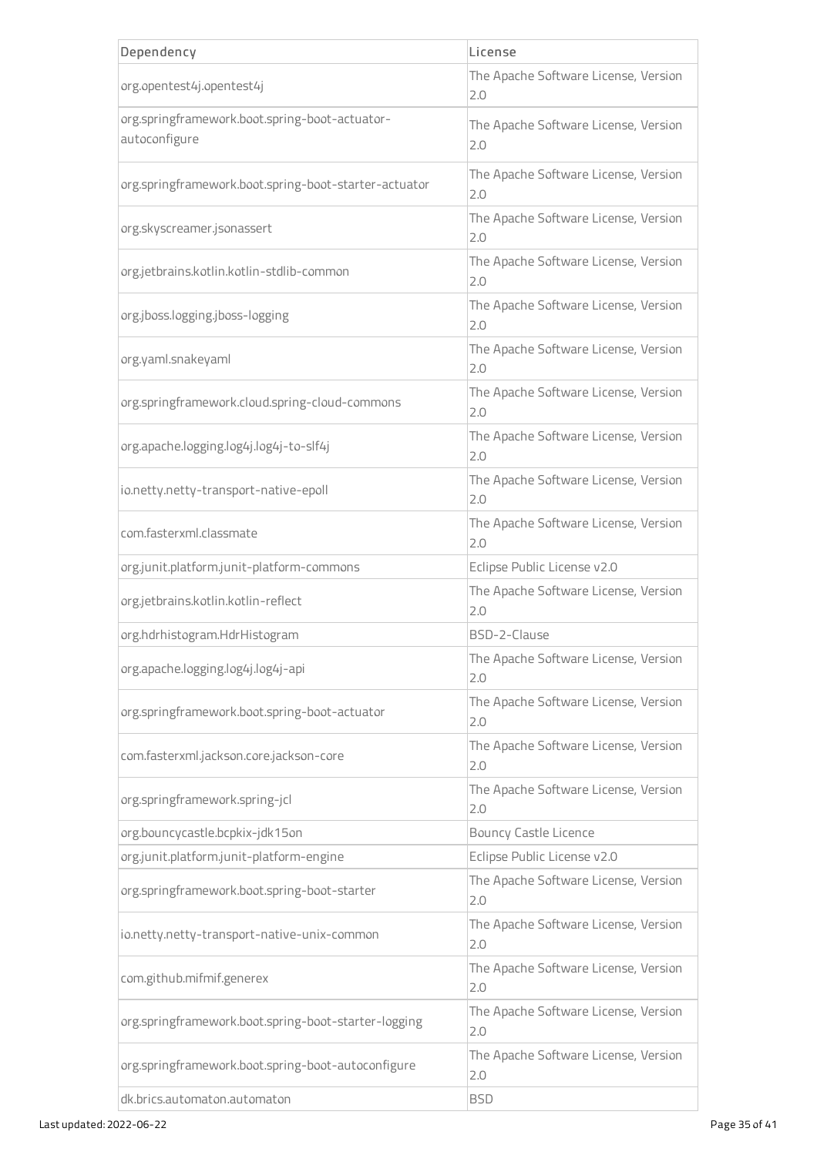| Dependency                                                      | License                                     |
|-----------------------------------------------------------------|---------------------------------------------|
| org.opentest4j.opentest4j                                       | The Apache Software License, Version<br>2.0 |
| org.springframework.boot.spring-boot-actuator-<br>autoconfigure | The Apache Software License, Version<br>2.0 |
| org.springframework.boot.spring-boot-starter-actuator           | The Apache Software License, Version<br>2.0 |
| org.skyscreamer.jsonassert                                      | The Apache Software License, Version<br>2.0 |
| org.jetbrains.kotlin.kotlin-stdlib-common                       | The Apache Software License, Version<br>2.0 |
| org.jboss.logging.jboss-logging                                 | The Apache Software License, Version<br>2.0 |
| org.yaml.snakeyaml                                              | The Apache Software License, Version<br>2.0 |
| org.springframework.cloud.spring-cloud-commons                  | The Apache Software License, Version<br>2.0 |
| org.apache.logging.log4j.log4j-to-slf4j                         | The Apache Software License, Version<br>2.0 |
| io.netty.netty-transport-native-epoll                           | The Apache Software License, Version<br>2.0 |
| com.fasterxml.classmate                                         | The Apache Software License, Version<br>2.0 |
| org.junit.platform.junit-platform-commons                       | Eclipse Public License v2.0                 |
| org.jetbrains.kotlin.kotlin-reflect                             | The Apache Software License, Version<br>2.0 |
| org.hdrhistogram.HdrHistogram                                   | BSD-2-Clause                                |
| org.apache.logging.log4j.log4j-api                              | The Apache Software License, Version<br>2.0 |
| org.springframework.boot.spring-boot-actuator                   | The Apache Software License, Version<br>2.0 |
| com.fasterxml.jackson.core.jackson-core                         | The Apache Software License, Version<br>2.0 |
| org.springframework.spring-jcl                                  | The Apache Software License, Version<br>2.0 |
| org.bouncycastle.bcpkix-jdk15on                                 | <b>Bouncy Castle Licence</b>                |
| org.junit.platform.junit-platform-engine                        | Eclipse Public License v2.0                 |
| org.springframework.boot.spring-boot-starter                    | The Apache Software License, Version<br>2.0 |
| io.netty.netty-transport-native-unix-common                     | The Apache Software License, Version<br>2.0 |
| com.github.mifmif.generex                                       | The Apache Software License, Version<br>2.0 |
| org.springframework.boot.spring-boot-starter-logging            | The Apache Software License, Version<br>2.0 |
| org.springframework.boot.spring-boot-autoconfigure              | The Apache Software License, Version<br>2.0 |
| dk.brics.automaton.automaton                                    | <b>BSD</b>                                  |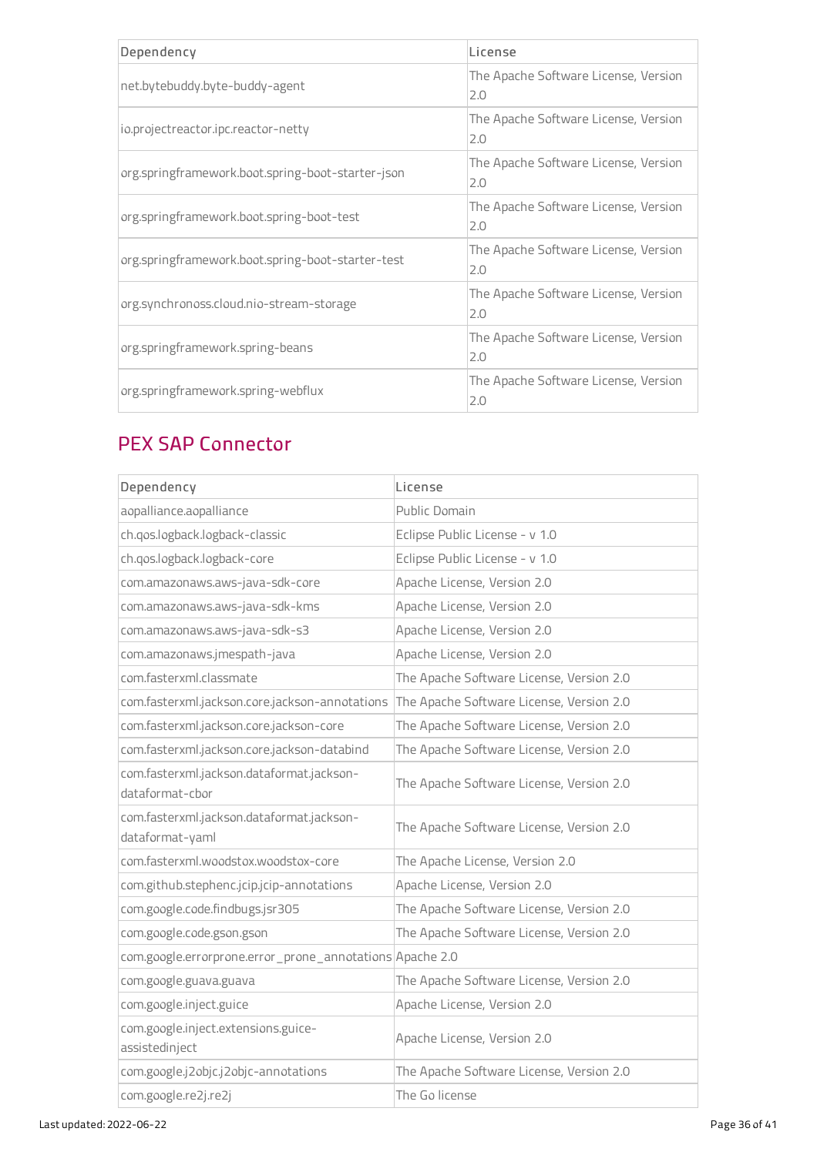| Dependency                                        | License                                     |
|---------------------------------------------------|---------------------------------------------|
| net.bytebuddy.byte-buddy-agent                    | The Apache Software License, Version<br>2.0 |
| io.projectreactor.ipc.reactor-netty               | The Apache Software License, Version<br>2.0 |
| org.springframework.boot.spring-boot-starter-json | The Apache Software License, Version<br>2.0 |
| org.springframework.boot.spring-boot-test         | The Apache Software License, Version<br>2.0 |
| org.springframework.boot.spring-boot-starter-test | The Apache Software License, Version<br>2.0 |
| org.synchronoss.cloud.nio-stream-storage          | The Apache Software License, Version<br>2.0 |
| org.springframework.spring-beans                  | The Apache Software License, Version<br>2.0 |
| org.springframework.spring-webflux                | The Apache Software License, Version<br>2.0 |

# PEX SAP Connector

| Dependency                                                   | License                                  |
|--------------------------------------------------------------|------------------------------------------|
| aopalliance.aopalliance                                      | Public Domain                            |
| ch.qos.logback.logback-classic                               | Eclipse Public License - v 1.0           |
| ch.gos.logback.logback-core                                  | Eclipse Public License - v 1.0           |
| com.amazonaws.aws-java-sdk-core                              | Apache License, Version 2.0              |
| com.amazonaws.aws-java-sdk-kms                               | Apache License, Version 2.0              |
| com.amazonaws.aws-java-sdk-s3                                | Apache License, Version 2.0              |
| com.amazonaws.jmespath-java                                  | Apache License, Version 2.0              |
| com.fasterxml.classmate                                      | The Apache Software License, Version 2.0 |
| com.fasterxml.jackson.core.jackson-annotations               | The Apache Software License, Version 2.0 |
| com.fasterxml.jackson.core.jackson-core                      | The Apache Software License, Version 2.0 |
| com.fasterxml.jackson.core.jackson-databind                  | The Apache Software License, Version 2.0 |
| com.fasterxml.jackson.dataformat.jackson-<br>dataformat-chor | The Apache Software License, Version 2.0 |
| com.fasterxml.jackson.dataformat.jackson-<br>dataformat-yaml | The Apache Software License, Version 2.0 |
| com.fasterxml.woodstox.woodstox-core                         | The Apache License, Version 2.0          |
| com.github.stephenc.jcip.jcip-annotations                    | Apache License, Version 2.0              |
| com.google.code.findbugs.jsr305                              | The Apache Software License, Version 2.0 |
| com.google.code.gson.gson                                    | The Apache Software License, Version 2.0 |
| com.google.errorprone.error_prone_annotations Apache 2.0     |                                          |
| com.google.guava.guava                                       | The Apache Software License, Version 2.0 |
| com.google.inject.guice                                      | Apache License, Version 2.0              |
| com.google.inject.extensions.guice-<br>assistedinject        | Apache License, Version 2.0              |
| com.google.j2objc.j2objc-annotations                         | The Apache Software License, Version 2.0 |
| com.google.re2j.re2j                                         | The Go license                           |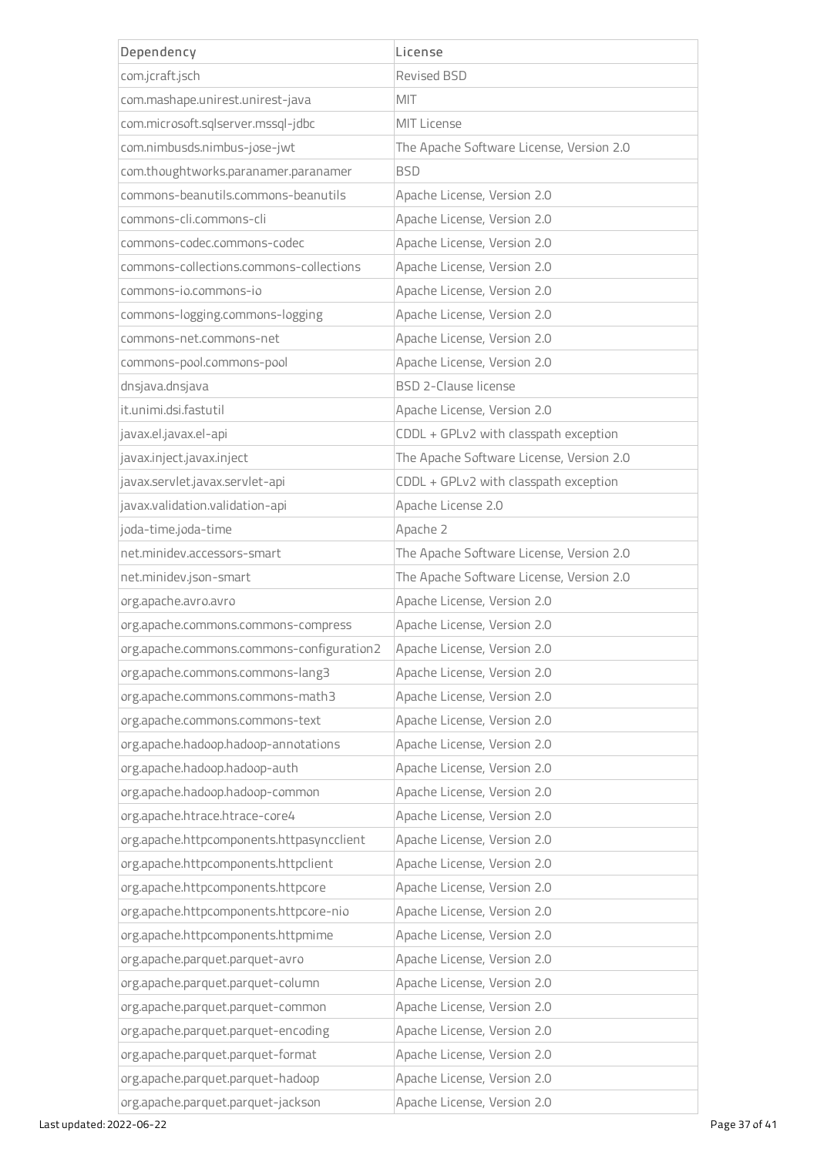| Dependency                                | License                                  |
|-------------------------------------------|------------------------------------------|
| com.jcraft.jsch                           | Revised BSD                              |
| com.mashape.unirest.unirest-java          | <b>MIT</b>                               |
| com.microsoft.sqlserver.mssql-jdbc        | MIT License                              |
| com.nimbusds.nimbus-jose-jwt              | The Apache Software License, Version 2.0 |
| com.thoughtworks.paranamer.paranamer      | <b>BSD</b>                               |
| commons-beanutils.commons-beanutils       | Apache License, Version 2.0              |
| commons-cli.commons-cli                   | Apache License, Version 2.0              |
| commons-codec.commons-codec               | Apache License, Version 2.0              |
| commons-collections.commons-collections   | Apache License, Version 2.0              |
| commons-io.commons-io                     | Apache License, Version 2.0              |
| commons-logging.commons-logging           | Apache License, Version 2.0              |
| commons-net.commons-net                   | Apache License, Version 2.0              |
| commons-pool.commons-pool                 | Apache License, Version 2.0              |
| dnsjava.dnsjava                           | <b>BSD 2-Clause license</b>              |
| it.unimi.dsi.fastutil                     | Apache License, Version 2.0              |
| javax.el.javax.el-api                     | CDDL + GPLv2 with classpath exception    |
| javax.inject.javax.inject                 | The Apache Software License, Version 2.0 |
| javax.servlet.javax.servlet-api           | CDDL + GPLv2 with classpath exception    |
| javax.validation.validation-api           | Apache License 2.0                       |
| joda-time.joda-time                       | Apache 2                                 |
| net.minidev.accessors-smart               | The Apache Software License, Version 2.0 |
| net.minidev.json-smart                    | The Apache Software License, Version 2.0 |
| org.apache.avro.avro                      | Apache License, Version 2.0              |
| org.apache.commons.commons-compress       | Apache License, Version 2.0              |
| org.apache.commons.commons-configuration2 | Apache License, Version 2.0              |
| org.apache.commons.commons-lang3          | Apache License, Version 2.0              |
| org.apache.commons.commons-math3          | Apache License, Version 2.0              |
| org.apache.commons.commons-text           | Apache License, Version 2.0              |
| org.apache.hadoop.hadoop-annotations      | Apache License, Version 2.0              |
| org.apache.hadoop.hadoop-auth             | Apache License, Version 2.0              |
| org.apache.hadoop.hadoop-common           | Apache License, Version 2.0              |
| org.apache.htrace.htrace-core4            | Apache License, Version 2.0              |
| org.apache.httpcomponents.httpasyncclient | Apache License, Version 2.0              |
| org.apache.httpcomponents.httpclient      | Apache License, Version 2.0              |
| org.apache.httpcomponents.httpcore        | Apache License, Version 2.0              |
| org.apache.httpcomponents.httpcore-nio    | Apache License, Version 2.0              |
| org.apache.httpcomponents.httpmime        | Apache License, Version 2.0              |
| org.apache.parquet.parquet-avro           | Apache License, Version 2.0              |
| org.apache.parquet.parquet-column         | Apache License, Version 2.0              |
| org.apache.parquet.parquet-common         | Apache License, Version 2.0              |
| org.apache.parquet.parquet-encoding       | Apache License, Version 2.0              |
| org.apache.parquet.parquet-format         | Apache License, Version 2.0              |
| org.apache.parquet.parquet-hadoop         | Apache License, Version 2.0              |
| org.apache.parquet.parquet-jackson        | Apache License, Version 2.0              |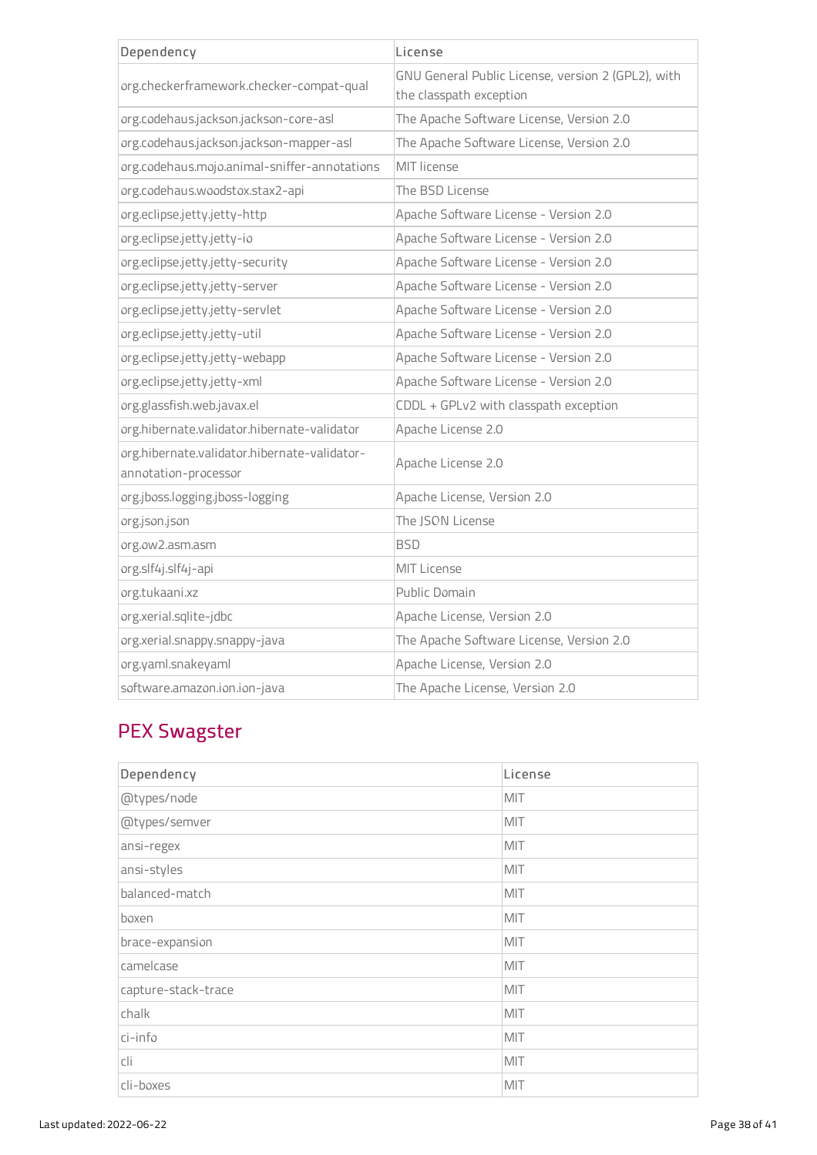| Dependency                                                           | License                                                                       |
|----------------------------------------------------------------------|-------------------------------------------------------------------------------|
| org.checkerframework.checker-compat-qual                             | GNU General Public License, version 2 (GPL2), with<br>the classpath exception |
| org.codehaus.jackson.jackson-core-asl                                | The Apache Software License, Version 2.0                                      |
| org.codehaus.jackson.jackson-mapper-asl                              | The Apache Software License, Version 2.0                                      |
| org.codehaus.mojo.animal-sniffer-annotations                         | MIT license                                                                   |
| org.codehaus.woodstox.stax2-api                                      | The BSD License                                                               |
| org.eclipse.jetty.jetty-http                                         | Apache Software License - Version 2.0                                         |
| org.eclipse.jetty.jetty-io                                           | Apache Software License - Version 2.0                                         |
| org.eclipse.jetty.jetty-security                                     | Apache Software License - Version 2.0                                         |
| org.eclipse.jetty.jetty-server                                       | Apache Software License - Version 2.0                                         |
| org.eclipse.jetty.jetty-servlet                                      | Apache Software License - Version 2.0                                         |
| org.eclipse.jetty.jetty-util                                         | Apache Software License - Version 2.0                                         |
| org.eclipse.jetty.jetty-webapp                                       | Apache Software License - Version 2.0                                         |
| org.eclipse.jetty.jetty-xml                                          | Apache Software License - Version 2.0                                         |
| org.glassfish.web.javax.el                                           | CDDL + GPLv2 with classpath exception                                         |
| org.hibernate.validator.hibernate-validator                          | Apache License 2.0                                                            |
| org.hibernate.validator.hibernate-validator-<br>annotation-processor | Apache License 2.0                                                            |
| org.jboss.logging.jboss-logging                                      | Apache License, Version 2.0                                                   |
| org.json.json                                                        | The JSON License                                                              |
| org.ow2.asm.asm                                                      | <b>BSD</b>                                                                    |
| org.slf4j.slf4j-api                                                  | <b>MIT License</b>                                                            |
| org.tukaani.xz                                                       | Public Domain                                                                 |
| org.xerial.sqlite-jdbc                                               | Apache License, Version 2.0                                                   |
| org.xerial.snappy.snappy-java                                        | The Apache Software License, Version 2.0                                      |
| org.yaml.snakeyaml                                                   | Apache License, Version 2.0                                                   |
| software.amazon.ion.ion-java                                         | The Apache License, Version 2.0                                               |

# PEX Swagster

| Dependency          | License |
|---------------------|---------|
| @types/node         | MIT     |
| @types/semver       | MIT     |
| ansi-regex          | MIT     |
| ansi-styles         | MIT     |
| balanced-match      | MIT     |
| boxen               | MIT     |
| brace-expansion     | MIT     |
| camelcase           | MIT     |
| capture-stack-trace | MIT     |
| chalk               | MIT     |
| ci-info             | MIT     |
| cli                 | MIT     |
| cli-boxes           | MIT     |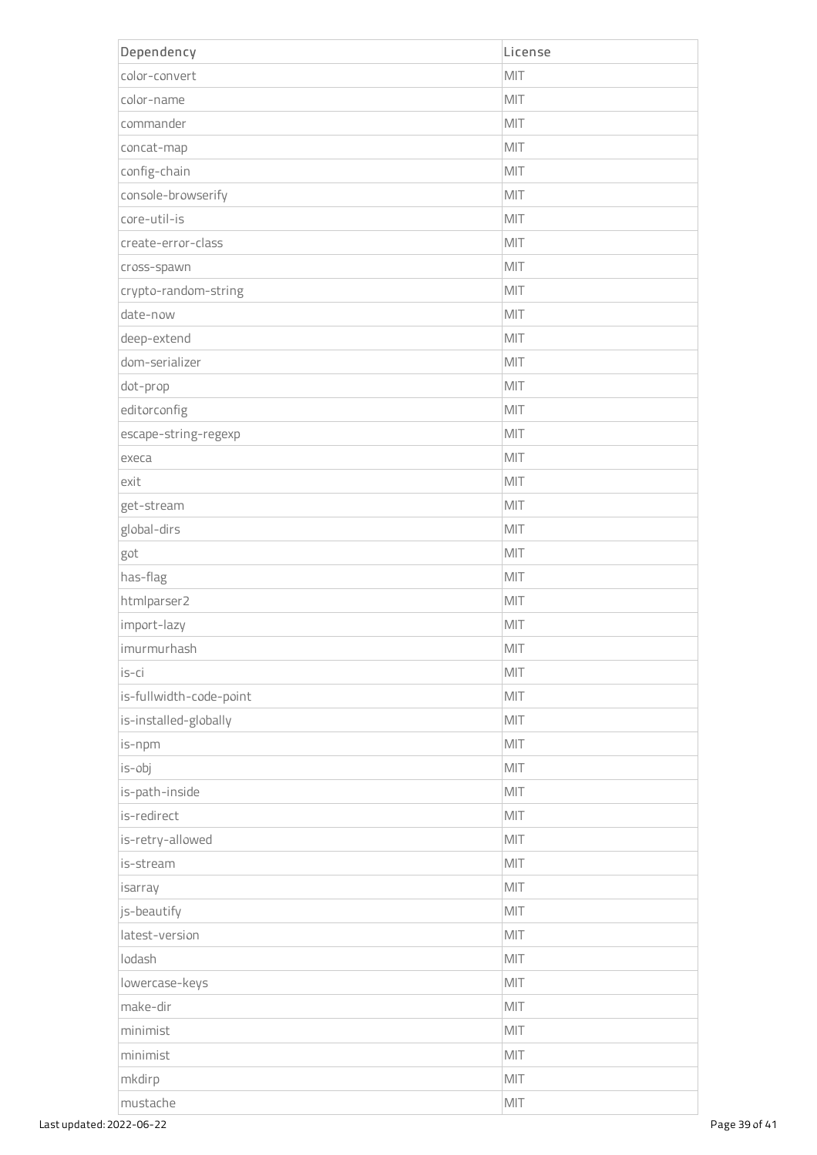| Dependency              | License        |
|-------------------------|----------------|
| color-convert           | MIT            |
| color-name              | MIT            |
| commander               | MIT            |
| concat-map              | MIT            |
| config-chain            | MIT            |
| console-browserify      | MIT            |
| core-util-is            | MIT            |
| create-error-class      | MIT            |
| cross-spawn             | MIT            |
| crypto-random-string    | MIT            |
| date-now                | MIT            |
| deep-extend             | MIT            |
| dom-serializer          | MIT            |
| dot-prop                | MIT            |
| editorconfig            | MIT            |
| escape-string-regexp    | MIT            |
| execa                   | MIT            |
| exit                    | MIT            |
| get-stream              | MIT            |
| global-dirs             | MIT            |
| got                     | MIT            |
| has-flag                | MIT            |
| htmlparser2             | MIT            |
| import-lazy             | MIT            |
| imurmurhash             | $\mathsf{MIT}$ |
| is-ci                   | MIT            |
| is-fullwidth-code-point | MIT            |
| is-installed-globally   | MIT            |
| is-npm                  | MIT            |
| is-obj                  | MIT            |
| is-path-inside          | MIT            |
| is-redirect             | MIT            |
| is-retry-allowed        | MIT            |
| is-stream               | MIT            |
| isarray                 | MIT            |
| js-beautify             | MIT            |
| latest-version          | MIT            |
| lodash                  | MIT            |
| lowercase-keys          | MIT            |
| make-dir                | MIT            |
| minimist                | MIT            |
| minimist                | MIT            |
| mkdirp                  | MIT            |
| mustache                | MIT            |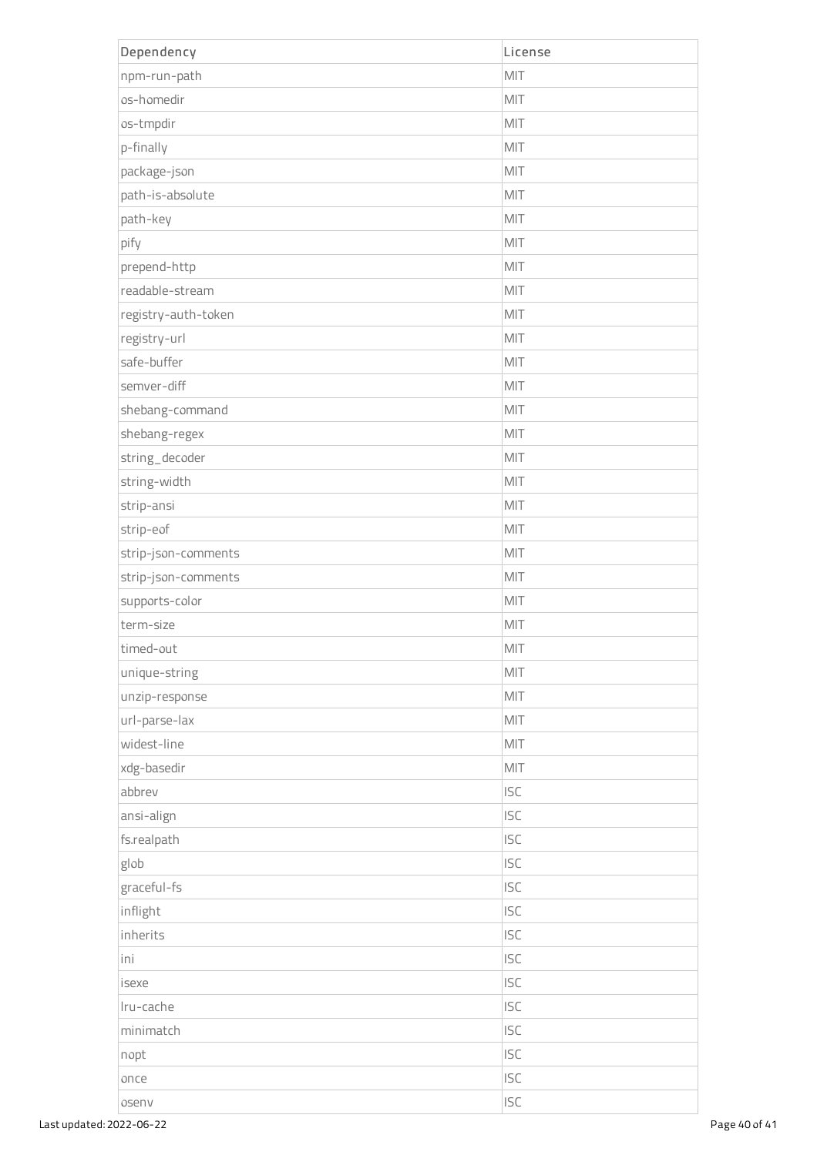| Dependency          | License        |
|---------------------|----------------|
| npm-run-path        | MIT            |
| os-homedir          | MIT            |
| os-tmpdir           | MIT            |
| p-finally           | MIT            |
| package-json        | MIT            |
| path-is-absolute    | MIT            |
| path-key            | MIT            |
| pify                | MIT            |
| prepend-http        | MIT            |
| readable-stream     | MIT            |
| registry-auth-token | MIT            |
| registry-url        | MIT            |
| safe-buffer         | MIT            |
| semver-diff         | MIT            |
| shebang-command     | MIT            |
| shebang-regex       | MIT            |
| string_decoder      | MIT            |
| string-width        | MIT            |
| strip-ansi          | MIT            |
| strip-eof           | MIT            |
| strip-json-comments | MIT            |
| strip-json-comments | MIT            |
| supports-color      | MIT            |
| term-size           | MIT            |
| timed-out           | MIT            |
| unique-string       | MIT            |
| unzip-response      | MIT            |
| url-parse-lax       | MIT            |
| widest-line         | MIT            |
| xdg-basedir         | $\mathsf{MIT}$ |
| abbrev              | <b>ISC</b>     |
| ansi-align          | <b>ISC</b>     |
| fs.realpath         | <b>ISC</b>     |
| glob                | <b>ISC</b>     |
| graceful-fs         | <b>ISC</b>     |
| inflight            | <b>ISC</b>     |
| inherits            | <b>ISC</b>     |
| ini                 | <b>ISC</b>     |
| isexe               | <b>ISC</b>     |
| Iru-cache           | <b>ISC</b>     |
| minimatch           | <b>ISC</b>     |
| nopt                | <b>ISC</b>     |
| once                | <b>ISC</b>     |
| osenv               | <b>ISC</b>     |